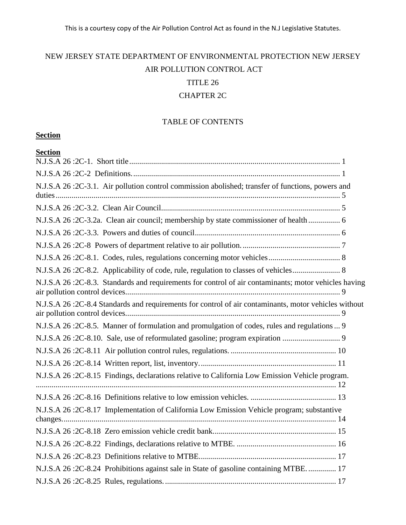# NEW JERSEY STATE DEPARTMENT OF ENVIRONMENTAL PROTECTION NEW JERSEY AIR POLLUTION CONTROL ACT TITLE 26 CHAPTER 2C

# TABLE OF CONTENTS

# **Section**

| <b>Section</b>                                                                                       |  |
|------------------------------------------------------------------------------------------------------|--|
|                                                                                                      |  |
|                                                                                                      |  |
| N.J.S.A 26:2C-3.1. Air pollution control commission abolished; transfer of functions, powers and     |  |
|                                                                                                      |  |
|                                                                                                      |  |
| N.J.S.A 26:2C-3.2a. Clean air council; membership by state commissioner of health  6                 |  |
|                                                                                                      |  |
|                                                                                                      |  |
|                                                                                                      |  |
|                                                                                                      |  |
| N.J.S.A 26:2C-8.3. Standards and requirements for control of air contaminants; motor vehicles having |  |
| N.J.S.A 26:2C-8.4 Standards and requirements for control of air contaminants, motor vehicles without |  |
| N.J.S.A 26:2C-8.5. Manner of formulation and promulgation of codes, rules and regulations 9          |  |
| N.J.S.A 26:2C-8.10. Sale, use of reformulated gasoline; program expiration                           |  |
|                                                                                                      |  |
|                                                                                                      |  |
| N.J.S.A 26:2C-8.15 Findings, declarations relative to California Low Emission Vehicle program.       |  |
|                                                                                                      |  |
| N.J.S.A 26:2C-8.17 Implementation of California Low Emission Vehicle program; substantive            |  |
|                                                                                                      |  |
|                                                                                                      |  |
|                                                                                                      |  |
| N.J.S.A 26:2C-8.24 Prohibitions against sale in State of gasoline containing MTBE 17                 |  |
|                                                                                                      |  |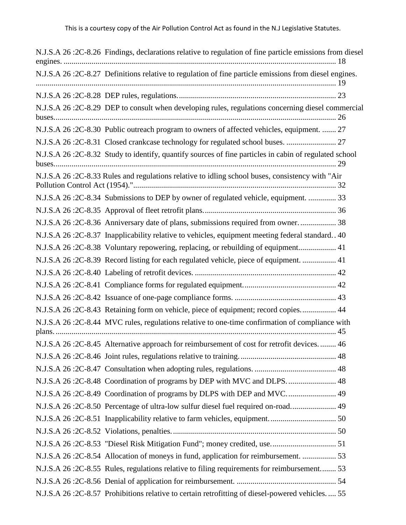N.J.S.A 26 :2C-8.26 [Findings, declarations relative to regulation of fine particle emissions from diesel](#page-21-0)  engines. [.........................................................................................................................................](#page-21-0) 18 N.J.S.A 26 :2C-8.27 [Definitions relative to regulation of fine particle emissions from diesel engines.](#page-22-0) [.......................................................................................................................................................](#page-22-0) 19 N.J.S.A 26 :2C-8.28 [DEP rules, regulations................................................................................](#page-26-0) 23 N.J.S.A 26 :2C-8.29 [DEP to consult when developing rules, regulations concerning diesel commercial](#page-29-0)  [buses..............................................................................................................................................](#page-29-0) 26 N.J.S.A 26 :2C-8.30 [Public outreach program to owners of affected vehicles, equipment.](#page-30-0) ....... 27 N.J.S.A 26 :2C-8.31 [Closed crankcase technology for regulated school buses.](#page-30-1) ......................... 27 N.J.S.A 26 :2C-8.32 [Study to identify, quantify sources of fine particles in cabin of regulated school](#page-32-0)  [buses..............................................................................................................................................](#page-32-0) 29 [N.J.S.A 26 :2C-8.33 Rules and regulations relative to idling school buses, consistency with "Air](#page-35-0)  [Pollution Control Act \(1954\)."......................................................................................................](#page-35-0) 32 N.J.S.A 26 :2C-8.34 [Submissions to DEP by owner of regulated vehicle, equipment.](#page-36-0) .............. 33 N.J.S.A 26 :2C-8.35 [Approval of fleet retrofit plans...................................................................](#page-39-0) 36 N.J.S.A 26 :2C-8.36 [Anniversary date of plans, submissions required from owner.](#page-41-0) .................. 38 N.J.S.A 26 :2C-8.37 [Inapplicability relative to vehicles, equipment meeting federal standard..](#page-43-0) 40 N.J.S.A 26 :2C-8.38 [Voluntary repowering, replacing, or rebuilding of equipment...................](#page-44-0) 41 N.J.S.A 26 :2C-8.39 [Record listing for each regulated vehicle, piece of equipment.](#page-44-1) ................. 41 N.J.S.A 26 :2C-8.40 Labeling of retrofit devices. [.......................................................................](#page-45-0) 42 N.J.S.A 26 :2C-8.41 [Compliance forms for regulated equipment...............................................](#page-45-1) 42 N.J.S.A 26 :2C-8.42 [Issuance of one-page compliance forms.](#page-46-0) ................................................... 43 N.J.S.A 26 :2C-8.43 [Retaining form on vehicle, piece of equipment; record copies..................](#page-47-0) 44 N.J.S.A 26 :2C-8.44 [MVC rules, regulations relative to one-time confirmation of compliance with](#page-48-0)  plans. [.............................................................................................................................................](#page-48-0) 45 N.J.S.A 26 :2C-8.45 [Alternative approach for reimbursement of cost for retrofit devices.](#page-49-0) ........ 46 N.J.S.A 26 :2C-8.46 [Joint rules, regulations relative to training.](#page-51-0) ................................................ 48 N.J.S.A 26 :2C-8.47 [Consultation when adopting rules, regulations.](#page-51-1) ......................................... 48 N.J.S.A 26 :2C-8.48 [Coordination of programs by DEP with MVC and DLPS.........................](#page-51-2) 48 N.J.S.A 26 :2C-8.49 [Coordination of programs by DLPS with DEP and MVC.........................](#page-52-0) 49 N.J.S.A 26 :2C-8.50 [Percentage of ultra-low sulfur diesel fuel required on-road.......................](#page-52-1) 49 N.J.S.A 26 :2C-8.51 [Inapplicability relative to farm vehicles, equipment..................................](#page-53-0) 50 N.J.S.A 26 :2C-8.52 [Violations, penalties...................................................................................](#page-53-1) 50 N.J.S.A 26 :2C-8.53 ["Diesel Risk Mitigation Fund"; money credited, use.................................](#page-54-0) 51 N.J.S.A 26 :2C-8.54 [Allocation of moneys in fund, application for reimbursement.](#page-56-0) ................. 53 N.J.S.A 26 :2C-8.55 [Rules, regulations relative to filing requirements for reimbursement........](#page-56-1) 53 N.J.S.A 26 :2C-8.56 [Denial of application for reimbursement.](#page-57-0) .................................................. 54 N.J.S.A 26 :2C-8.57 [Prohibitions relative to certain retrofitting of diesel-powered vehicles.](#page-58-0) .... 55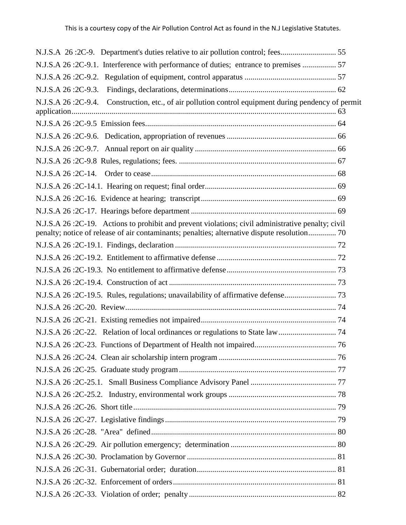| N.J.S.A 26:2C-9.1. Interference with performance of duties; entrance to premises  57                                                                                                              |  |
|---------------------------------------------------------------------------------------------------------------------------------------------------------------------------------------------------|--|
|                                                                                                                                                                                                   |  |
|                                                                                                                                                                                                   |  |
| N.J.S.A 26:2C-9.4. Construction, etc., of air pollution control equipment during pendency of permit                                                                                               |  |
|                                                                                                                                                                                                   |  |
|                                                                                                                                                                                                   |  |
|                                                                                                                                                                                                   |  |
|                                                                                                                                                                                                   |  |
|                                                                                                                                                                                                   |  |
|                                                                                                                                                                                                   |  |
|                                                                                                                                                                                                   |  |
|                                                                                                                                                                                                   |  |
| N.J.S.A 26:2C-19. Actions to prohibit and prevent violations; civil administrative penalty; civil<br>penalty; notice of release of air contaminants; penalties; alternative dispute resolution 70 |  |
|                                                                                                                                                                                                   |  |
|                                                                                                                                                                                                   |  |
|                                                                                                                                                                                                   |  |
|                                                                                                                                                                                                   |  |
|                                                                                                                                                                                                   |  |
|                                                                                                                                                                                                   |  |
|                                                                                                                                                                                                   |  |
|                                                                                                                                                                                                   |  |
|                                                                                                                                                                                                   |  |
|                                                                                                                                                                                                   |  |
|                                                                                                                                                                                                   |  |
|                                                                                                                                                                                                   |  |
|                                                                                                                                                                                                   |  |
|                                                                                                                                                                                                   |  |
|                                                                                                                                                                                                   |  |
|                                                                                                                                                                                                   |  |
|                                                                                                                                                                                                   |  |
|                                                                                                                                                                                                   |  |
|                                                                                                                                                                                                   |  |
|                                                                                                                                                                                                   |  |
|                                                                                                                                                                                                   |  |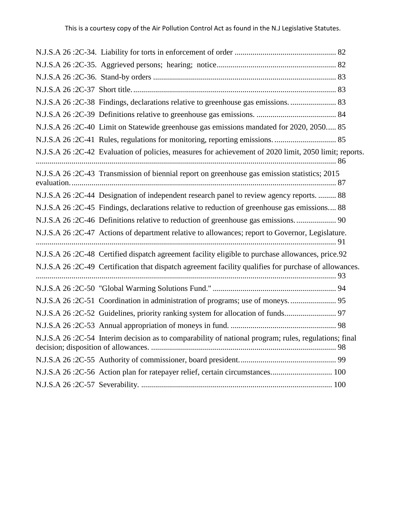| N.J.S.A 26:2C-38 Findings, declarations relative to greenhouse gas emissions.  83                     |  |
|-------------------------------------------------------------------------------------------------------|--|
|                                                                                                       |  |
| N.J.S.A 26:2C-40 Limit on Statewide greenhouse gas emissions mandated for 2020, 2050 85               |  |
|                                                                                                       |  |
| N.J.S.A 26:2C-42 Evaluation of policies, measures for achievement of 2020 limit, 2050 limit; reports. |  |
| N.J.S.A 26:2C-43 Transmission of biennial report on greenhouse gas emission statistics; 2015          |  |
| N.J.S.A 26:2C-44 Designation of independent research panel to review agency reports.  88              |  |
| N.J.S.A 26:2C-45 Findings, declarations relative to reduction of greenhouse gas emissions 88          |  |
|                                                                                                       |  |
| N.J.S.A 26:2C-47 Actions of department relative to allowances; report to Governor, Legislature.       |  |
| N.J.S.A 26:2C-48 Certified dispatch agreement facility eligible to purchase allowances, price.92      |  |
| N.J.S.A 26:2C-49 Certification that dispatch agreement facility qualifies for purchase of allowances. |  |
|                                                                                                       |  |
|                                                                                                       |  |
| N.J.S.A 26:2C-52 Guidelines, priority ranking system for allocation of funds 97                       |  |
|                                                                                                       |  |
| N.J.S.A 26:2C-54 Interim decision as to comparability of national program; rules, regulations; final  |  |
|                                                                                                       |  |
|                                                                                                       |  |
|                                                                                                       |  |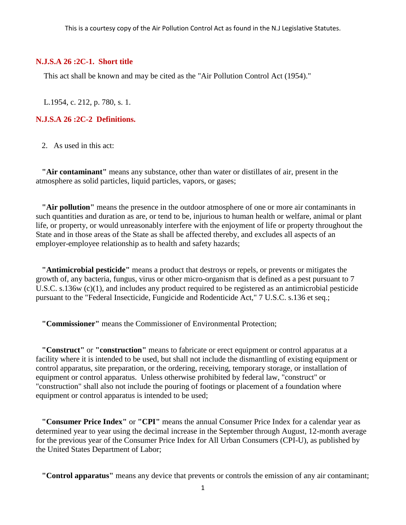#### <span id="page-4-0"></span>**N.J.S.A 26 :2C-1. Short title**

This act shall be known and may be cited as the "Air Pollution Control Act (1954)."

L.1954, c. 212, p. 780, s. 1.

<span id="page-4-1"></span>**N.J.S.A 26 :2C-2 Definitions.**

2. As used in this act:

 **"Air contaminant"** means any substance, other than water or distillates of air, present in the atmosphere as solid particles, liquid particles, vapors, or gases;

 **"Air pollution"** means the presence in the outdoor atmosphere of one or more air contaminants in such quantities and duration as are, or tend to be, injurious to human health or welfare, animal or plant life, or property, or would unreasonably interfere with the enjoyment of life or property throughout the State and in those areas of the State as shall be affected thereby, and excludes all aspects of an employer-employee relationship as to health and safety hazards;

 **"Antimicrobial pesticide"** means a product that destroys or repels, or prevents or mitigates the growth of, any bacteria, fungus, virus or other micro-organism that is defined as a pest pursuant to 7 U.S.C. s.136w (c)(1), and includes any product required to be registered as an antimicrobial pesticide pursuant to the "Federal Insecticide, Fungicide and Rodenticide Act," 7 U.S.C. s.136 et seq.;

 **"Commissioner"** means the Commissioner of Environmental Protection;

 **"Construct"** or **"construction"** means to fabricate or erect equipment or control apparatus at a facility where it is intended to be used, but shall not include the dismantling of existing equipment or control apparatus, site preparation, or the ordering, receiving, temporary storage, or installation of equipment or control apparatus. Unless otherwise prohibited by federal law, "construct" or "construction" shall also not include the pouring of footings or placement of a foundation where equipment or control apparatus is intended to be used;

 **"Consumer Price Index"** or **"CPI"** means the annual Consumer Price Index for a calendar year as determined year to year using the decimal increase in the September through August, 12-month average for the previous year of the Consumer Price Index for All Urban Consumers (CPI-U), as published by the United States Department of Labor;

 **"Control apparatus"** means any device that prevents or controls the emission of any air contaminant;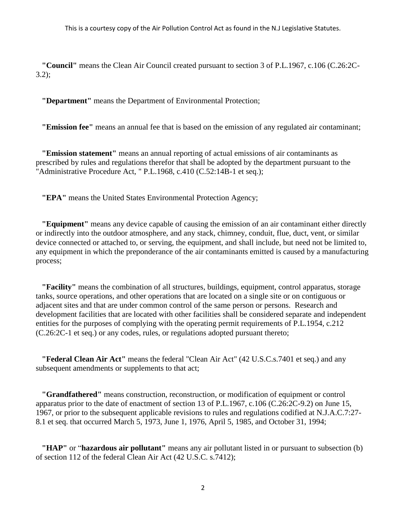**"Council"** means the Clean Air Council created pursuant to section 3 of P.L.1967, c.106 (C.26:2C- $3.2$ ;

**"Department"** means the Department of Environmental Protection;

 **"Emission fee"** means an annual fee that is based on the emission of any regulated air contaminant;

 **"Emission statement"** means an annual reporting of actual emissions of air contaminants as prescribed by rules and regulations therefor that shall be adopted by the department pursuant to the "Administrative Procedure Act, " P.L.1968, c.410 (C.52:14B-1 et seq.);

 **"EPA"** means the United States Environmental Protection Agency;

 **"Equipment"** means any device capable of causing the emission of an air contaminant either directly or indirectly into the outdoor atmosphere, and any stack, chimney, conduit, flue, duct, vent, or similar device connected or attached to, or serving, the equipment, and shall include, but need not be limited to, any equipment in which the preponderance of the air contaminants emitted is caused by a manufacturing process;

 **"Facility"** means the combination of all structures, buildings, equipment, control apparatus, storage tanks, source operations, and other operations that are located on a single site or on contiguous or adjacent sites and that are under common control of the same person or persons. Research and development facilities that are located with other facilities shall be considered separate and independent entities for the purposes of complying with the operating permit requirements of P.L.1954, c.212 (C.26:2C-1 et seq.) or any codes, rules, or regulations adopted pursuant thereto;

 **"Federal Clean Air Act"** means the federal "Clean Air Act" (42 U.S.C.s.7401 et seq.) and any subsequent amendments or supplements to that act;

 **"Grandfathered"** means construction, reconstruction, or modification of equipment or control apparatus prior to the date of enactment of section 13 of P.L.1967, c.106 (C.26:2C-9.2) on June 15, 1967, or prior to the subsequent applicable revisions to rules and regulations codified at N.J.A.C.7:27- 8.1 et seq. that occurred March 5, 1973, June 1, 1976, April 5, 1985, and October 31, 1994;

 **"HAP"** or "**hazardous air pollutant"** means any air pollutant listed in or pursuant to subsection (b) of section 112 of the federal Clean Air Act (42 U.S.C. s.7412);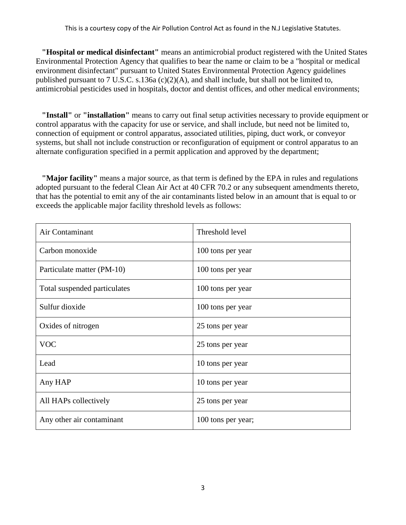**"Hospital or medical disinfectant"** means an antimicrobial product registered with the United States Environmental Protection Agency that qualifies to bear the name or claim to be a "hospital or medical environment disinfectant" pursuant to United States Environmental Protection Agency guidelines published pursuant to 7 U.S.C. s.136a (c)(2)(A), and shall include, but shall not be limited to, antimicrobial pesticides used in hospitals, doctor and dentist offices, and other medical environments;

 **"Install"** or **"installation"** means to carry out final setup activities necessary to provide equipment or control apparatus with the capacity for use or service, and shall include, but need not be limited to, connection of equipment or control apparatus, associated utilities, piping, duct work, or conveyor systems, but shall not include construction or reconfiguration of equipment or control apparatus to an alternate configuration specified in a permit application and approved by the department;

 **"Major facility"** means a major source, as that term is defined by the EPA in rules and regulations adopted pursuant to the federal Clean Air Act at 40 CFR 70.2 or any subsequent amendments thereto, that has the potential to emit any of the air contaminants listed below in an amount that is equal to or exceeds the applicable major facility threshold levels as follows:

| Air Contaminant              | Threshold level    |
|------------------------------|--------------------|
| Carbon monoxide              | 100 tons per year  |
| Particulate matter (PM-10)   | 100 tons per year  |
| Total suspended particulates | 100 tons per year  |
| Sulfur dioxide               | 100 tons per year  |
| Oxides of nitrogen           | 25 tons per year   |
| <b>VOC</b>                   | 25 tons per year   |
| Lead                         | 10 tons per year   |
| Any HAP                      | 10 tons per year   |
| All HAPs collectively        | 25 tons per year   |
| Any other air contaminant    | 100 tons per year; |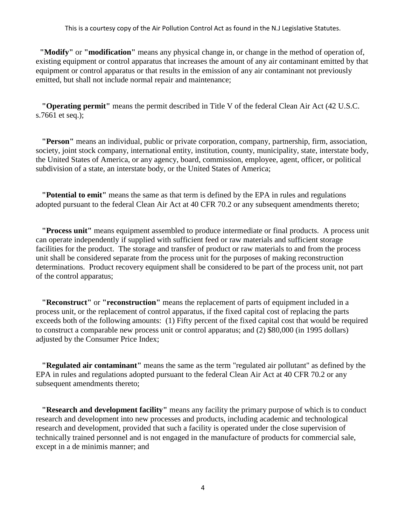**"Modify"** or **"modification"** means any physical change in, or change in the method of operation of, existing equipment or control apparatus that increases the amount of any air contaminant emitted by that equipment or control apparatus or that results in the emission of any air contaminant not previously emitted, but shall not include normal repair and maintenance;

 **"Operating permit"** means the permit described in Title V of the federal Clean Air Act (42 U.S.C. s.7661 et seq.);

 **"Person"** means an individual, public or private corporation, company, partnership, firm, association, society, joint stock company, international entity, institution, county, municipality, state, interstate body, the United States of America, or any agency, board, commission, employee, agent, officer, or political subdivision of a state, an interstate body, or the United States of America;

 **"Potential to emit"** means the same as that term is defined by the EPA in rules and regulations adopted pursuant to the federal Clean Air Act at 40 CFR 70.2 or any subsequent amendments thereto;

 **"Process unit"** means equipment assembled to produce intermediate or final products. A process unit can operate independently if supplied with sufficient feed or raw materials and sufficient storage facilities for the product. The storage and transfer of product or raw materials to and from the process unit shall be considered separate from the process unit for the purposes of making reconstruction determinations. Product recovery equipment shall be considered to be part of the process unit, not part of the control apparatus;

 **"Reconstruct"** or **"reconstruction"** means the replacement of parts of equipment included in a process unit, or the replacement of control apparatus, if the fixed capital cost of replacing the parts exceeds both of the following amounts: (1) Fifty percent of the fixed capital cost that would be required to construct a comparable new process unit or control apparatus; and (2) \$80,000 (in 1995 dollars) adjusted by the Consumer Price Index;

 **"Regulated air contaminant"** means the same as the term "regulated air pollutant" as defined by the EPA in rules and regulations adopted pursuant to the federal Clean Air Act at 40 CFR 70.2 or any subsequent amendments thereto;

 **"Research and development facility"** means any facility the primary purpose of which is to conduct research and development into new processes and products, including academic and technological research and development, provided that such a facility is operated under the close supervision of technically trained personnel and is not engaged in the manufacture of products for commercial sale, except in a de minimis manner; and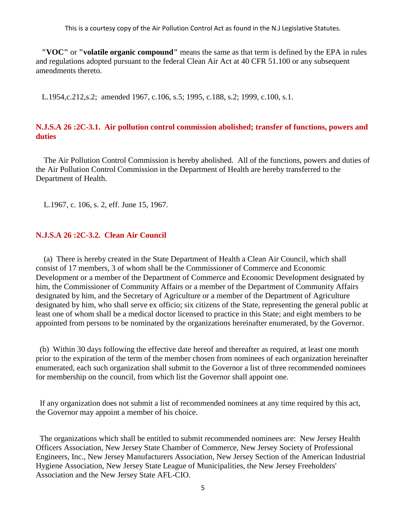**"VOC"** or **"volatile organic compound"** means the same as that term is defined by the EPA in rules and regulations adopted pursuant to the federal Clean Air Act at 40 CFR 51.100 or any subsequent amendments thereto.

L.1954,c.212,s.2; amended 1967, c.106, s.5; 1995, c.188, s.2; 1999, c.100, s.1.

# <span id="page-8-0"></span>**N.J.S.A 26 :2C-3.1. Air pollution control commission abolished; transfer of functions, powers and duties**

The Air Pollution Control Commission is hereby abolished. All of the functions, powers and duties of the Air Pollution Control Commission in the Department of Health are hereby transferred to the Department of Health.

L.1967, c. 106, s. 2, eff. June 15, 1967.

#### <span id="page-8-1"></span>**N.J.S.A 26 :2C-3.2. Clean Air Council**

(a) There is hereby created in the State Department of Health a Clean Air Council, which shall consist of 17 members, 3 of whom shall be the Commissioner of Commerce and Economic Development or a member of the Department of Commerce and Economic Development designated by him, the Commissioner of Community Affairs or a member of the Department of Community Affairs designated by him, and the Secretary of Agriculture or a member of the Department of Agriculture designated by him, who shall serve ex officio; six citizens of the State, representing the general public at least one of whom shall be a medical doctor licensed to practice in this State; and eight members to be appointed from persons to be nominated by the organizations hereinafter enumerated, by the Governor.

(b) Within 30 days following the effective date hereof and thereafter as required, at least one month prior to the expiration of the term of the member chosen from nominees of each organization hereinafter enumerated, each such organization shall submit to the Governor a list of three recommended nominees for membership on the council, from which list the Governor shall appoint one.

If any organization does not submit a list of recommended nominees at any time required by this act, the Governor may appoint a member of his choice.

The organizations which shall be entitled to submit recommended nominees are: New Jersey Health Officers Association, New Jersey State Chamber of Commerce, New Jersey Society of Professional Engineers, Inc., New Jersey Manufacturers Association, New Jersey Section of the American Industrial Hygiene Association, New Jersey State League of Municipalities, the New Jersey Freeholders' Association and the New Jersey State AFL-CIO.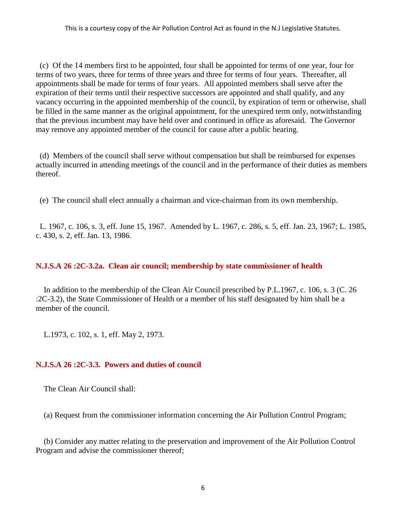(c) Of the 14 members first to be appointed, four shall be appointed for terms of one year, four for terms of two years, three for terms of three years and three for terms of four years. Thereafter, all appointments shall be made for terms of four years. All appointed members shall serve after the expiration of their terms until their respective successors are appointed and shall qualify, and any vacancy occurring in the appointed membership of the council, by expiration of term or otherwise, shall be filled in the same manner as the original appointment, for the unexpired term only, notwithstanding that the previous incumbent may have held over and continued in office as aforesaid. The Governor may remove any appointed member of the council for cause after a public hearing.

(d) Members of the council shall serve without compensation but shall be reimbursed for expenses actually incurred in attending meetings of the council and in the performance of their duties as members thereof.

(e) The council shall elect annually a chairman and vice-chairman from its own membership.

L. 1967, c. 106, s. 3, eff. June 15, 1967. Amended by L. 1967, c. 286, s. 5, eff. Jan. 23, 1967; L. 1985, c. 430, s. 2, eff. Jan. 13, 1986.

# <span id="page-9-0"></span>**N.J.S.A 26 :2C-3.2a. Clean air council; membership by state commissioner of health**

In addition to the membership of the Clean Air Council prescribed by P.L.1967, c. 106, s. 3 (C. 26 :2C-3.2), the State Commissioner of Health or a member of his staff designated by him shall be a member of the council.

L.1973, c. 102, s. 1, eff. May 2, 1973.

# <span id="page-9-1"></span>**N.J.S.A 26 :2C-3.3. Powers and duties of council**

The Clean Air Council shall:

(a) Request from the commissioner information concerning the Air Pollution Control Program;

(b) Consider any matter relating to the preservation and improvement of the Air Pollution Control Program and advise the commissioner thereof;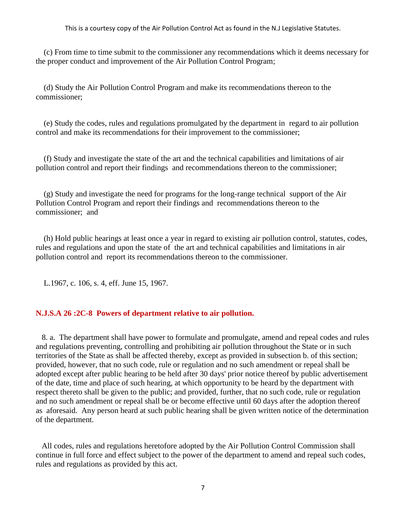(c) From time to time submit to the commissioner any recommendations which it deems necessary for the proper conduct and improvement of the Air Pollution Control Program;

(d) Study the Air Pollution Control Program and make its recommendations thereon to the commissioner;

(e) Study the codes, rules and regulations promulgated by the department in regard to air pollution control and make its recommendations for their improvement to the commissioner;

(f) Study and investigate the state of the art and the technical capabilities and limitations of air pollution control and report their findings and recommendations thereon to the commissioner;

(g) Study and investigate the need for programs for the long-range technical support of the Air Pollution Control Program and report their findings and recommendations thereon to the commissioner; and

(h) Hold public hearings at least once a year in regard to existing air pollution control, statutes, codes, rules and regulations and upon the state of the art and technical capabilities and limitations in air pollution control and report its recommendations thereon to the commissioner.

L.1967, c. 106, s. 4, eff. June 15, 1967.

### <span id="page-10-0"></span>**N.J.S.A 26 :2C-8 Powers of department relative to air pollution.**

 8. a. The department shall have power to formulate and promulgate, amend and repeal codes and rules and regulations preventing, controlling and prohibiting air pollution throughout the State or in such territories of the State as shall be affected thereby, except as provided in subsection b. of this section; provided, however, that no such code, rule or regulation and no such amendment or repeal shall be adopted except after public hearing to be held after 30 days' prior notice thereof by public advertisement of the date, time and place of such hearing, at which opportunity to be heard by the department with respect thereto shall be given to the public; and provided, further, that no such code, rule or regulation and no such amendment or repeal shall be or become effective until 60 days after the adoption thereof as aforesaid. Any person heard at such public hearing shall be given written notice of the determination of the department.

 All codes, rules and regulations heretofore adopted by the Air Pollution Control Commission shall continue in full force and effect subject to the power of the department to amend and repeal such codes, rules and regulations as provided by this act.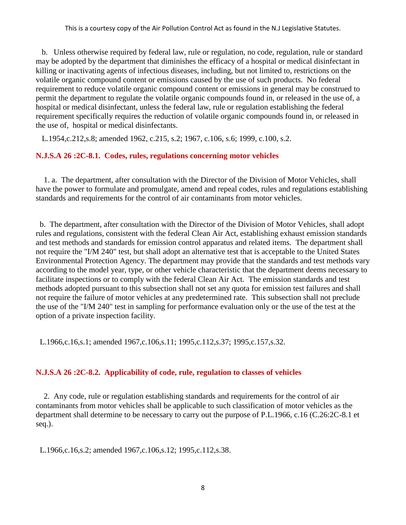b. Unless otherwise required by federal law, rule or regulation, no code, regulation, rule or standard may be adopted by the department that diminishes the efficacy of a hospital or medical disinfectant in killing or inactivating agents of infectious diseases, including, but not limited to, restrictions on the volatile organic compound content or emissions caused by the use of such products. No federal requirement to reduce volatile organic compound content or emissions in general may be construed to permit the department to regulate the volatile organic compounds found in, or released in the use of, a hospital or medical disinfectant, unless the federal law, rule or regulation establishing the federal requirement specifically requires the reduction of volatile organic compounds found in, or released in the use of, hospital or medical disinfectants.

L.1954,c.212,s.8; amended 1962, c.215, s.2; 1967, c.106, s.6; 1999, c.100, s.2.

# <span id="page-11-0"></span>**N.J.S.A 26 :2C-8.1. Codes, rules, regulations concerning motor vehicles**

1. a. The department, after consultation with the Director of the Division of Motor Vehicles, shall have the power to formulate and promulgate, amend and repeal codes, rules and regulations establishing standards and requirements for the control of air contaminants from motor vehicles.

b. The department, after consultation with the Director of the Division of Motor Vehicles, shall adopt rules and regulations, consistent with the federal Clean Air Act, establishing exhaust emission standards and test methods and standards for emission control apparatus and related items. The department shall not require the "I/M 240" test, but shall adopt an alternative test that is acceptable to the United States Environmental Protection Agency. The department may provide that the standards and test methods vary according to the model year, type, or other vehicle characteristic that the department deems necessary to facilitate inspections or to comply with the federal Clean Air Act. The emission standards and test methods adopted pursuant to this subsection shall not set any quota for emission test failures and shall not require the failure of motor vehicles at any predetermined rate. This subsection shall not preclude the use of the "I/M 240" test in sampling for performance evaluation only or the use of the test at the option of a private inspection facility.

L.1966,c.16,s.1; amended 1967,c.106,s.11; 1995,c.112,s.37; 1995,c.157,s.32.

# <span id="page-11-1"></span>**N.J.S.A 26 :2C-8.2. Applicability of code, rule, regulation to classes of vehicles**

2. Any code, rule or regulation establishing standards and requirements for the control of air contaminants from motor vehicles shall be applicable to such classification of motor vehicles as the department shall determine to be necessary to carry out the purpose of P.L.1966, c.16 (C.26:2C-8.1 et seq.).

L.1966,c.16,s.2; amended 1967,c.106,s.12; 1995,c.112,s.38.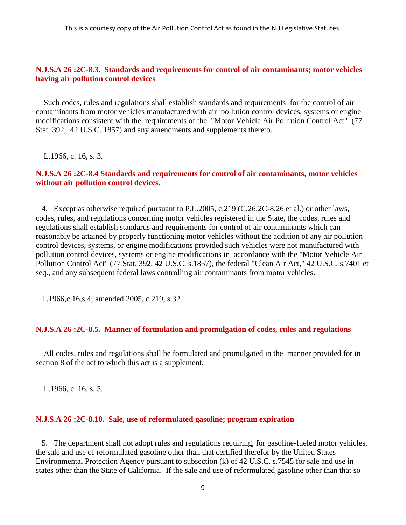### <span id="page-12-0"></span>**N.J.S.A 26 :2C-8.3. Standards and requirements for control of air contaminants; motor vehicles having air pollution control devices**

Such codes, rules and regulations shall establish standards and requirements for the control of air contaminants from motor vehicles manufactured with air pollution control devices, systems or engine modifications consistent with the requirements of the "Motor Vehicle Air Pollution Control Act" (77 Stat. 392, 42 U.S.C. 1857) and any amendments and supplements thereto.

L.1966, c. 16, s. 3.

### <span id="page-12-1"></span>**N.J.S.A 26 :2C-8.4 Standards and requirements for control of air contaminants, motor vehicles without air pollution control devices.**

 4. Except as otherwise required pursuant to P.L.2005, c.219 (C.26:2C-8.26 et al.) or other laws, codes, rules, and regulations concerning motor vehicles registered in the State, the codes, rules and regulations shall establish standards and requirements for control of air contaminants which can reasonably be attained by properly functioning motor vehicles without the addition of any air pollution control devices, systems, or engine modifications provided such vehicles were not manufactured with pollution control devices, systems or engine modifications in accordance with the "Motor Vehicle Air Pollution Control Act" (77 Stat. 392, 42 U.S.C. s.1857), the federal "Clean Air Act," 42 U.S.C. s.7401 et seq., and any subsequent federal laws controlling air contaminants from motor vehicles.

L.1966,c.16,s.4; amended 2005, c.219, s.32.

#### <span id="page-12-2"></span>**N.J.S.A 26 :2C-8.5. Manner of formulation and promulgation of codes, rules and regulations**

All codes, rules and regulations shall be formulated and promulgated in the manner provided for in section 8 of the act to which this act is a supplement.

L.1966, c. 16, s. 5.

#### <span id="page-12-3"></span>**N.J.S.A 26 :2C-8.10. Sale, use of reformulated gasoline; program expiration**

 5. The department shall not adopt rules and regulations requiring, for gasoline-fueled motor vehicles, the sale and use of reformulated gasoline other than that certified therefor by the United States Environmental Protection Agency pursuant to subsection (k) of 42 U.S.C. s.7545 for sale and use in states other than the State of California. If the sale and use of reformulated gasoline other than that so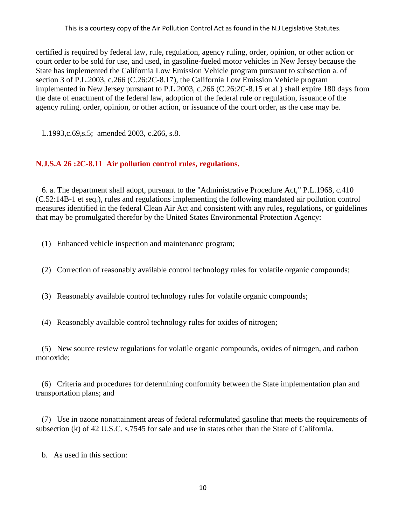certified is required by federal law, rule, regulation, agency ruling, order, opinion, or other action or court order to be sold for use, and used, in gasoline-fueled motor vehicles in New Jersey because the State has implemented the California Low Emission Vehicle program pursuant to subsection a. of section 3 of P.L.2003, c.266 (C.26:2C-8.17), the California Low Emission Vehicle program implemented in New Jersey pursuant to P.L.2003, c.266 (C.26:2C-8.15 et al.) shall expire 180 days from the date of enactment of the federal law, adoption of the federal rule or regulation, issuance of the agency ruling, order, opinion, or other action, or issuance of the court order, as the case may be.

L.1993,c.69,s.5; amended 2003, c.266, s.8.

# <span id="page-13-0"></span>**N.J.S.A 26 :2C-8.11 Air pollution control rules, regulations.**

 6. a. The department shall adopt, pursuant to the "Administrative Procedure Act," P.L.1968, c.410 (C.52:14B-1 et seq.), rules and regulations implementing the following mandated air pollution control measures identified in the federal Clean Air Act and consistent with any rules, regulations, or guidelines that may be promulgated therefor by the United States Environmental Protection Agency:

- (1) Enhanced vehicle inspection and maintenance program;
- (2) Correction of reasonably available control technology rules for volatile organic compounds;
- (3) Reasonably available control technology rules for volatile organic compounds;
- (4) Reasonably available control technology rules for oxides of nitrogen;

 (5) New source review regulations for volatile organic compounds, oxides of nitrogen, and carbon monoxide;

 (6) Criteria and procedures for determining conformity between the State implementation plan and transportation plans; and

 (7) Use in ozone nonattainment areas of federal reformulated gasoline that meets the requirements of subsection (k) of 42 U.S.C. s.7545 for sale and use in states other than the State of California.

b. As used in this section: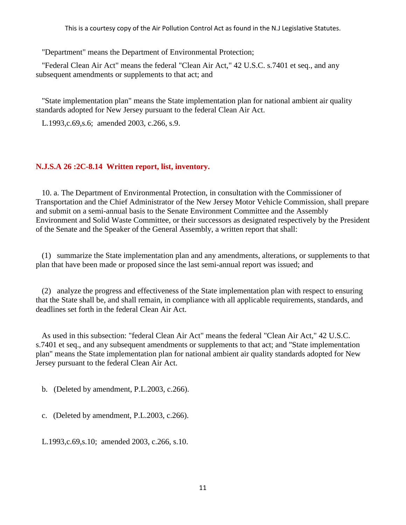"Department" means the Department of Environmental Protection;

 "Federal Clean Air Act" means the federal "Clean Air Act," 42 U.S.C. s.7401 et seq., and any subsequent amendments or supplements to that act; and

 "State implementation plan" means the State implementation plan for national ambient air quality standards adopted for New Jersey pursuant to the federal Clean Air Act.

L.1993,c.69,s.6; amended 2003, c.266, s.9.

# <span id="page-14-0"></span>**N.J.S.A 26 :2C-8.14 Written report, list, inventory.**

 10. a. The Department of Environmental Protection, in consultation with the Commissioner of Transportation and the Chief Administrator of the New Jersey Motor Vehicle Commission, shall prepare and submit on a semi-annual basis to the Senate Environment Committee and the Assembly Environment and Solid Waste Committee, or their successors as designated respectively by the President of the Senate and the Speaker of the General Assembly, a written report that shall:

 (1) summarize the State implementation plan and any amendments, alterations, or supplements to that plan that have been made or proposed since the last semi-annual report was issued; and

 (2) analyze the progress and effectiveness of the State implementation plan with respect to ensuring that the State shall be, and shall remain, in compliance with all applicable requirements, standards, and deadlines set forth in the federal Clean Air Act.

 As used in this subsection: "federal Clean Air Act" means the federal "Clean Air Act," 42 U.S.C. s.7401 et seq., and any subsequent amendments or supplements to that act; and "State implementation plan" means the State implementation plan for national ambient air quality standards adopted for New Jersey pursuant to the federal Clean Air Act.

b. (Deleted by amendment, P.L.2003, c.266).

c. (Deleted by amendment, P.L.2003, c.266).

L.1993,c.69,s.10; amended 2003, c.266, s.10.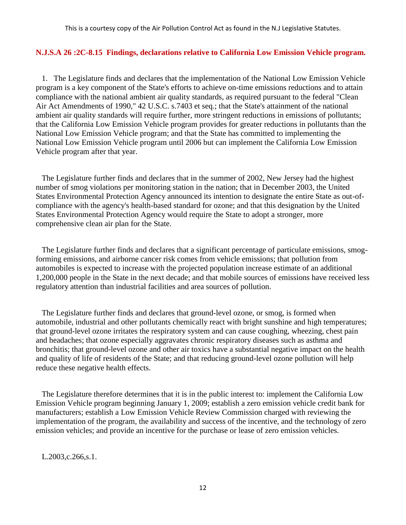### <span id="page-15-0"></span>**N.J.S.A 26 :2C-8.15 Findings, declarations relative to California Low Emission Vehicle program.**

 1. The Legislature finds and declares that the implementation of the National Low Emission Vehicle program is a key component of the State's efforts to achieve on-time emissions reductions and to attain compliance with the national ambient air quality standards, as required pursuant to the federal "Clean Air Act Amendments of 1990," 42 U.S.C. s.7403 et seq.; that the State's attainment of the national ambient air quality standards will require further, more stringent reductions in emissions of pollutants; that the California Low Emission Vehicle program provides for greater reductions in pollutants than the National Low Emission Vehicle program; and that the State has committed to implementing the National Low Emission Vehicle program until 2006 but can implement the California Low Emission Vehicle program after that year.

 The Legislature further finds and declares that in the summer of 2002, New Jersey had the highest number of smog violations per monitoring station in the nation; that in December 2003, the United States Environmental Protection Agency announced its intention to designate the entire State as out-ofcompliance with the agency's health-based standard for ozone; and that this designation by the United States Environmental Protection Agency would require the State to adopt a stronger, more comprehensive clean air plan for the State.

 The Legislature further finds and declares that a significant percentage of particulate emissions, smogforming emissions, and airborne cancer risk comes from vehicle emissions; that pollution from automobiles is expected to increase with the projected population increase estimate of an additional 1,200,000 people in the State in the next decade; and that mobile sources of emissions have received less regulatory attention than industrial facilities and area sources of pollution.

 The Legislature further finds and declares that ground-level ozone, or smog, is formed when automobile, industrial and other pollutants chemically react with bright sunshine and high temperatures; that ground-level ozone irritates the respiratory system and can cause coughing, wheezing, chest pain and headaches; that ozone especially aggravates chronic respiratory diseases such as asthma and bronchitis; that ground-level ozone and other air toxics have a substantial negative impact on the health and quality of life of residents of the State; and that reducing ground-level ozone pollution will help reduce these negative health effects.

 The Legislature therefore determines that it is in the public interest to: implement the California Low Emission Vehicle program beginning January 1, 2009; establish a zero emission vehicle credit bank for manufacturers; establish a Low Emission Vehicle Review Commission charged with reviewing the implementation of the program, the availability and success of the incentive, and the technology of zero emission vehicles; and provide an incentive for the purchase or lease of zero emission vehicles.

L.2003,c.266,s.1.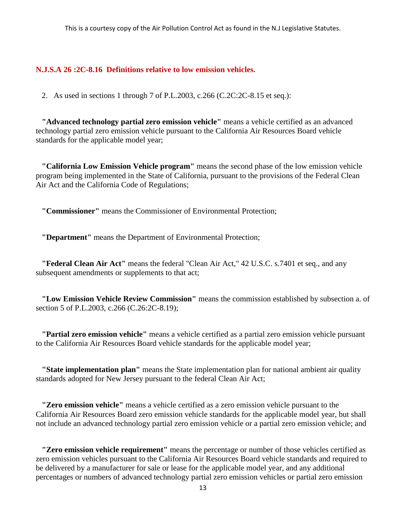#### <span id="page-16-0"></span>**N.J.S.A 26 :2C-8.16 Definitions relative to low emission vehicles.**

2. As used in sections 1 through 7 of P.L.2003, c.266 (C.2C:2C-8.15 et seq.):

 **"Advanced technology partial zero emission vehicle"** means a vehicle certified as an advanced technology partial zero emission vehicle pursuant to the California Air Resources Board vehicle standards for the applicable model year;

 **"California Low Emission Vehicle program"** means the second phase of the low emission vehicle program being implemented in the State of California, pursuant to the provisions of the Federal Clean Air Act and the California Code of Regulations;

**"Commissioner"** means the Commissioner of Environmental Protection;

 **"Department"** means the Department of Environmental Protection;

 **"Federal Clean Air Act"** means the federal "Clean Air Act," 42 U.S.C. s.7401 et seq., and any subsequent amendments or supplements to that act;

 **"Low Emission Vehicle Review Commission"** means the commission established by subsection a. of section 5 of P.L.2003, c.266 (C.26:2C-8.19);

 **"Partial zero emission vehicle"** means a vehicle certified as a partial zero emission vehicle pursuant to the California Air Resources Board vehicle standards for the applicable model year;

 **"State implementation plan"** means the State implementation plan for national ambient air quality standards adopted for New Jersey pursuant to the federal Clean Air Act;

 **"Zero emission vehicle"** means a vehicle certified as a zero emission vehicle pursuant to the California Air Resources Board zero emission vehicle standards for the applicable model year, but shall not include an advanced technology partial zero emission vehicle or a partial zero emission vehicle; and

 **"Zero emission vehicle requirement"** means the percentage or number of those vehicles certified as zero emission vehicles pursuant to the California Air Resources Board vehicle standards and required to be delivered by a manufacturer for sale or lease for the applicable model year, and any additional percentages or numbers of advanced technology partial zero emission vehicles or partial zero emission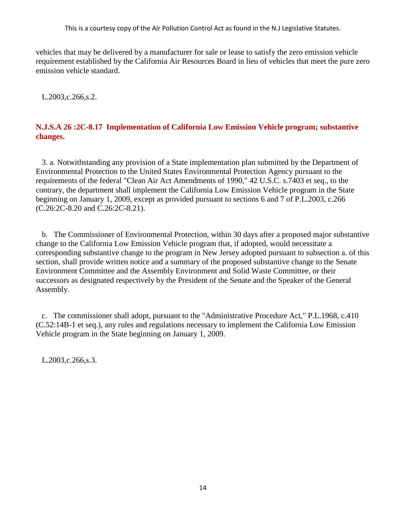vehicles that may be delivered by a manufacturer for sale or lease to satisfy the zero emission vehicle requirement established by the California Air Resources Board in lieu of vehicles that meet the pure zero emission vehicle standard.

L.2003,c.266,s.2.

# <span id="page-17-0"></span>**N.J.S.A 26 :2C-8.17 Implementation of California Low Emission Vehicle program; substantive changes.**

 3. a. Notwithstanding any provision of a State implementation plan submitted by the Department of Environmental Protection to the United States Environmental Protection Agency pursuant to the requirements of the federal "Clean Air Act Amendments of 1990," 42 U.S.C. s.7403 et seq., to the contrary, the department shall implement the California Low Emission Vehicle program in the State beginning on January 1, 2009, except as provided pursuant to sections 6 and 7 of P.L.2003, c.266 (C.26:2C-8.20 and C.26:2C-8.21).

 b. The Commissioner of Environmental Protection, within 30 days after a proposed major substantive change to the California Low Emission Vehicle program that, if adopted, would necessitate a corresponding substantive change to the program in New Jersey adopted pursuant to subsection a. of this section, shall provide written notice and a summary of the proposed substantive change to the Senate Environment Committee and the Assembly Environment and Solid Waste Committee, or their successors as designated respectively by the President of the Senate and the Speaker of the General Assembly.

 c. The commissioner shall adopt, pursuant to the "Administrative Procedure Act," P.L.1968, c.410 (C.52:14B-1 et seq.), any rules and regulations necessary to implement the California Low Emission Vehicle program in the State beginning on January 1, 2009.

L.2003,c.266,s.3.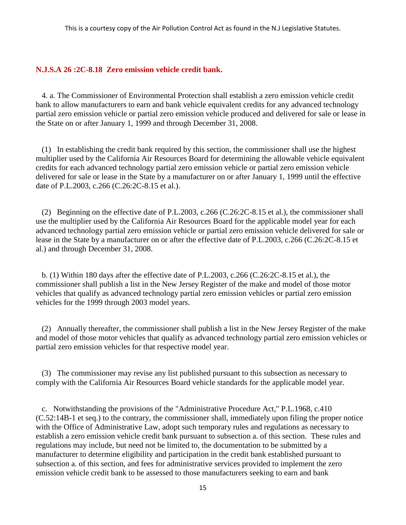# <span id="page-18-0"></span>**N.J.S.A 26 :2C-8.18 Zero emission vehicle credit bank.**

 4. a. The Commissioner of Environmental Protection shall establish a zero emission vehicle credit bank to allow manufacturers to earn and bank vehicle equivalent credits for any advanced technology partial zero emission vehicle or partial zero emission vehicle produced and delivered for sale or lease in the State on or after January 1, 1999 and through December 31, 2008.

 (1) In establishing the credit bank required by this section, the commissioner shall use the highest multiplier used by the California Air Resources Board for determining the allowable vehicle equivalent credits for each advanced technology partial zero emission vehicle or partial zero emission vehicle delivered for sale or lease in the State by a manufacturer on or after January 1, 1999 until the effective date of P.L.2003, c.266 (C.26:2C-8.15 et al.).

 (2) Beginning on the effective date of P.L.2003, c.266 (C.26:2C-8.15 et al.), the commissioner shall use the multiplier used by the California Air Resources Board for the applicable model year for each advanced technology partial zero emission vehicle or partial zero emission vehicle delivered for sale or lease in the State by a manufacturer on or after the effective date of P.L.2003, c.266 (C.26:2C-8.15 et al.) and through December 31, 2008.

 b. (1) Within 180 days after the effective date of P.L.2003, c.266 (C.26:2C-8.15 et al.), the commissioner shall publish a list in the New Jersey Register of the make and model of those motor vehicles that qualify as advanced technology partial zero emission vehicles or partial zero emission vehicles for the 1999 through 2003 model years.

 (2) Annually thereafter, the commissioner shall publish a list in the New Jersey Register of the make and model of those motor vehicles that qualify as advanced technology partial zero emission vehicles or partial zero emission vehicles for that respective model year.

 (3) The commissioner may revise any list published pursuant to this subsection as necessary to comply with the California Air Resources Board vehicle standards for the applicable model year.

 c. Notwithstanding the provisions of the "Administrative Procedure Act," P.L.1968, c.410 (C.52:14B-1 et seq.) to the contrary, the commissioner shall, immediately upon filing the proper notice with the Office of Administrative Law, adopt such temporary rules and regulations as necessary to establish a zero emission vehicle credit bank pursuant to subsection a. of this section. These rules and regulations may include, but need not be limited to, the documentation to be submitted by a manufacturer to determine eligibility and participation in the credit bank established pursuant to subsection a. of this section, and fees for administrative services provided to implement the zero emission vehicle credit bank to be assessed to those manufacturers seeking to earn and bank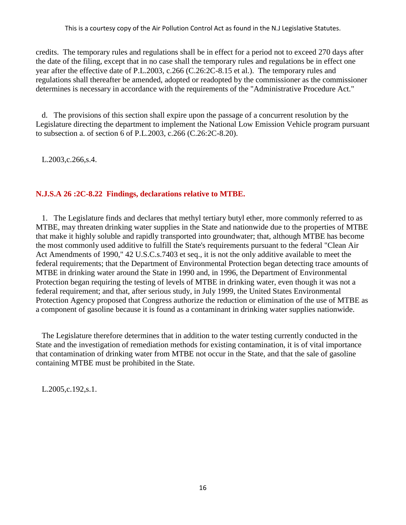credits. The temporary rules and regulations shall be in effect for a period not to exceed 270 days after the date of the filing, except that in no case shall the temporary rules and regulations be in effect one year after the effective date of P.L.2003, c.266 (C.26:2C-8.15 et al.). The temporary rules and regulations shall thereafter be amended, adopted or readopted by the commissioner as the commissioner determines is necessary in accordance with the requirements of the "Administrative Procedure Act."

 d. The provisions of this section shall expire upon the passage of a concurrent resolution by the Legislature directing the department to implement the National Low Emission Vehicle program pursuant to subsection a. of section 6 of P.L.2003, c.266 (C.26:2C-8.20).

L.2003,c.266,s.4.

# <span id="page-19-0"></span>**N.J.S.A 26 :2C-8.22 Findings, declarations relative to MTBE.**

 1. The Legislature finds and declares that methyl tertiary butyl ether, more commonly referred to as MTBE, may threaten drinking water supplies in the State and nationwide due to the properties of MTBE that make it highly soluble and rapidly transported into groundwater; that, although MTBE has become the most commonly used additive to fulfill the State's requirements pursuant to the federal "Clean Air Act Amendments of 1990," 42 U.S.C.s.7403 et seq., it is not the only additive available to meet the federal requirements; that the Department of Environmental Protection began detecting trace amounts of MTBE in drinking water around the State in 1990 and, in 1996, the Department of Environmental Protection began requiring the testing of levels of MTBE in drinking water, even though it was not a federal requirement; and that, after serious study, in July 1999, the United States Environmental Protection Agency proposed that Congress authorize the reduction or elimination of the use of MTBE as a component of gasoline because it is found as a contaminant in drinking water supplies nationwide.

 The Legislature therefore determines that in addition to the water testing currently conducted in the State and the investigation of remediation methods for existing contamination, it is of vital importance that contamination of drinking water from MTBE not occur in the State, and that the sale of gasoline containing MTBE must be prohibited in the State.

L.2005,c.192,s.1.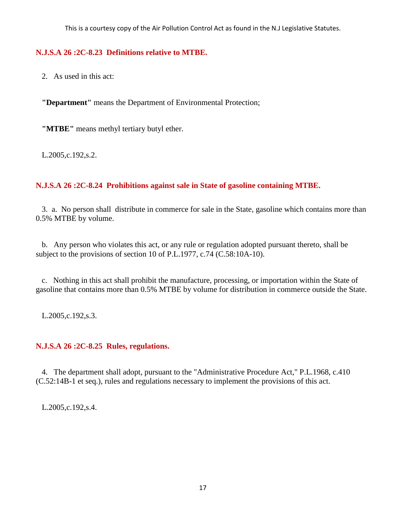# <span id="page-20-0"></span>**N.J.S.A 26 :2C-8.23 Definitions relative to MTBE.**

2. As used in this act:

 **"Department"** means the Department of Environmental Protection;

**"MTBE"** means methyl tertiary butyl ether.

L.2005,c.192,s.2.

# <span id="page-20-1"></span>**N.J.S.A 26 :2C-8.24 Prohibitions against sale in State of gasoline containing MTBE.**

 3. a. No person shall distribute in commerce for sale in the State, gasoline which contains more than 0.5% MTBE by volume.

 b. Any person who violates this act, or any rule or regulation adopted pursuant thereto, shall be subject to the provisions of section 10 of P.L.1977, c.74 (C.58:10A-10).

 c. Nothing in this act shall prohibit the manufacture, processing, or importation within the State of gasoline that contains more than 0.5% MTBE by volume for distribution in commerce outside the State.

L.2005,c.192,s.3.

# <span id="page-20-2"></span>**N.J.S.A 26 :2C-8.25 Rules, regulations.**

 4. The department shall adopt, pursuant to the "Administrative Procedure Act," P.L.1968, c.410 (C.52:14B-1 et seq.), rules and regulations necessary to implement the provisions of this act.

L.2005,c.192,s.4.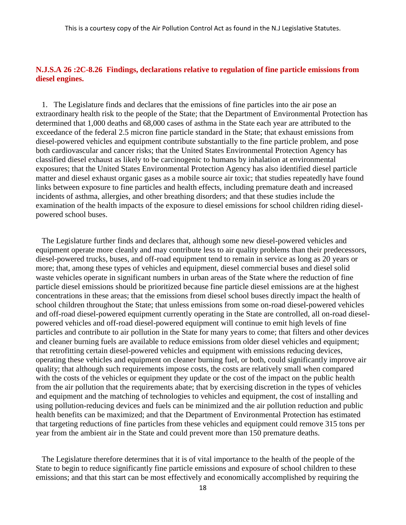# <span id="page-21-0"></span>**N.J.S.A 26 :2C-8.26 Findings, declarations relative to regulation of fine particle emissions from diesel engines.**

 1. The Legislature finds and declares that the emissions of fine particles into the air pose an extraordinary health risk to the people of the State; that the Department of Environmental Protection has determined that 1,000 deaths and 68,000 cases of asthma in the State each year are attributed to the exceedance of the federal 2.5 micron fine particle standard in the State; that exhaust emissions from diesel-powered vehicles and equipment contribute substantially to the fine particle problem, and pose both cardiovascular and cancer risks; that the United States Environmental Protection Agency has classified diesel exhaust as likely to be carcinogenic to humans by inhalation at environmental exposures; that the United States Environmental Protection Agency has also identified diesel particle matter and diesel exhaust organic gases as a mobile source air toxic; that studies repeatedly have found links between exposure to fine particles and health effects, including premature death and increased incidents of asthma, allergies, and other breathing disorders; and that these studies include the examination of the health impacts of the exposure to diesel emissions for school children riding dieselpowered school buses.

 The Legislature further finds and declares that, although some new diesel-powered vehicles and equipment operate more cleanly and may contribute less to air quality problems than their predecessors, diesel-powered trucks, buses, and off-road equipment tend to remain in service as long as 20 years or more; that, among these types of vehicles and equipment, diesel commercial buses and diesel solid waste vehicles operate in significant numbers in urban areas of the State where the reduction of fine particle diesel emissions should be prioritized because fine particle diesel emissions are at the highest concentrations in these areas; that the emissions from diesel school buses directly impact the health of school children throughout the State; that unless emissions from some on-road diesel-powered vehicles and off-road diesel-powered equipment currently operating in the State are controlled, all on-road dieselpowered vehicles and off-road diesel-powered equipment will continue to emit high levels of fine particles and contribute to air pollution in the State for many years to come; that filters and other devices and cleaner burning fuels are available to reduce emissions from older diesel vehicles and equipment; that retrofitting certain diesel-powered vehicles and equipment with emissions reducing devices, operating these vehicles and equipment on cleaner burning fuel, or both, could significantly improve air quality; that although such requirements impose costs, the costs are relatively small when compared with the costs of the vehicles or equipment they update or the cost of the impact on the public health from the air pollution that the requirements abate; that by exercising discretion in the types of vehicles and equipment and the matching of technologies to vehicles and equipment, the cost of installing and using pollution-reducing devices and fuels can be minimized and the air pollution reduction and public health benefits can be maximized; and that the Department of Environmental Protection has estimated that targeting reductions of fine particles from these vehicles and equipment could remove 315 tons per year from the ambient air in the State and could prevent more than 150 premature deaths.

 The Legislature therefore determines that it is of vital importance to the health of the people of the State to begin to reduce significantly fine particle emissions and exposure of school children to these emissions; and that this start can be most effectively and economically accomplished by requiring the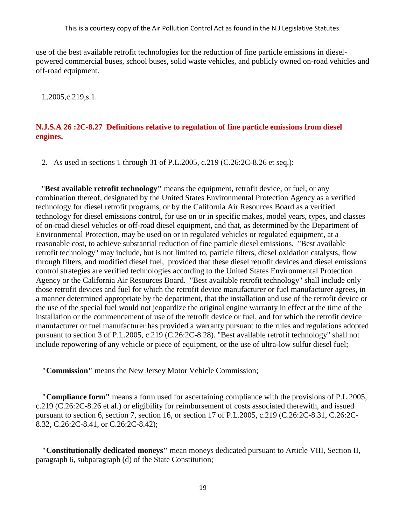use of the best available retrofit technologies for the reduction of fine particle emissions in dieselpowered commercial buses, school buses, solid waste vehicles, and publicly owned on-road vehicles and off-road equipment.

L.2005,c.219,s.1.

### <span id="page-22-0"></span>**N.J.S.A 26 :2C-8.27 Definitions relative to regulation of fine particle emissions from diesel engines.**

2. As used in sections 1 through 31 of P.L.2005, c.219 (C.26:2C-8.26 et seq.):

 "**Best available retrofit technology"** means the equipment, retrofit device, or fuel, or any combination thereof, designated by the United States Environmental Protection Agency as a verified technology for diesel retrofit programs, or by the California Air Resources Board as a verified technology for diesel emissions control, for use on or in specific makes, model years, types, and classes of on-road diesel vehicles or off-road diesel equipment, and that, as determined by the Department of Environmental Protection, may be used on or in regulated vehicles or regulated equipment, at a reasonable cost, to achieve substantial reduction of fine particle diesel emissions. "Best available retrofit technology" may include, but is not limited to, particle filters, diesel oxidation catalysts, flow through filters, and modified diesel fuel, provided that these diesel retrofit devices and diesel emissions control strategies are verified technologies according to the United States Environmental Protection Agency or the California Air Resources Board. "Best available retrofit technology" shall include only those retrofit devices and fuel for which the retrofit device manufacturer or fuel manufacturer agrees, in a manner determined appropriate by the department, that the installation and use of the retrofit device or the use of the special fuel would not jeopardize the original engine warranty in effect at the time of the installation or the commencement of use of the retrofit device or fuel, and for which the retrofit device manufacturer or fuel manufacturer has provided a warranty pursuant to the rules and regulations adopted pursuant to section 3 of P.L.2005, c.219 (C.26:2C-8.28). "Best available retrofit technology" shall not include repowering of any vehicle or piece of equipment, or the use of ultra-low sulfur diesel fuel;

 **"Commission"** means the New Jersey Motor Vehicle Commission;

 **"Compliance form"** means a form used for ascertaining compliance with the provisions of P.L.2005, c.219 (C.26:2C-8.26 et al.) or eligibility for reimbursement of costs associated therewith, and issued pursuant to section 6, section 7, section 16, or section 17 of P.L.2005, c.219 (C.26:2C-8.31, C.26:2C-8.32, C.26:2C-8.41, or C.26:2C-8.42);

 **"Constitutionally dedicated moneys"** mean moneys dedicated pursuant to Article VIII, Section II, paragraph 6, subparagraph (d) of the State Constitution;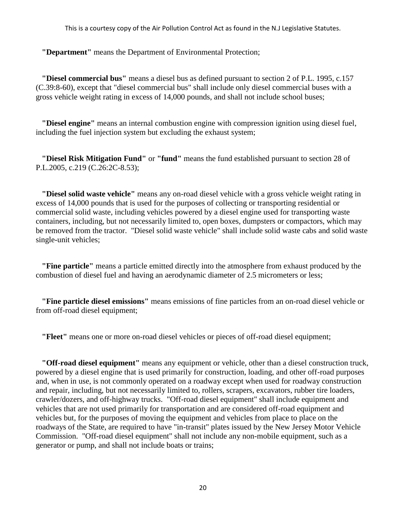**"Department"** means the Department of Environmental Protection;

 **"Diesel commercial bus"** means a diesel bus as defined pursuant to section 2 of P.L. 1995, c.157 (C.39:8-60), except that "diesel commercial bus" shall include only diesel commercial buses with a gross vehicle weight rating in excess of 14,000 pounds, and shall not include school buses;

 **"Diesel engine"** means an internal combustion engine with compression ignition using diesel fuel, including the fuel injection system but excluding the exhaust system;

 **"Diesel Risk Mitigation Fund"** or **"fund"** means the fund established pursuant to section 28 of P.L.2005, c.219 (C.26:2C-8.53);

 **"Diesel solid waste vehicle"** means any on-road diesel vehicle with a gross vehicle weight rating in excess of 14,000 pounds that is used for the purposes of collecting or transporting residential or commercial solid waste, including vehicles powered by a diesel engine used for transporting waste containers, including, but not necessarily limited to, open boxes, dumpsters or compactors, which may be removed from the tractor. "Diesel solid waste vehicle" shall include solid waste cabs and solid waste single-unit vehicles;

 **"Fine particle"** means a particle emitted directly into the atmosphere from exhaust produced by the combustion of diesel fuel and having an aerodynamic diameter of 2.5 micrometers or less;

 **"Fine particle diesel emissions"** means emissions of fine particles from an on-road diesel vehicle or from off-road diesel equipment;

 **"Fleet"** means one or more on-road diesel vehicles or pieces of off-road diesel equipment;

 **"Off-road diesel equipment"** means any equipment or vehicle, other than a diesel construction truck, powered by a diesel engine that is used primarily for construction, loading, and other off-road purposes and, when in use, is not commonly operated on a roadway except when used for roadway construction and repair, including, but not necessarily limited to, rollers, scrapers, excavators, rubber tire loaders, crawler/dozers, and off-highway trucks. "Off-road diesel equipment" shall include equipment and vehicles that are not used primarily for transportation and are considered off-road equipment and vehicles but, for the purposes of moving the equipment and vehicles from place to place on the roadways of the State, are required to have "in-transit" plates issued by the New Jersey Motor Vehicle Commission. "Off-road diesel equipment" shall not include any non-mobile equipment, such as a generator or pump, and shall not include boats or trains;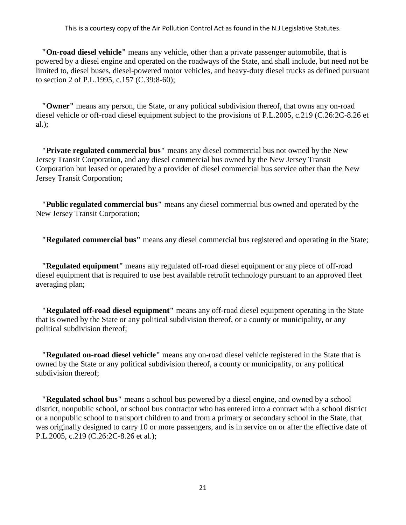**"On-road diesel vehicle"** means any vehicle, other than a private passenger automobile, that is powered by a diesel engine and operated on the roadways of the State, and shall include, but need not be limited to, diesel buses, diesel-powered motor vehicles, and heavy-duty diesel trucks as defined pursuant to section 2 of P.L.1995, c.157 (C.39:8-60);

 **"Owner"** means any person, the State, or any political subdivision thereof, that owns any on-road diesel vehicle or off-road diesel equipment subject to the provisions of P.L.2005, c.219 (C.26:2C-8.26 et al.);

 **"Private regulated commercial bus"** means any diesel commercial bus not owned by the New Jersey Transit Corporation, and any diesel commercial bus owned by the New Jersey Transit Corporation but leased or operated by a provider of diesel commercial bus service other than the New Jersey Transit Corporation;

 **"Public regulated commercial bus"** means any diesel commercial bus owned and operated by the New Jersey Transit Corporation;

 **"Regulated commercial bus"** means any diesel commercial bus registered and operating in the State;

 **"Regulated equipment"** means any regulated off-road diesel equipment or any piece of off-road diesel equipment that is required to use best available retrofit technology pursuant to an approved fleet averaging plan;

 **"Regulated off-road diesel equipment"** means any off-road diesel equipment operating in the State that is owned by the State or any political subdivision thereof, or a county or municipality, or any political subdivision thereof;

 **"Regulated on-road diesel vehicle"** means any on-road diesel vehicle registered in the State that is owned by the State or any political subdivision thereof, a county or municipality, or any political subdivision thereof;

 **"Regulated school bus"** means a school bus powered by a diesel engine, and owned by a school district, nonpublic school, or school bus contractor who has entered into a contract with a school district or a nonpublic school to transport children to and from a primary or secondary school in the State, that was originally designed to carry 10 or more passengers, and is in service on or after the effective date of P.L.2005, c.219 (C.26:2C-8.26 et al.);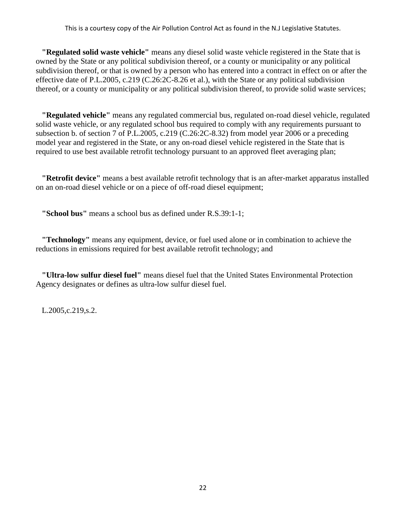**"Regulated solid waste vehicle"** means any diesel solid waste vehicle registered in the State that is owned by the State or any political subdivision thereof, or a county or municipality or any political subdivision thereof, or that is owned by a person who has entered into a contract in effect on or after the effective date of P.L.2005, c.219 (C.26:2C-8.26 et al.), with the State or any political subdivision thereof, or a county or municipality or any political subdivision thereof, to provide solid waste services;

 **"Regulated vehicle"** means any regulated commercial bus, regulated on-road diesel vehicle, regulated solid waste vehicle, or any regulated school bus required to comply with any requirements pursuant to subsection b. of section 7 of P.L.2005, c.219 (C.26:2C-8.32) from model year 2006 or a preceding model year and registered in the State, or any on-road diesel vehicle registered in the State that is required to use best available retrofit technology pursuant to an approved fleet averaging plan;

 **"Retrofit device"** means a best available retrofit technology that is an after-market apparatus installed on an on-road diesel vehicle or on a piece of off-road diesel equipment;

 **"School bus"** means a school bus as defined under R.S.39:1-1;

 **"Technology"** means any equipment, device, or fuel used alone or in combination to achieve the reductions in emissions required for best available retrofit technology; and

 **"Ultra-low sulfur diesel fuel"** means diesel fuel that the United States Environmental Protection Agency designates or defines as ultra-low sulfur diesel fuel.

L.2005,c.219,s.2.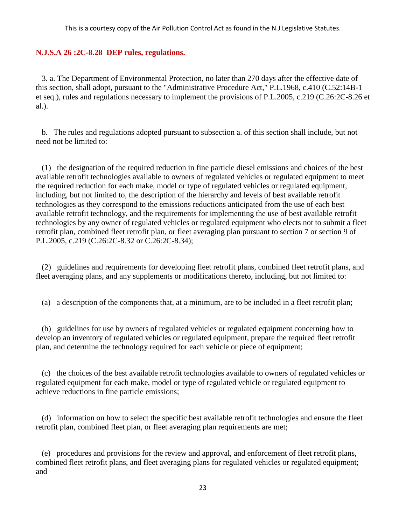### <span id="page-26-0"></span>**N.J.S.A 26 :2C-8.28 DEP rules, regulations.**

 3. a. The Department of Environmental Protection, no later than 270 days after the effective date of this section, shall adopt, pursuant to the "Administrative Procedure Act," P.L.1968, c.410 (C.52:14B-1 et seq.), rules and regulations necessary to implement the provisions of P.L.2005, c.219 (C.26:2C-8.26 et al.).

 b. The rules and regulations adopted pursuant to subsection a. of this section shall include, but not need not be limited to:

 (1) the designation of the required reduction in fine particle diesel emissions and choices of the best available retrofit technologies available to owners of regulated vehicles or regulated equipment to meet the required reduction for each make, model or type of regulated vehicles or regulated equipment, including, but not limited to, the description of the hierarchy and levels of best available retrofit technologies as they correspond to the emissions reductions anticipated from the use of each best available retrofit technology, and the requirements for implementing the use of best available retrofit technologies by any owner of regulated vehicles or regulated equipment who elects not to submit a fleet retrofit plan, combined fleet retrofit plan, or fleet averaging plan pursuant to section 7 or section 9 of P.L.2005, c.219 (C.26:2C-8.32 or C.26:2C-8.34);

 (2) guidelines and requirements for developing fleet retrofit plans, combined fleet retrofit plans, and fleet averaging plans, and any supplements or modifications thereto, including, but not limited to:

(a) a description of the components that, at a minimum, are to be included in a fleet retrofit plan;

 (b) guidelines for use by owners of regulated vehicles or regulated equipment concerning how to develop an inventory of regulated vehicles or regulated equipment, prepare the required fleet retrofit plan, and determine the technology required for each vehicle or piece of equipment;

 (c) the choices of the best available retrofit technologies available to owners of regulated vehicles or regulated equipment for each make, model or type of regulated vehicle or regulated equipment to achieve reductions in fine particle emissions;

 (d) information on how to select the specific best available retrofit technologies and ensure the fleet retrofit plan, combined fleet plan, or fleet averaging plan requirements are met;

 (e) procedures and provisions for the review and approval, and enforcement of fleet retrofit plans, combined fleet retrofit plans, and fleet averaging plans for regulated vehicles or regulated equipment; and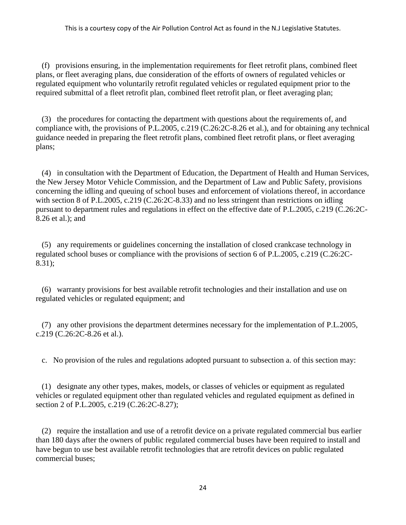(f) provisions ensuring, in the implementation requirements for fleet retrofit plans, combined fleet plans, or fleet averaging plans, due consideration of the efforts of owners of regulated vehicles or regulated equipment who voluntarily retrofit regulated vehicles or regulated equipment prior to the required submittal of a fleet retrofit plan, combined fleet retrofit plan, or fleet averaging plan;

 (3) the procedures for contacting the department with questions about the requirements of, and compliance with, the provisions of P.L.2005, c.219 (C.26:2C-8.26 et al.), and for obtaining any technical guidance needed in preparing the fleet retrofit plans, combined fleet retrofit plans, or fleet averaging plans;

 (4) in consultation with the Department of Education, the Department of Health and Human Services, the New Jersey Motor Vehicle Commission, and the Department of Law and Public Safety, provisions concerning the idling and queuing of school buses and enforcement of violations thereof, in accordance with section 8 of P.L.2005, c.219 (C.26:2C-8.33) and no less stringent than restrictions on idling pursuant to department rules and regulations in effect on the effective date of P.L.2005, c.219 (C.26:2C-8.26 et al.); and

 (5) any requirements or guidelines concerning the installation of closed crankcase technology in regulated school buses or compliance with the provisions of section 6 of P.L.2005, c.219 (C.26:2C-8.31);

 (6) warranty provisions for best available retrofit technologies and their installation and use on regulated vehicles or regulated equipment; and

 (7) any other provisions the department determines necessary for the implementation of P.L.2005, c.219 (C.26:2C-8.26 et al.).

c. No provision of the rules and regulations adopted pursuant to subsection a. of this section may:

 (1) designate any other types, makes, models, or classes of vehicles or equipment as regulated vehicles or regulated equipment other than regulated vehicles and regulated equipment as defined in section 2 of P.L.2005, c.219 (C.26:2C-8.27);

 (2) require the installation and use of a retrofit device on a private regulated commercial bus earlier than 180 days after the owners of public regulated commercial buses have been required to install and have begun to use best available retrofit technologies that are retrofit devices on public regulated commercial buses;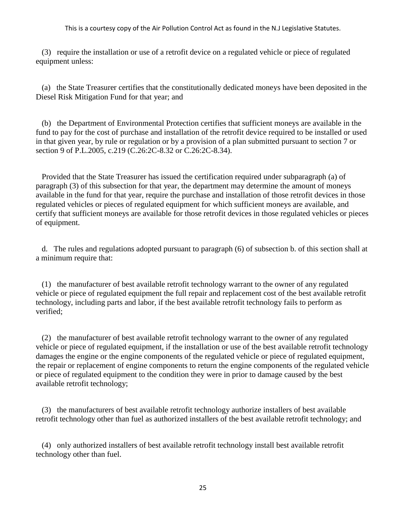(3) require the installation or use of a retrofit device on a regulated vehicle or piece of regulated equipment unless:

 (a) the State Treasurer certifies that the constitutionally dedicated moneys have been deposited in the Diesel Risk Mitigation Fund for that year; and

 (b) the Department of Environmental Protection certifies that sufficient moneys are available in the fund to pay for the cost of purchase and installation of the retrofit device required to be installed or used in that given year, by rule or regulation or by a provision of a plan submitted pursuant to section 7 or section 9 of P.L.2005, c.219 (C.26:2C-8.32 or C.26:2C-8.34).

 Provided that the State Treasurer has issued the certification required under subparagraph (a) of paragraph (3) of this subsection for that year, the department may determine the amount of moneys available in the fund for that year, require the purchase and installation of those retrofit devices in those regulated vehicles or pieces of regulated equipment for which sufficient moneys are available, and certify that sufficient moneys are available for those retrofit devices in those regulated vehicles or pieces of equipment.

 d. The rules and regulations adopted pursuant to paragraph (6) of subsection b. of this section shall at a minimum require that:

 (1) the manufacturer of best available retrofit technology warrant to the owner of any regulated vehicle or piece of regulated equipment the full repair and replacement cost of the best available retrofit technology, including parts and labor, if the best available retrofit technology fails to perform as verified;

 (2) the manufacturer of best available retrofit technology warrant to the owner of any regulated vehicle or piece of regulated equipment, if the installation or use of the best available retrofit technology damages the engine or the engine components of the regulated vehicle or piece of regulated equipment, the repair or replacement of engine components to return the engine components of the regulated vehicle or piece of regulated equipment to the condition they were in prior to damage caused by the best available retrofit technology;

 (3) the manufacturers of best available retrofit technology authorize installers of best available retrofit technology other than fuel as authorized installers of the best available retrofit technology; and

 (4) only authorized installers of best available retrofit technology install best available retrofit technology other than fuel.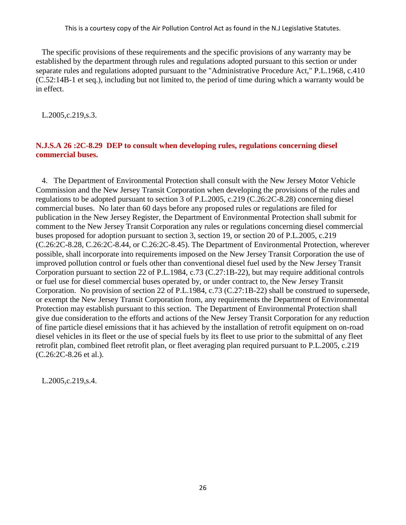The specific provisions of these requirements and the specific provisions of any warranty may be established by the department through rules and regulations adopted pursuant to this section or under separate rules and regulations adopted pursuant to the "Administrative Procedure Act," P.L.1968, c.410 (C.52:14B-1 et seq.), including but not limited to, the period of time during which a warranty would be in effect.

L.2005,c.219,s.3.

# <span id="page-29-0"></span>**N.J.S.A 26 :2C-8.29 DEP to consult when developing rules, regulations concerning diesel commercial buses.**

 4. The Department of Environmental Protection shall consult with the New Jersey Motor Vehicle Commission and the New Jersey Transit Corporation when developing the provisions of the rules and regulations to be adopted pursuant to section 3 of P.L.2005, c.219 (C.26:2C-8.28) concerning diesel commercial buses. No later than 60 days before any proposed rules or regulations are filed for publication in the New Jersey Register, the Department of Environmental Protection shall submit for comment to the New Jersey Transit Corporation any rules or regulations concerning diesel commercial buses proposed for adoption pursuant to section 3, section 19, or section 20 of P.L.2005, c.219 (C.26:2C-8.28, C.26:2C-8.44, or C.26:2C-8.45). The Department of Environmental Protection, wherever possible, shall incorporate into requirements imposed on the New Jersey Transit Corporation the use of improved pollution control or fuels other than conventional diesel fuel used by the New Jersey Transit Corporation pursuant to section 22 of P.L.1984, c.73 (C.27:1B-22), but may require additional controls or fuel use for diesel commercial buses operated by, or under contract to, the New Jersey Transit Corporation. No provision of section 22 of P.L.1984, c.73 (C.27:1B-22) shall be construed to supersede, or exempt the New Jersey Transit Corporation from, any requirements the Department of Environmental Protection may establish pursuant to this section. The Department of Environmental Protection shall give due consideration to the efforts and actions of the New Jersey Transit Corporation for any reduction of fine particle diesel emissions that it has achieved by the installation of retrofit equipment on on-road diesel vehicles in its fleet or the use of special fuels by its fleet to use prior to the submittal of any fleet retrofit plan, combined fleet retrofit plan, or fleet averaging plan required pursuant to P.L.2005, c.219 (C.26:2C-8.26 et al.).

L.2005,c.219,s.4.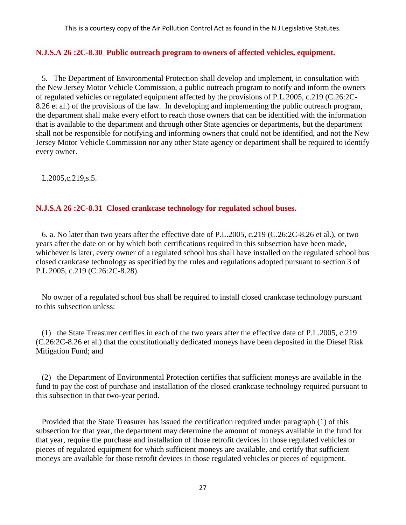### <span id="page-30-0"></span>**N.J.S.A 26 :2C-8.30 Public outreach program to owners of affected vehicles, equipment.**

 5. The Department of Environmental Protection shall develop and implement, in consultation with the New Jersey Motor Vehicle Commission, a public outreach program to notify and inform the owners of regulated vehicles or regulated equipment affected by the provisions of P.L.2005, c.219 (C.26:2C-8.26 et al.) of the provisions of the law. In developing and implementing the public outreach program, the department shall make every effort to reach those owners that can be identified with the information that is available to the department and through other State agencies or departments, but the department shall not be responsible for notifying and informing owners that could not be identified, and not the New Jersey Motor Vehicle Commission nor any other State agency or department shall be required to identify every owner.

L.2005,c.219,s.5.

# <span id="page-30-1"></span>**N.J.S.A 26 :2C-8.31 Closed crankcase technology for regulated school buses.**

 6. a. No later than two years after the effective date of P.L.2005, c.219 (C.26:2C-8.26 et al.), or two years after the date on or by which both certifications required in this subsection have been made, whichever is later, every owner of a regulated school bus shall have installed on the regulated school bus closed crankcase technology as specified by the rules and regulations adopted pursuant to section 3 of P.L.2005, c.219 (C.26:2C-8.28).

 No owner of a regulated school bus shall be required to install closed crankcase technology pursuant to this subsection unless:

 (1) the State Treasurer certifies in each of the two years after the effective date of P.L.2005, c.219 (C.26:2C-8.26 et al.) that the constitutionally dedicated moneys have been deposited in the Diesel Risk Mitigation Fund; and

 (2) the Department of Environmental Protection certifies that sufficient moneys are available in the fund to pay the cost of purchase and installation of the closed crankcase technology required pursuant to this subsection in that two-year period.

 Provided that the State Treasurer has issued the certification required under paragraph (1) of this subsection for that year, the department may determine the amount of moneys available in the fund for that year, require the purchase and installation of those retrofit devices in those regulated vehicles or pieces of regulated equipment for which sufficient moneys are available, and certify that sufficient moneys are available for those retrofit devices in those regulated vehicles or pieces of equipment.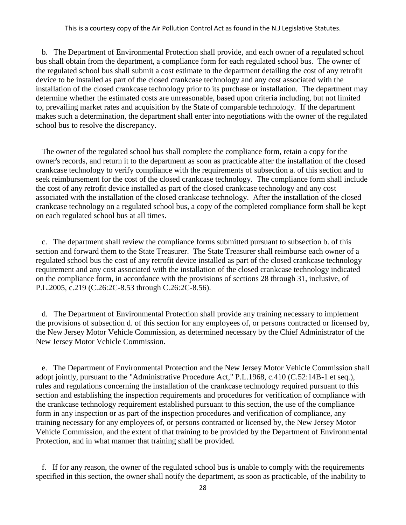b. The Department of Environmental Protection shall provide, and each owner of a regulated school bus shall obtain from the department, a compliance form for each regulated school bus. The owner of the regulated school bus shall submit a cost estimate to the department detailing the cost of any retrofit device to be installed as part of the closed crankcase technology and any cost associated with the installation of the closed crankcase technology prior to its purchase or installation. The department may determine whether the estimated costs are unreasonable, based upon criteria including, but not limited to, prevailing market rates and acquisition by the State of comparable technology. If the department makes such a determination, the department shall enter into negotiations with the owner of the regulated school bus to resolve the discrepancy.

 The owner of the regulated school bus shall complete the compliance form, retain a copy for the owner's records, and return it to the department as soon as practicable after the installation of the closed crankcase technology to verify compliance with the requirements of subsection a. of this section and to seek reimbursement for the cost of the closed crankcase technology. The compliance form shall include the cost of any retrofit device installed as part of the closed crankcase technology and any cost associated with the installation of the closed crankcase technology. After the installation of the closed crankcase technology on a regulated school bus, a copy of the completed compliance form shall be kept on each regulated school bus at all times.

 c. The department shall review the compliance forms submitted pursuant to subsection b. of this section and forward them to the State Treasurer. The State Treasurer shall reimburse each owner of a regulated school bus the cost of any retrofit device installed as part of the closed crankcase technology requirement and any cost associated with the installation of the closed crankcase technology indicated on the compliance form, in accordance with the provisions of sections 28 through 31, inclusive, of P.L.2005, c.219 (C.26:2C-8.53 through C.26:2C-8.56).

 d. The Department of Environmental Protection shall provide any training necessary to implement the provisions of subsection d. of this section for any employees of, or persons contracted or licensed by, the New Jersey Motor Vehicle Commission, as determined necessary by the Chief Administrator of the New Jersey Motor Vehicle Commission.

 e. The Department of Environmental Protection and the New Jersey Motor Vehicle Commission shall adopt jointly, pursuant to the "Administrative Procedure Act," P.L.1968, c.410 (C.52:14B-1 et seq.), rules and regulations concerning the installation of the crankcase technology required pursuant to this section and establishing the inspection requirements and procedures for verification of compliance with the crankcase technology requirement established pursuant to this section, the use of the compliance form in any inspection or as part of the inspection procedures and verification of compliance, any training necessary for any employees of, or persons contracted or licensed by, the New Jersey Motor Vehicle Commission, and the extent of that training to be provided by the Department of Environmental Protection, and in what manner that training shall be provided.

 f. If for any reason, the owner of the regulated school bus is unable to comply with the requirements specified in this section, the owner shall notify the department, as soon as practicable, of the inability to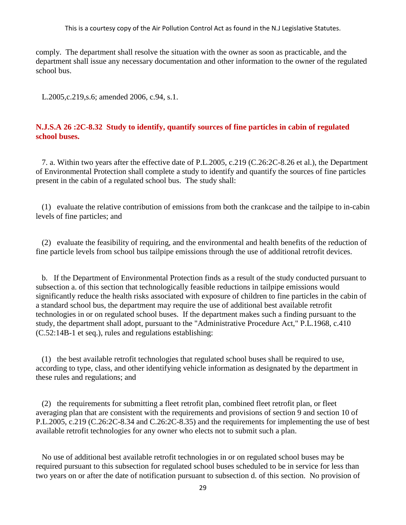comply. The department shall resolve the situation with the owner as soon as practicable, and the department shall issue any necessary documentation and other information to the owner of the regulated school bus.

L.2005,c.219,s.6; amended 2006, c.94, s.1.

# <span id="page-32-0"></span>**N.J.S.A 26 :2C-8.32 Study to identify, quantify sources of fine particles in cabin of regulated school buses.**

 7. a. Within two years after the effective date of P.L.2005, c.219 (C.26:2C-8.26 et al.), the Department of Environmental Protection shall complete a study to identify and quantify the sources of fine particles present in the cabin of a regulated school bus. The study shall:

 (1) evaluate the relative contribution of emissions from both the crankcase and the tailpipe to in-cabin levels of fine particles; and

 (2) evaluate the feasibility of requiring, and the environmental and health benefits of the reduction of fine particle levels from school bus tailpipe emissions through the use of additional retrofit devices.

 b. If the Department of Environmental Protection finds as a result of the study conducted pursuant to subsection a. of this section that technologically feasible reductions in tailpipe emissions would significantly reduce the health risks associated with exposure of children to fine particles in the cabin of a standard school bus, the department may require the use of additional best available retrofit technologies in or on regulated school buses. If the department makes such a finding pursuant to the study, the department shall adopt, pursuant to the "Administrative Procedure Act," P.L.1968, c.410 (C.52:14B-1 et seq.), rules and regulations establishing:

 (1) the best available retrofit technologies that regulated school buses shall be required to use, according to type, class, and other identifying vehicle information as designated by the department in these rules and regulations; and

 (2) the requirements for submitting a fleet retrofit plan, combined fleet retrofit plan, or fleet averaging plan that are consistent with the requirements and provisions of section 9 and section 10 of P.L.2005, c.219 (C.26:2C-8.34 and C.26:2C-8.35) and the requirements for implementing the use of best available retrofit technologies for any owner who elects not to submit such a plan.

 No use of additional best available retrofit technologies in or on regulated school buses may be required pursuant to this subsection for regulated school buses scheduled to be in service for less than two years on or after the date of notification pursuant to subsection d. of this section. No provision of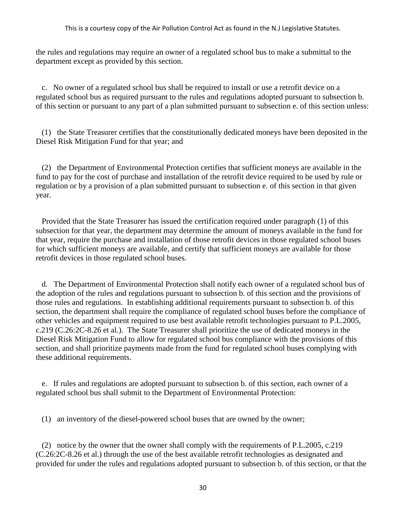the rules and regulations may require an owner of a regulated school bus to make a submittal to the department except as provided by this section.

 c. No owner of a regulated school bus shall be required to install or use a retrofit device on a regulated school bus as required pursuant to the rules and regulations adopted pursuant to subsection b. of this section or pursuant to any part of a plan submitted pursuant to subsection e. of this section unless:

 (1) the State Treasurer certifies that the constitutionally dedicated moneys have been deposited in the Diesel Risk Mitigation Fund for that year; and

 (2) the Department of Environmental Protection certifies that sufficient moneys are available in the fund to pay for the cost of purchase and installation of the retrofit device required to be used by rule or regulation or by a provision of a plan submitted pursuant to subsection e. of this section in that given year.

 Provided that the State Treasurer has issued the certification required under paragraph (1) of this subsection for that year, the department may determine the amount of moneys available in the fund for that year, require the purchase and installation of those retrofit devices in those regulated school buses for which sufficient moneys are available, and certify that sufficient moneys are available for those retrofit devices in those regulated school buses.

 d. The Department of Environmental Protection shall notify each owner of a regulated school bus of the adoption of the rules and regulations pursuant to subsection b. of this section and the provisions of those rules and regulations. In establishing additional requirements pursuant to subsection b. of this section, the department shall require the compliance of regulated school buses before the compliance of other vehicles and equipment required to use best available retrofit technologies pursuant to P.L.2005, c.219 (C.26:2C-8.26 et al.). The State Treasurer shall prioritize the use of dedicated moneys in the Diesel Risk Mitigation Fund to allow for regulated school bus compliance with the provisions of this section, and shall prioritize payments made from the fund for regulated school buses complying with these additional requirements.

 e. If rules and regulations are adopted pursuant to subsection b. of this section, each owner of a regulated school bus shall submit to the Department of Environmental Protection:

(1) an inventory of the diesel-powered school buses that are owned by the owner;

 (2) notice by the owner that the owner shall comply with the requirements of P.L.2005, c.219 (C.26:2C-8.26 et al.) through the use of the best available retrofit technologies as designated and provided for under the rules and regulations adopted pursuant to subsection b. of this section, or that the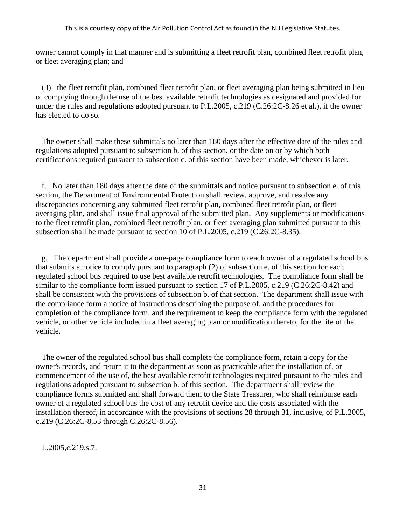owner cannot comply in that manner and is submitting a fleet retrofit plan, combined fleet retrofit plan, or fleet averaging plan; and

 (3) the fleet retrofit plan, combined fleet retrofit plan, or fleet averaging plan being submitted in lieu of complying through the use of the best available retrofit technologies as designated and provided for under the rules and regulations adopted pursuant to P.L.2005, c.219 (C.26:2C-8.26 et al.), if the owner has elected to do so.

 The owner shall make these submittals no later than 180 days after the effective date of the rules and regulations adopted pursuant to subsection b. of this section, or the date on or by which both certifications required pursuant to subsection c. of this section have been made, whichever is later.

 f. No later than 180 days after the date of the submittals and notice pursuant to subsection e. of this section, the Department of Environmental Protection shall review, approve, and resolve any discrepancies concerning any submitted fleet retrofit plan, combined fleet retrofit plan, or fleet averaging plan, and shall issue final approval of the submitted plan. Any supplements or modifications to the fleet retrofit plan, combined fleet retrofit plan, or fleet averaging plan submitted pursuant to this subsection shall be made pursuant to section 10 of P.L.2005, c.219 (C.26:2C-8.35).

 g. The department shall provide a one-page compliance form to each owner of a regulated school bus that submits a notice to comply pursuant to paragraph (2) of subsection e. of this section for each regulated school bus required to use best available retrofit technologies. The compliance form shall be similar to the compliance form issued pursuant to section 17 of P.L.2005, c.219 (C.26:2C-8.42) and shall be consistent with the provisions of subsection b. of that section. The department shall issue with the compliance form a notice of instructions describing the purpose of, and the procedures for completion of the compliance form, and the requirement to keep the compliance form with the regulated vehicle, or other vehicle included in a fleet averaging plan or modification thereto, for the life of the vehicle.

 The owner of the regulated school bus shall complete the compliance form, retain a copy for the owner's records, and return it to the department as soon as practicable after the installation of, or commencement of the use of, the best available retrofit technologies required pursuant to the rules and regulations adopted pursuant to subsection b. of this section. The department shall review the compliance forms submitted and shall forward them to the State Treasurer, who shall reimburse each owner of a regulated school bus the cost of any retrofit device and the costs associated with the installation thereof, in accordance with the provisions of sections 28 through 31, inclusive, of P.L.2005, c.219 (C.26:2C-8.53 through C.26:2C-8.56).

L.2005,c.219,s.7.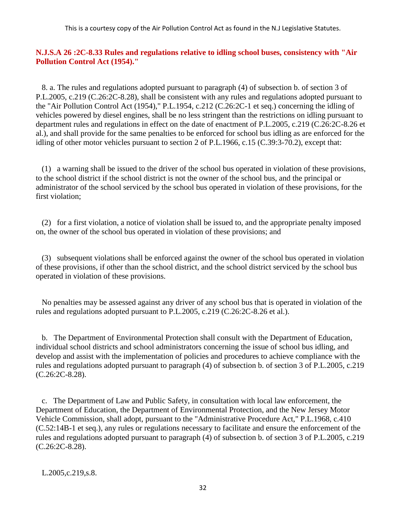### <span id="page-35-0"></span>**N.J.S.A 26 :2C-8.33 Rules and regulations relative to idling school buses, consistency with "Air Pollution Control Act (1954)."**

 8. a. The rules and regulations adopted pursuant to paragraph (4) of subsection b. of section 3 of P.L.2005, c.219 (C.26:2C-8.28), shall be consistent with any rules and regulations adopted pursuant to the "Air Pollution Control Act (1954)," P.L.1954, c.212 (C.26:2C-1 et seq.) concerning the idling of vehicles powered by diesel engines, shall be no less stringent than the restrictions on idling pursuant to department rules and regulations in effect on the date of enactment of P.L.2005, c.219 (C.26:2C-8.26 et al.), and shall provide for the same penalties to be enforced for school bus idling as are enforced for the idling of other motor vehicles pursuant to section 2 of P.L.1966, c.15 (C.39:3-70.2), except that:

 (1) a warning shall be issued to the driver of the school bus operated in violation of these provisions, to the school district if the school district is not the owner of the school bus, and the principal or administrator of the school serviced by the school bus operated in violation of these provisions, for the first violation;

 (2) for a first violation, a notice of violation shall be issued to, and the appropriate penalty imposed on, the owner of the school bus operated in violation of these provisions; and

 (3) subsequent violations shall be enforced against the owner of the school bus operated in violation of these provisions, if other than the school district, and the school district serviced by the school bus operated in violation of these provisions.

 No penalties may be assessed against any driver of any school bus that is operated in violation of the rules and regulations adopted pursuant to P.L.2005, c.219 (C.26:2C-8.26 et al.).

 b. The Department of Environmental Protection shall consult with the Department of Education, individual school districts and school administrators concerning the issue of school bus idling, and develop and assist with the implementation of policies and procedures to achieve compliance with the rules and regulations adopted pursuant to paragraph (4) of subsection b. of section 3 of P.L.2005, c.219 (C.26:2C-8.28).

 c. The Department of Law and Public Safety, in consultation with local law enforcement, the Department of Education, the Department of Environmental Protection, and the New Jersey Motor Vehicle Commission, shall adopt, pursuant to the "Administrative Procedure Act," P.L.1968, c.410 (C.52:14B-1 et seq.), any rules or regulations necessary to facilitate and ensure the enforcement of the rules and regulations adopted pursuant to paragraph (4) of subsection b. of section 3 of P.L.2005, c.219 (C.26:2C-8.28).

L.2005,c.219,s.8.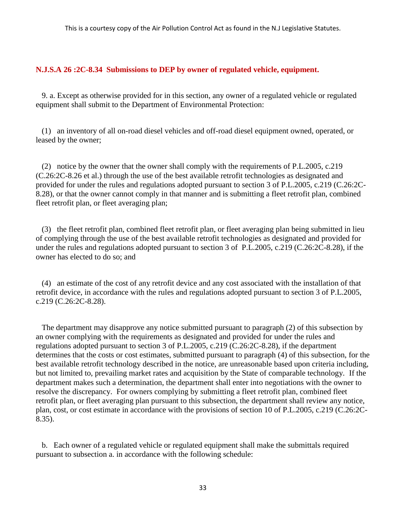## **N.J.S.A 26 :2C-8.34 Submissions to DEP by owner of regulated vehicle, equipment.**

 9. a. Except as otherwise provided for in this section, any owner of a regulated vehicle or regulated equipment shall submit to the Department of Environmental Protection:

 (1) an inventory of all on-road diesel vehicles and off-road diesel equipment owned, operated, or leased by the owner;

 (2) notice by the owner that the owner shall comply with the requirements of P.L.2005, c.219 (C.26:2C-8.26 et al.) through the use of the best available retrofit technologies as designated and provided for under the rules and regulations adopted pursuant to section 3 of P.L.2005, c.219 (C.26:2C-8.28), or that the owner cannot comply in that manner and is submitting a fleet retrofit plan, combined fleet retrofit plan, or fleet averaging plan;

 (3) the fleet retrofit plan, combined fleet retrofit plan, or fleet averaging plan being submitted in lieu of complying through the use of the best available retrofit technologies as designated and provided for under the rules and regulations adopted pursuant to section 3 of P.L.2005, c.219 (C.26:2C-8.28), if the owner has elected to do so; and

 (4) an estimate of the cost of any retrofit device and any cost associated with the installation of that retrofit device, in accordance with the rules and regulations adopted pursuant to section 3 of P.L.2005, c.219 (C.26:2C-8.28).

 The department may disapprove any notice submitted pursuant to paragraph (2) of this subsection by an owner complying with the requirements as designated and provided for under the rules and regulations adopted pursuant to section 3 of P.L.2005, c.219 (C.26:2C-8.28), if the department determines that the costs or cost estimates, submitted pursuant to paragraph (4) of this subsection, for the best available retrofit technology described in the notice, are unreasonable based upon criteria including, but not limited to, prevailing market rates and acquisition by the State of comparable technology. If the department makes such a determination, the department shall enter into negotiations with the owner to resolve the discrepancy. For owners complying by submitting a fleet retrofit plan, combined fleet retrofit plan, or fleet averaging plan pursuant to this subsection, the department shall review any notice, plan, cost, or cost estimate in accordance with the provisions of section 10 of P.L.2005, c.219 (C.26:2C-8.35).

 b. Each owner of a regulated vehicle or regulated equipment shall make the submittals required pursuant to subsection a. in accordance with the following schedule: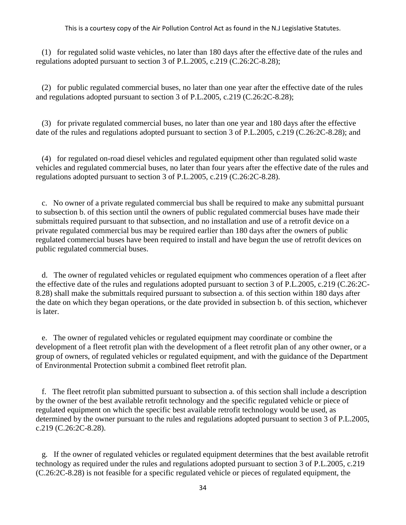(1) for regulated solid waste vehicles, no later than 180 days after the effective date of the rules and regulations adopted pursuant to section 3 of P.L.2005, c.219 (C.26:2C-8.28);

 (2) for public regulated commercial buses, no later than one year after the effective date of the rules and regulations adopted pursuant to section 3 of P.L.2005, c.219 (C.26:2C-8.28);

 (3) for private regulated commercial buses, no later than one year and 180 days after the effective date of the rules and regulations adopted pursuant to section 3 of P.L.2005, c.219 (C.26:2C-8.28); and

 (4) for regulated on-road diesel vehicles and regulated equipment other than regulated solid waste vehicles and regulated commercial buses, no later than four years after the effective date of the rules and regulations adopted pursuant to section 3 of P.L.2005, c.219 (C.26:2C-8.28).

 c. No owner of a private regulated commercial bus shall be required to make any submittal pursuant to subsection b. of this section until the owners of public regulated commercial buses have made their submittals required pursuant to that subsection, and no installation and use of a retrofit device on a private regulated commercial bus may be required earlier than 180 days after the owners of public regulated commercial buses have been required to install and have begun the use of retrofit devices on public regulated commercial buses.

 d. The owner of regulated vehicles or regulated equipment who commences operation of a fleet after the effective date of the rules and regulations adopted pursuant to section 3 of P.L.2005, c.219 (C.26:2C-8.28) shall make the submittals required pursuant to subsection a. of this section within 180 days after the date on which they began operations, or the date provided in subsection b. of this section, whichever is later.

 e. The owner of regulated vehicles or regulated equipment may coordinate or combine the development of a fleet retrofit plan with the development of a fleet retrofit plan of any other owner, or a group of owners, of regulated vehicles or regulated equipment, and with the guidance of the Department of Environmental Protection submit a combined fleet retrofit plan.

 f. The fleet retrofit plan submitted pursuant to subsection a. of this section shall include a description by the owner of the best available retrofit technology and the specific regulated vehicle or piece of regulated equipment on which the specific best available retrofit technology would be used, as determined by the owner pursuant to the rules and regulations adopted pursuant to section 3 of P.L.2005, c.219 (C.26:2C-8.28).

 g. If the owner of regulated vehicles or regulated equipment determines that the best available retrofit technology as required under the rules and regulations adopted pursuant to section 3 of P.L.2005, c.219 (C.26:2C-8.28) is not feasible for a specific regulated vehicle or pieces of regulated equipment, the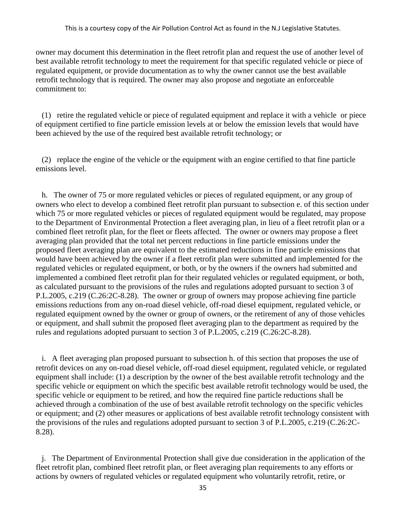owner may document this determination in the fleet retrofit plan and request the use of another level of best available retrofit technology to meet the requirement for that specific regulated vehicle or piece of regulated equipment, or provide documentation as to why the owner cannot use the best available retrofit technology that is required. The owner may also propose and negotiate an enforceable commitment to:

 (1) retire the regulated vehicle or piece of regulated equipment and replace it with a vehicle or piece of equipment certified to fine particle emission levels at or below the emission levels that would have been achieved by the use of the required best available retrofit technology; or

 (2) replace the engine of the vehicle or the equipment with an engine certified to that fine particle emissions level.

 h. The owner of 75 or more regulated vehicles or pieces of regulated equipment, or any group of owners who elect to develop a combined fleet retrofit plan pursuant to subsection e. of this section under which 75 or more regulated vehicles or pieces of regulated equipment would be regulated, may propose to the Department of Environmental Protection a fleet averaging plan, in lieu of a fleet retrofit plan or a combined fleet retrofit plan, for the fleet or fleets affected. The owner or owners may propose a fleet averaging plan provided that the total net percent reductions in fine particle emissions under the proposed fleet averaging plan are equivalent to the estimated reductions in fine particle emissions that would have been achieved by the owner if a fleet retrofit plan were submitted and implemented for the regulated vehicles or regulated equipment, or both, or by the owners if the owners had submitted and implemented a combined fleet retrofit plan for their regulated vehicles or regulated equipment, or both, as calculated pursuant to the provisions of the rules and regulations adopted pursuant to section 3 of P.L.2005, c.219 (C.26:2C-8.28). The owner or group of owners may propose achieving fine particle emissions reductions from any on-road diesel vehicle, off-road diesel equipment, regulated vehicle, or regulated equipment owned by the owner or group of owners, or the retirement of any of those vehicles or equipment, and shall submit the proposed fleet averaging plan to the department as required by the rules and regulations adopted pursuant to section 3 of P.L.2005, c.219 (C.26:2C-8.28).

 i. A fleet averaging plan proposed pursuant to subsection h. of this section that proposes the use of retrofit devices on any on-road diesel vehicle, off-road diesel equipment, regulated vehicle, or regulated equipment shall include: (1) a description by the owner of the best available retrofit technology and the specific vehicle or equipment on which the specific best available retrofit technology would be used, the specific vehicle or equipment to be retired, and how the required fine particle reductions shall be achieved through a combination of the use of best available retrofit technology on the specific vehicles or equipment; and (2) other measures or applications of best available retrofit technology consistent with the provisions of the rules and regulations adopted pursuant to section 3 of P.L.2005, c.219 (C.26:2C-8.28).

 j. The Department of Environmental Protection shall give due consideration in the application of the fleet retrofit plan, combined fleet retrofit plan, or fleet averaging plan requirements to any efforts or actions by owners of regulated vehicles or regulated equipment who voluntarily retrofit, retire, or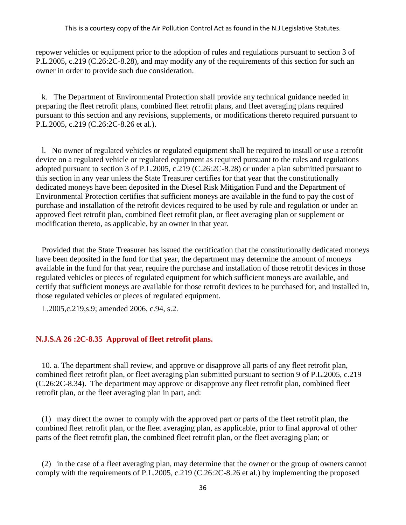repower vehicles or equipment prior to the adoption of rules and regulations pursuant to section 3 of P.L.2005, c.219 (C.26:2C-8.28), and may modify any of the requirements of this section for such an owner in order to provide such due consideration.

 k. The Department of Environmental Protection shall provide any technical guidance needed in preparing the fleet retrofit plans, combined fleet retrofit plans, and fleet averaging plans required pursuant to this section and any revisions, supplements, or modifications thereto required pursuant to P.L.2005, c.219 (C.26:2C-8.26 et al.).

 l. No owner of regulated vehicles or regulated equipment shall be required to install or use a retrofit device on a regulated vehicle or regulated equipment as required pursuant to the rules and regulations adopted pursuant to section 3 of P.L.2005, c.219 (C.26:2C-8.28) or under a plan submitted pursuant to this section in any year unless the State Treasurer certifies for that year that the constitutionally dedicated moneys have been deposited in the Diesel Risk Mitigation Fund and the Department of Environmental Protection certifies that sufficient moneys are available in the fund to pay the cost of purchase and installation of the retrofit devices required to be used by rule and regulation or under an approved fleet retrofit plan, combined fleet retrofit plan, or fleet averaging plan or supplement or modification thereto, as applicable, by an owner in that year.

 Provided that the State Treasurer has issued the certification that the constitutionally dedicated moneys have been deposited in the fund for that year, the department may determine the amount of moneys available in the fund for that year, require the purchase and installation of those retrofit devices in those regulated vehicles or pieces of regulated equipment for which sufficient moneys are available, and certify that sufficient moneys are available for those retrofit devices to be purchased for, and installed in, those regulated vehicles or pieces of regulated equipment.

L.2005,c.219,s.9; amended 2006, c.94, s.2.

## **N.J.S.A 26 :2C-8.35 Approval of fleet retrofit plans.**

 10. a. The department shall review, and approve or disapprove all parts of any fleet retrofit plan, combined fleet retrofit plan, or fleet averaging plan submitted pursuant to section 9 of P.L.2005, c.219 (C.26:2C-8.34). The department may approve or disapprove any fleet retrofit plan, combined fleet retrofit plan, or the fleet averaging plan in part, and:

 (1) may direct the owner to comply with the approved part or parts of the fleet retrofit plan, the combined fleet retrofit plan, or the fleet averaging plan, as applicable, prior to final approval of other parts of the fleet retrofit plan, the combined fleet retrofit plan, or the fleet averaging plan; or

 (2) in the case of a fleet averaging plan, may determine that the owner or the group of owners cannot comply with the requirements of P.L.2005, c.219 (C.26:2C-8.26 et al.) by implementing the proposed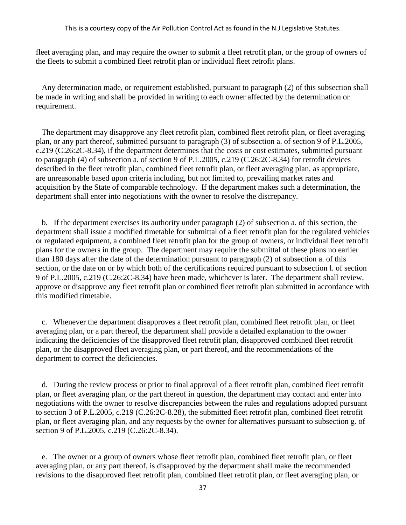fleet averaging plan, and may require the owner to submit a fleet retrofit plan, or the group of owners of the fleets to submit a combined fleet retrofit plan or individual fleet retrofit plans.

 Any determination made, or requirement established, pursuant to paragraph (2) of this subsection shall be made in writing and shall be provided in writing to each owner affected by the determination or requirement.

 The department may disapprove any fleet retrofit plan, combined fleet retrofit plan, or fleet averaging plan, or any part thereof, submitted pursuant to paragraph (3) of subsection a. of section 9 of P.L.2005, c.219 (C.26:2C-8.34), if the department determines that the costs or cost estimates, submitted pursuant to paragraph (4) of subsection a. of section 9 of P.L.2005, c.219 (C.26:2C-8.34) for retrofit devices described in the fleet retrofit plan, combined fleet retrofit plan, or fleet averaging plan, as appropriate, are unreasonable based upon criteria including, but not limited to, prevailing market rates and acquisition by the State of comparable technology. If the department makes such a determination, the department shall enter into negotiations with the owner to resolve the discrepancy.

 b. If the department exercises its authority under paragraph (2) of subsection a. of this section, the department shall issue a modified timetable for submittal of a fleet retrofit plan for the regulated vehicles or regulated equipment, a combined fleet retrofit plan for the group of owners, or individual fleet retrofit plans for the owners in the group. The department may require the submittal of these plans no earlier than 180 days after the date of the determination pursuant to paragraph (2) of subsection a. of this section, or the date on or by which both of the certifications required pursuant to subsection l. of section 9 of P.L.2005, c.219 (C.26:2C-8.34) have been made, whichever is later. The department shall review, approve or disapprove any fleet retrofit plan or combined fleet retrofit plan submitted in accordance with this modified timetable.

 c. Whenever the department disapproves a fleet retrofit plan, combined fleet retrofit plan, or fleet averaging plan, or a part thereof, the department shall provide a detailed explanation to the owner indicating the deficiencies of the disapproved fleet retrofit plan, disapproved combined fleet retrofit plan, or the disapproved fleet averaging plan, or part thereof, and the recommendations of the department to correct the deficiencies.

 d. During the review process or prior to final approval of a fleet retrofit plan, combined fleet retrofit plan, or fleet averaging plan, or the part thereof in question, the department may contact and enter into negotiations with the owner to resolve discrepancies between the rules and regulations adopted pursuant to section 3 of P.L.2005, c.219 (C.26:2C-8.28), the submitted fleet retrofit plan, combined fleet retrofit plan, or fleet averaging plan, and any requests by the owner for alternatives pursuant to subsection g. of section 9 of P.L.2005, c.219 (C.26:2C-8.34).

 e. The owner or a group of owners whose fleet retrofit plan, combined fleet retrofit plan, or fleet averaging plan, or any part thereof, is disapproved by the department shall make the recommended revisions to the disapproved fleet retrofit plan, combined fleet retrofit plan, or fleet averaging plan, or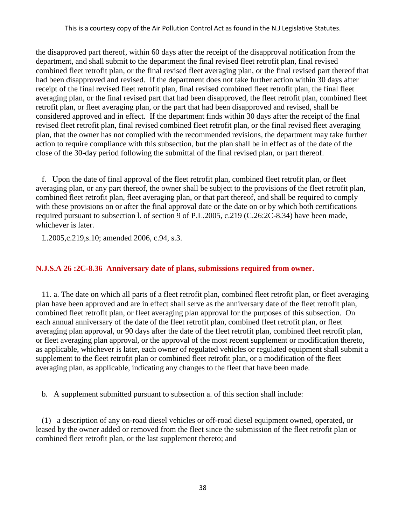the disapproved part thereof, within 60 days after the receipt of the disapproval notification from the department, and shall submit to the department the final revised fleet retrofit plan, final revised combined fleet retrofit plan, or the final revised fleet averaging plan, or the final revised part thereof that had been disapproved and revised. If the department does not take further action within 30 days after receipt of the final revised fleet retrofit plan, final revised combined fleet retrofit plan, the final fleet averaging plan, or the final revised part that had been disapproved, the fleet retrofit plan, combined fleet retrofit plan, or fleet averaging plan, or the part that had been disapproved and revised, shall be considered approved and in effect. If the department finds within 30 days after the receipt of the final revised fleet retrofit plan, final revised combined fleet retrofit plan, or the final revised fleet averaging plan, that the owner has not complied with the recommended revisions, the department may take further action to require compliance with this subsection, but the plan shall be in effect as of the date of the close of the 30-day period following the submittal of the final revised plan, or part thereof.

 f. Upon the date of final approval of the fleet retrofit plan, combined fleet retrofit plan, or fleet averaging plan, or any part thereof, the owner shall be subject to the provisions of the fleet retrofit plan, combined fleet retrofit plan, fleet averaging plan, or that part thereof, and shall be required to comply with these provisions on or after the final approval date or the date on or by which both certifications required pursuant to subsection l. of section 9 of P.L.2005, c.219 (C.26:2C-8.34) have been made, whichever is later.

L.2005,c.219,s.10; amended 2006, c.94, s.3.

# **N.J.S.A 26 :2C-8.36 Anniversary date of plans, submissions required from owner.**

 11. a. The date on which all parts of a fleet retrofit plan, combined fleet retrofit plan, or fleet averaging plan have been approved and are in effect shall serve as the anniversary date of the fleet retrofit plan, combined fleet retrofit plan, or fleet averaging plan approval for the purposes of this subsection. On each annual anniversary of the date of the fleet retrofit plan, combined fleet retrofit plan, or fleet averaging plan approval, or 90 days after the date of the fleet retrofit plan, combined fleet retrofit plan, or fleet averaging plan approval, or the approval of the most recent supplement or modification thereto, as applicable, whichever is later, each owner of regulated vehicles or regulated equipment shall submit a supplement to the fleet retrofit plan or combined fleet retrofit plan, or a modification of the fleet averaging plan, as applicable, indicating any changes to the fleet that have been made.

b. A supplement submitted pursuant to subsection a. of this section shall include:

 (1) a description of any on-road diesel vehicles or off-road diesel equipment owned, operated, or leased by the owner added or removed from the fleet since the submission of the fleet retrofit plan or combined fleet retrofit plan, or the last supplement thereto; and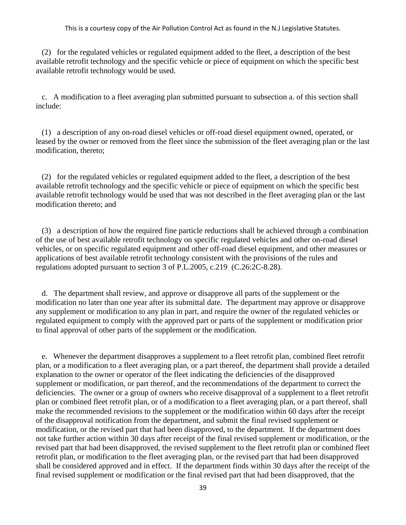(2) for the regulated vehicles or regulated equipment added to the fleet, a description of the best available retrofit technology and the specific vehicle or piece of equipment on which the specific best available retrofit technology would be used.

 c. A modification to a fleet averaging plan submitted pursuant to subsection a. of this section shall include:

 (1) a description of any on-road diesel vehicles or off-road diesel equipment owned, operated, or leased by the owner or removed from the fleet since the submission of the fleet averaging plan or the last modification, thereto;

 (2) for the regulated vehicles or regulated equipment added to the fleet, a description of the best available retrofit technology and the specific vehicle or piece of equipment on which the specific best available retrofit technology would be used that was not described in the fleet averaging plan or the last modification thereto; and

 (3) a description of how the required fine particle reductions shall be achieved through a combination of the use of best available retrofit technology on specific regulated vehicles and other on-road diesel vehicles, or on specific regulated equipment and other off-road diesel equipment, and other measures or applications of best available retrofit technology consistent with the provisions of the rules and regulations adopted pursuant to section 3 of P.L.2005, c.219 (C.26:2C-8.28).

 d. The department shall review, and approve or disapprove all parts of the supplement or the modification no later than one year after its submittal date. The department may approve or disapprove any supplement or modification to any plan in part, and require the owner of the regulated vehicles or regulated equipment to comply with the approved part or parts of the supplement or modification prior to final approval of other parts of the supplement or the modification.

 e. Whenever the department disapproves a supplement to a fleet retrofit plan, combined fleet retrofit plan, or a modification to a fleet averaging plan, or a part thereof, the department shall provide a detailed explanation to the owner or operator of the fleet indicating the deficiencies of the disapproved supplement or modification, or part thereof, and the recommendations of the department to correct the deficiencies. The owner or a group of owners who receive disapproval of a supplement to a fleet retrofit plan or combined fleet retrofit plan, or of a modification to a fleet averaging plan, or a part thereof, shall make the recommended revisions to the supplement or the modification within 60 days after the receipt of the disapproval notification from the department, and submit the final revised supplement or modification, or the revised part that had been disapproved, to the department. If the department does not take further action within 30 days after receipt of the final revised supplement or modification, or the revised part that had been disapproved, the revised supplement to the fleet retrofit plan or combined fleet retrofit plan, or modification to the fleet averaging plan, or the revised part that had been disapproved shall be considered approved and in effect. If the department finds within 30 days after the receipt of the final revised supplement or modification or the final revised part that had been disapproved, that the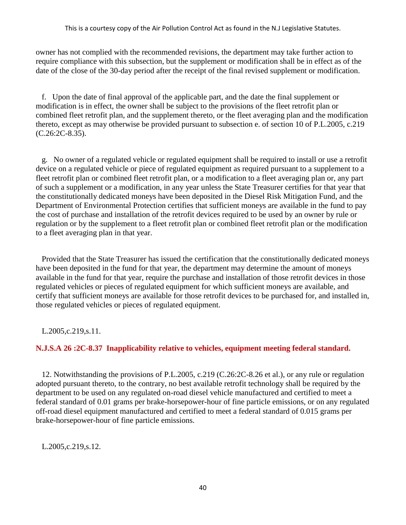owner has not complied with the recommended revisions, the department may take further action to require compliance with this subsection, but the supplement or modification shall be in effect as of the date of the close of the 30-day period after the receipt of the final revised supplement or modification.

 f. Upon the date of final approval of the applicable part, and the date the final supplement or modification is in effect, the owner shall be subject to the provisions of the fleet retrofit plan or combined fleet retrofit plan, and the supplement thereto, or the fleet averaging plan and the modification thereto, except as may otherwise be provided pursuant to subsection e. of section 10 of P.L.2005, c.219 (C.26:2C-8.35).

 g. No owner of a regulated vehicle or regulated equipment shall be required to install or use a retrofit device on a regulated vehicle or piece of regulated equipment as required pursuant to a supplement to a fleet retrofit plan or combined fleet retrofit plan, or a modification to a fleet averaging plan or, any part of such a supplement or a modification, in any year unless the State Treasurer certifies for that year that the constitutionally dedicated moneys have been deposited in the Diesel Risk Mitigation Fund, and the Department of Environmental Protection certifies that sufficient moneys are available in the fund to pay the cost of purchase and installation of the retrofit devices required to be used by an owner by rule or regulation or by the supplement to a fleet retrofit plan or combined fleet retrofit plan or the modification to a fleet averaging plan in that year.

 Provided that the State Treasurer has issued the certification that the constitutionally dedicated moneys have been deposited in the fund for that year, the department may determine the amount of moneys available in the fund for that year, require the purchase and installation of those retrofit devices in those regulated vehicles or pieces of regulated equipment for which sufficient moneys are available, and certify that sufficient moneys are available for those retrofit devices to be purchased for, and installed in, those regulated vehicles or pieces of regulated equipment.

L.2005,c.219,s.11.

# **N.J.S.A 26 :2C-8.37 Inapplicability relative to vehicles, equipment meeting federal standard.**

 12. Notwithstanding the provisions of P.L.2005, c.219 (C.26:2C-8.26 et al.), or any rule or regulation adopted pursuant thereto, to the contrary, no best available retrofit technology shall be required by the department to be used on any regulated on-road diesel vehicle manufactured and certified to meet a federal standard of 0.01 grams per brake-horsepower-hour of fine particle emissions, or on any regulated off-road diesel equipment manufactured and certified to meet a federal standard of 0.015 grams per brake-horsepower-hour of fine particle emissions.

L.2005,c.219,s.12.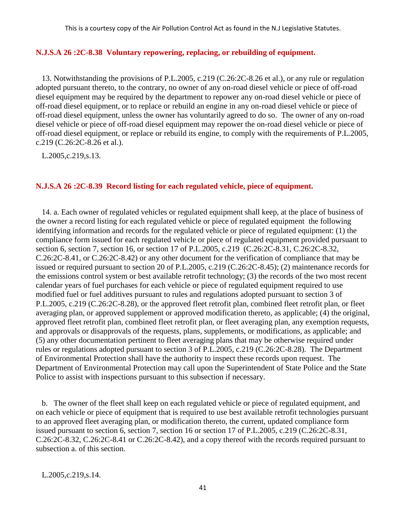# **N.J.S.A 26 :2C-8.38 Voluntary repowering, replacing, or rebuilding of equipment.**

 13. Notwithstanding the provisions of P.L.2005, c.219 (C.26:2C-8.26 et al.), or any rule or regulation adopted pursuant thereto, to the contrary, no owner of any on-road diesel vehicle or piece of off-road diesel equipment may be required by the department to repower any on-road diesel vehicle or piece of off-road diesel equipment, or to replace or rebuild an engine in any on-road diesel vehicle or piece of off-road diesel equipment, unless the owner has voluntarily agreed to do so. The owner of any on-road diesel vehicle or piece of off-road diesel equipment may repower the on-road diesel vehicle or piece of off-road diesel equipment, or replace or rebuild its engine, to comply with the requirements of P.L.2005, c.219 (C.26:2C-8.26 et al.).

L.2005,c.219,s.13.

### **N.J.S.A 26 :2C-8.39 Record listing for each regulated vehicle, piece of equipment.**

 14. a. Each owner of regulated vehicles or regulated equipment shall keep, at the place of business of the owner a record listing for each regulated vehicle or piece of regulated equipment the following identifying information and records for the regulated vehicle or piece of regulated equipment: (1) the compliance form issued for each regulated vehicle or piece of regulated equipment provided pursuant to section 6, section 7, section 16, or section 17 of P.L.2005, c.219 (C.26:2C-8.31, C.26:2C-8.32, C.26:2C-8.41, or C.26:2C-8.42) or any other document for the verification of compliance that may be issued or required pursuant to section 20 of P.L.2005, c.219 (C.26:2C-8.45); (2) maintenance records for the emissions control system or best available retrofit technology; (3) the records of the two most recent calendar years of fuel purchases for each vehicle or piece of regulated equipment required to use modified fuel or fuel additives pursuant to rules and regulations adopted pursuant to section 3 of P.L.2005, c.219 (C.26:2C-8.28), or the approved fleet retrofit plan, combined fleet retrofit plan, or fleet averaging plan, or approved supplement or approved modification thereto, as applicable; (4) the original, approved fleet retrofit plan, combined fleet retrofit plan, or fleet averaging plan, any exemption requests, and approvals or disapprovals of the requests, plans, supplements, or modifications, as applicable; and (5) any other documentation pertinent to fleet averaging plans that may be otherwise required under rules or regulations adopted pursuant to section 3 of P.L.2005, c.219 (C.26:2C-8.28). The Department of Environmental Protection shall have the authority to inspect these records upon request. The Department of Environmental Protection may call upon the Superintendent of State Police and the State Police to assist with inspections pursuant to this subsection if necessary.

 b. The owner of the fleet shall keep on each regulated vehicle or piece of regulated equipment, and on each vehicle or piece of equipment that is required to use best available retrofit technologies pursuant to an approved fleet averaging plan, or modification thereto, the current, updated compliance form issued pursuant to section 6, section 7, section 16 or section 17 of P.L.2005, c.219 (C.26:2C-8.31, C.26:2C-8.32, C.26:2C-8.41 or C.26:2C-8.42), and a copy thereof with the records required pursuant to subsection a. of this section.

L.2005,c.219,s.14.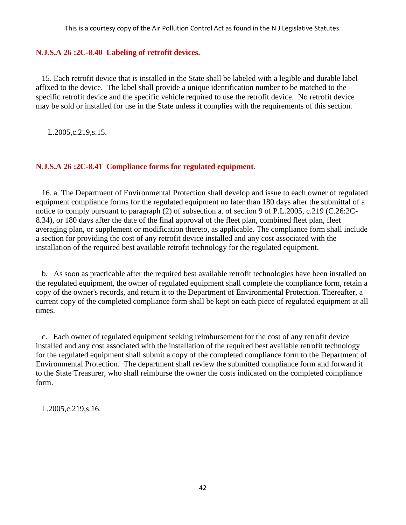### **N.J.S.A 26 :2C-8.40 Labeling of retrofit devices.**

 15. Each retrofit device that is installed in the State shall be labeled with a legible and durable label affixed to the device. The label shall provide a unique identification number to be matched to the specific retrofit device and the specific vehicle required to use the retrofit device. No retrofit device may be sold or installed for use in the State unless it complies with the requirements of this section.

L.2005,c.219,s.15.

## **N.J.S.A 26 :2C-8.41 Compliance forms for regulated equipment.**

 16. a. The Department of Environmental Protection shall develop and issue to each owner of regulated equipment compliance forms for the regulated equipment no later than 180 days after the submittal of a notice to comply pursuant to paragraph (2) of subsection a. of section 9 of P.L.2005, c.219 (C.26:2C-8.34), or 180 days after the date of the final approval of the fleet plan, combined fleet plan, fleet averaging plan, or supplement or modification thereto, as applicable. The compliance form shall include a section for providing the cost of any retrofit device installed and any cost associated with the installation of the required best available retrofit technology for the regulated equipment.

 b. As soon as practicable after the required best available retrofit technologies have been installed on the regulated equipment, the owner of regulated equipment shall complete the compliance form, retain a copy of the owner's records, and return it to the Department of Environmental Protection. Thereafter, a current copy of the completed compliance form shall be kept on each piece of regulated equipment at all times.

 c. Each owner of regulated equipment seeking reimbursement for the cost of any retrofit device installed and any cost associated with the installation of the required best available retrofit technology for the regulated equipment shall submit a copy of the completed compliance form to the Department of Environmental Protection. The department shall review the submitted compliance form and forward it to the State Treasurer, who shall reimburse the owner the costs indicated on the completed compliance form.

L.2005,c.219,s.16.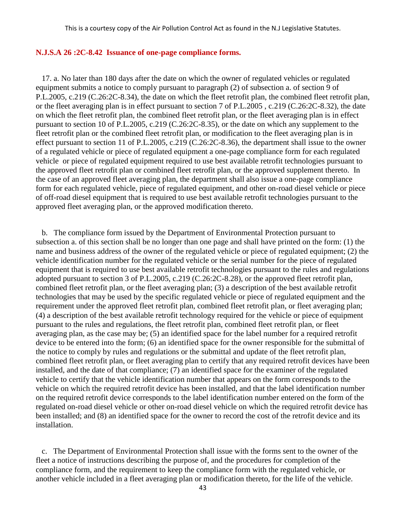### **N.J.S.A 26 :2C-8.42 Issuance of one-page compliance forms.**

 17. a. No later than 180 days after the date on which the owner of regulated vehicles or regulated equipment submits a notice to comply pursuant to paragraph (2) of subsection a. of section 9 of P.L.2005, c.219 (C.26:2C-8.34), the date on which the fleet retrofit plan, the combined fleet retrofit plan, or the fleet averaging plan is in effect pursuant to section 7 of P.L.2005 , c.219 (C.26:2C-8.32), the date on which the fleet retrofit plan, the combined fleet retrofit plan, or the fleet averaging plan is in effect pursuant to section 10 of P.L.2005, c.219 (C.26:2C-8.35), or the date on which any supplement to the fleet retrofit plan or the combined fleet retrofit plan, or modification to the fleet averaging plan is in effect pursuant to section 11 of P.L.2005, c.219 (C.26:2C-8.36), the department shall issue to the owner of a regulated vehicle or piece of regulated equipment a one-page compliance form for each regulated vehicle or piece of regulated equipment required to use best available retrofit technologies pursuant to the approved fleet retrofit plan or combined fleet retrofit plan, or the approved supplement thereto. In the case of an approved fleet averaging plan, the department shall also issue a one-page compliance form for each regulated vehicle, piece of regulated equipment, and other on-road diesel vehicle or piece of off-road diesel equipment that is required to use best available retrofit technologies pursuant to the approved fleet averaging plan, or the approved modification thereto.

 b. The compliance form issued by the Department of Environmental Protection pursuant to subsection a. of this section shall be no longer than one page and shall have printed on the form: (1) the name and business address of the owner of the regulated vehicle or piece of regulated equipment; (2) the vehicle identification number for the regulated vehicle or the serial number for the piece of regulated equipment that is required to use best available retrofit technologies pursuant to the rules and regulations adopted pursuant to section 3 of P.L.2005, c.219 (C.26:2C-8.28), or the approved fleet retrofit plan, combined fleet retrofit plan, or the fleet averaging plan; (3) a description of the best available retrofit technologies that may be used by the specific regulated vehicle or piece of regulated equipment and the requirement under the approved fleet retrofit plan, combined fleet retrofit plan, or fleet averaging plan; (4) a description of the best available retrofit technology required for the vehicle or piece of equipment pursuant to the rules and regulations, the fleet retrofit plan, combined fleet retrofit plan, or fleet averaging plan, as the case may be; (5) an identified space for the label number for a required retrofit device to be entered into the form; (6) an identified space for the owner responsible for the submittal of the notice to comply by rules and regulations or the submittal and update of the fleet retrofit plan, combined fleet retrofit plan, or fleet averaging plan to certify that any required retrofit devices have been installed, and the date of that compliance; (7) an identified space for the examiner of the regulated vehicle to certify that the vehicle identification number that appears on the form corresponds to the vehicle on which the required retrofit device has been installed, and that the label identification number on the required retrofit device corresponds to the label identification number entered on the form of the regulated on-road diesel vehicle or other on-road diesel vehicle on which the required retrofit device has been installed; and (8) an identified space for the owner to record the cost of the retrofit device and its installation.

 c. The Department of Environmental Protection shall issue with the forms sent to the owner of the fleet a notice of instructions describing the purpose of, and the procedures for completion of the compliance form, and the requirement to keep the compliance form with the regulated vehicle, or another vehicle included in a fleet averaging plan or modification thereto, for the life of the vehicle.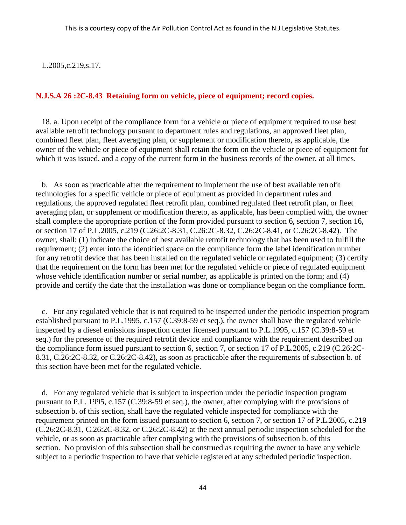L.2005,c.219,s.17.

### **N.J.S.A 26 :2C-8.43 Retaining form on vehicle, piece of equipment; record copies.**

 18. a. Upon receipt of the compliance form for a vehicle or piece of equipment required to use best available retrofit technology pursuant to department rules and regulations, an approved fleet plan, combined fleet plan, fleet averaging plan, or supplement or modification thereto, as applicable, the owner of the vehicle or piece of equipment shall retain the form on the vehicle or piece of equipment for which it was issued, and a copy of the current form in the business records of the owner, at all times.

 b. As soon as practicable after the requirement to implement the use of best available retrofit technologies for a specific vehicle or piece of equipment as provided in department rules and regulations, the approved regulated fleet retrofit plan, combined regulated fleet retrofit plan, or fleet averaging plan, or supplement or modification thereto, as applicable, has been complied with, the owner shall complete the appropriate portion of the form provided pursuant to section 6, section 7, section 16, or section 17 of P.L.2005, c.219 (C.26:2C-8.31, C.26:2C-8.32, C.26:2C-8.41, or C.26:2C-8.42). The owner, shall: (1) indicate the choice of best available retrofit technology that has been used to fulfill the requirement; (2) enter into the identified space on the compliance form the label identification number for any retrofit device that has been installed on the regulated vehicle or regulated equipment; (3) certify that the requirement on the form has been met for the regulated vehicle or piece of regulated equipment whose vehicle identification number or serial number, as applicable is printed on the form; and (4) provide and certify the date that the installation was done or compliance began on the compliance form.

 c. For any regulated vehicle that is not required to be inspected under the periodic inspection program established pursuant to P.L.1995, c.157 (C.39:8-59 et seq.), the owner shall have the regulated vehicle inspected by a diesel emissions inspection center licensed pursuant to P.L.1995, c.157 (C.39:8-59 et seq.) for the presence of the required retrofit device and compliance with the requirement described on the compliance form issued pursuant to section 6, section 7, or section 17 of P.L.2005, c.219 (C.26:2C-8.31, C.26:2C-8.32, or C.26:2C-8.42), as soon as practicable after the requirements of subsection b. of this section have been met for the regulated vehicle.

 d. For any regulated vehicle that is subject to inspection under the periodic inspection program pursuant to P.L. 1995, c.157 (C.39:8-59 et seq.), the owner, after complying with the provisions of subsection b. of this section, shall have the regulated vehicle inspected for compliance with the requirement printed on the form issued pursuant to section 6, section 7, or section 17 of P.L.2005, c.219 (C.26:2C-8.31, C.26:2C-8.32, or C.26:2C-8.42) at the next annual periodic inspection scheduled for the vehicle, or as soon as practicable after complying with the provisions of subsection b. of this section. No provision of this subsection shall be construed as requiring the owner to have any vehicle subject to a periodic inspection to have that vehicle registered at any scheduled periodic inspection.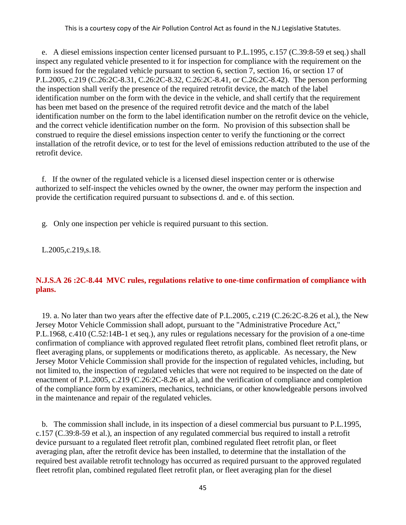e. A diesel emissions inspection center licensed pursuant to P.L.1995, c.157 (C.39:8-59 et seq.) shall inspect any regulated vehicle presented to it for inspection for compliance with the requirement on the form issued for the regulated vehicle pursuant to section 6, section 7, section 16, or section 17 of P.L.2005, c.219 (C.26:2C-8.31, C.26:2C-8.32, C.26:2C-8.41, or C.26:2C-8.42). The person performing the inspection shall verify the presence of the required retrofit device, the match of the label identification number on the form with the device in the vehicle, and shall certify that the requirement has been met based on the presence of the required retrofit device and the match of the label identification number on the form to the label identification number on the retrofit device on the vehicle, and the correct vehicle identification number on the form. No provision of this subsection shall be construed to require the diesel emissions inspection center to verify the functioning or the correct installation of the retrofit device, or to test for the level of emissions reduction attributed to the use of the retrofit device.

 f. If the owner of the regulated vehicle is a licensed diesel inspection center or is otherwise authorized to self-inspect the vehicles owned by the owner, the owner may perform the inspection and provide the certification required pursuant to subsections d. and e. of this section.

g. Only one inspection per vehicle is required pursuant to this section.

L.2005,c.219,s.18.

# **N.J.S.A 26 :2C-8.44 MVC rules, regulations relative to one-time confirmation of compliance with plans.**

 19. a. No later than two years after the effective date of P.L.2005, c.219 (C.26:2C-8.26 et al.), the New Jersey Motor Vehicle Commission shall adopt, pursuant to the "Administrative Procedure Act," P.L.1968, c.410 (C.52:14B-1 et seq.), any rules or regulations necessary for the provision of a one-time confirmation of compliance with approved regulated fleet retrofit plans, combined fleet retrofit plans, or fleet averaging plans, or supplements or modifications thereto, as applicable. As necessary, the New Jersey Motor Vehicle Commission shall provide for the inspection of regulated vehicles, including, but not limited to, the inspection of regulated vehicles that were not required to be inspected on the date of enactment of P.L.2005, c.219 (C.26:2C-8.26 et al.), and the verification of compliance and completion of the compliance form by examiners, mechanics, technicians, or other knowledgeable persons involved in the maintenance and repair of the regulated vehicles.

 b. The commission shall include, in its inspection of a diesel commercial bus pursuant to P.L.1995, c.157 (C.39:8-59 et al.), an inspection of any regulated commercial bus required to install a retrofit device pursuant to a regulated fleet retrofit plan, combined regulated fleet retrofit plan, or fleet averaging plan, after the retrofit device has been installed, to determine that the installation of the required best available retrofit technology has occurred as required pursuant to the approved regulated fleet retrofit plan, combined regulated fleet retrofit plan, or fleet averaging plan for the diesel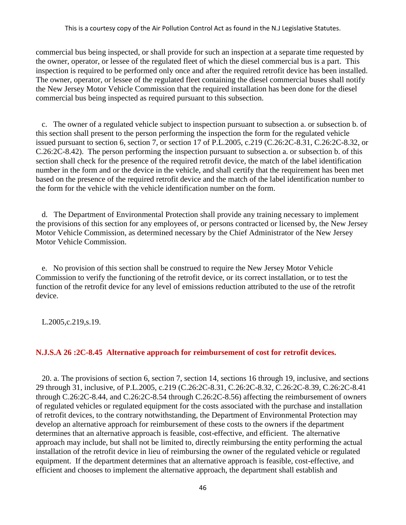commercial bus being inspected, or shall provide for such an inspection at a separate time requested by the owner, operator, or lessee of the regulated fleet of which the diesel commercial bus is a part. This inspection is required to be performed only once and after the required retrofit device has been installed. The owner, operator, or lessee of the regulated fleet containing the diesel commercial buses shall notify the New Jersey Motor Vehicle Commission that the required installation has been done for the diesel commercial bus being inspected as required pursuant to this subsection.

 c. The owner of a regulated vehicle subject to inspection pursuant to subsection a. or subsection b. of this section shall present to the person performing the inspection the form for the regulated vehicle issued pursuant to section 6, section 7, or section 17 of P.L.2005, c.219 (C.26:2C-8.31, C.26:2C-8.32, or C.26:2C-8.42). The person performing the inspection pursuant to subsection a. or subsection b. of this section shall check for the presence of the required retrofit device, the match of the label identification number in the form and or the device in the vehicle, and shall certify that the requirement has been met based on the presence of the required retrofit device and the match of the label identification number to the form for the vehicle with the vehicle identification number on the form.

 d. The Department of Environmental Protection shall provide any training necessary to implement the provisions of this section for any employees of, or persons contracted or licensed by, the New Jersey Motor Vehicle Commission, as determined necessary by the Chief Administrator of the New Jersey Motor Vehicle Commission.

 e. No provision of this section shall be construed to require the New Jersey Motor Vehicle Commission to verify the functioning of the retrofit device, or its correct installation, or to test the function of the retrofit device for any level of emissions reduction attributed to the use of the retrofit device.

L.2005,c.219,s.19.

### **N.J.S.A 26 :2C-8.45 Alternative approach for reimbursement of cost for retrofit devices.**

 20. a. The provisions of section 6, section 7, section 14, sections 16 through 19, inclusive, and sections 29 through 31, inclusive, of P.L.2005, c.219 (C.26:2C-8.31, C.26:2C-8.32, C.26:2C-8.39, C.26:2C-8.41 through C.26:2C-8.44, and C.26:2C-8.54 through C.26:2C-8.56) affecting the reimbursement of owners of regulated vehicles or regulated equipment for the costs associated with the purchase and installation of retrofit devices, to the contrary notwithstanding, the Department of Environmental Protection may develop an alternative approach for reimbursement of these costs to the owners if the department determines that an alternative approach is feasible, cost-effective, and efficient. The alternative approach may include, but shall not be limited to, directly reimbursing the entity performing the actual installation of the retrofit device in lieu of reimbursing the owner of the regulated vehicle or regulated equipment. If the department determines that an alternative approach is feasible, cost-effective, and efficient and chooses to implement the alternative approach, the department shall establish and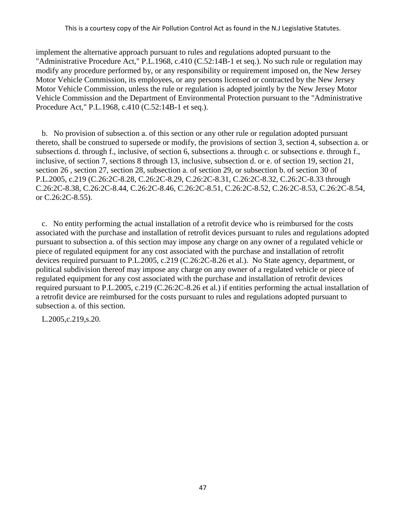implement the alternative approach pursuant to rules and regulations adopted pursuant to the "Administrative Procedure Act," P.L.1968, c.410 (C.52:14B-1 et seq.). No such rule or regulation may modify any procedure performed by, or any responsibility or requirement imposed on, the New Jersey Motor Vehicle Commission, its employees, or any persons licensed or contracted by the New Jersey Motor Vehicle Commission, unless the rule or regulation is adopted jointly by the New Jersey Motor Vehicle Commission and the Department of Environmental Protection pursuant to the "Administrative Procedure Act," P.L.1968, c.410 (C.52:14B-1 et seq.).

 b. No provision of subsection a. of this section or any other rule or regulation adopted pursuant thereto, shall be construed to supersede or modify, the provisions of section 3, section 4, subsection a. or subsections d. through f., inclusive, of section 6, subsections a. through c. or subsections e. through f., inclusive, of section 7, sections 8 through 13, inclusive, subsection d. or e. of section 19, section 21, section 26 , section 27, section 28, subsection a. of section 29, or subsection b. of section 30 of P.L.2005, c.219 (C.26:2C-8.28, C.26:2C-8.29, C.26:2C-8.31, C.26:2C-8.32, C.26:2C-8.33 through C.26:2C-8.38, C.26:2C-8.44, C.26:2C-8.46, C.26:2C-8.51, C.26:2C-8.52, C.26:2C-8.53, C.26:2C-8.54, or C.26:2C-8.55).

 c. No entity performing the actual installation of a retrofit device who is reimbursed for the costs associated with the purchase and installation of retrofit devices pursuant to rules and regulations adopted pursuant to subsection a. of this section may impose any charge on any owner of a regulated vehicle or piece of regulated equipment for any cost associated with the purchase and installation of retrofit devices required pursuant to P.L.2005, c.219 (C.26:2C-8.26 et al.). No State agency, department, or political subdivision thereof may impose any charge on any owner of a regulated vehicle or piece of regulated equipment for any cost associated with the purchase and installation of retrofit devices required pursuant to P.L.2005, c.219 (C.26:2C-8.26 et al.) if entities performing the actual installation of a retrofit device are reimbursed for the costs pursuant to rules and regulations adopted pursuant to subsection a. of this section.

L.2005,c.219,s.20.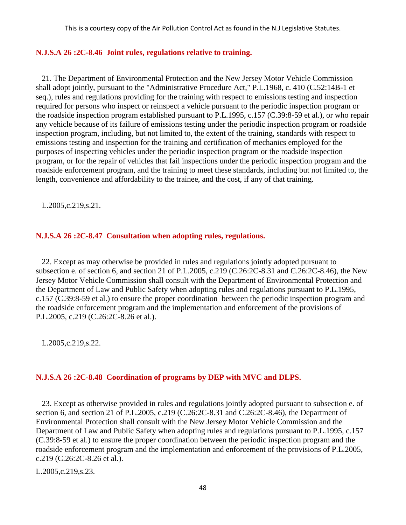### **N.J.S.A 26 :2C-8.46 Joint rules, regulations relative to training.**

 21. The Department of Environmental Protection and the New Jersey Motor Vehicle Commission shall adopt jointly, pursuant to the "Administrative Procedure Act," P.L.1968, c. 410 (C.52:14B-1 et seq.), rules and regulations providing for the training with respect to emissions testing and inspection required for persons who inspect or reinspect a vehicle pursuant to the periodic inspection program or the roadside inspection program established pursuant to P.L.1995, c.157 (C.39:8-59 et al.), or who repair any vehicle because of its failure of emissions testing under the periodic inspection program or roadside inspection program, including, but not limited to, the extent of the training, standards with respect to emissions testing and inspection for the training and certification of mechanics employed for the purposes of inspecting vehicles under the periodic inspection program or the roadside inspection program, or for the repair of vehicles that fail inspections under the periodic inspection program and the roadside enforcement program, and the training to meet these standards, including but not limited to, the length, convenience and affordability to the trainee, and the cost, if any of that training.

L.2005,c.219,s.21.

## **N.J.S.A 26 :2C-8.47 Consultation when adopting rules, regulations.**

 22. Except as may otherwise be provided in rules and regulations jointly adopted pursuant to subsection e. of section 6, and section 21 of P.L.2005, c.219 (C.26:2C-8.31 and C.26:2C-8.46), the New Jersey Motor Vehicle Commission shall consult with the Department of Environmental Protection and the Department of Law and Public Safety when adopting rules and regulations pursuant to P.L.1995, c.157 (C.39:8-59 et al.) to ensure the proper coordination between the periodic inspection program and the roadside enforcement program and the implementation and enforcement of the provisions of P.L.2005, c.219 (C.26:2C-8.26 et al.).

L.2005,c.219,s.22.

# **N.J.S.A 26 :2C-8.48 Coordination of programs by DEP with MVC and DLPS.**

 23. Except as otherwise provided in rules and regulations jointly adopted pursuant to subsection e. of section 6, and section 21 of P.L.2005, c.219 (C.26:2C-8.31 and C.26:2C-8.46), the Department of Environmental Protection shall consult with the New Jersey Motor Vehicle Commission and the Department of Law and Public Safety when adopting rules and regulations pursuant to P.L.1995, c.157 (C.39:8-59 et al.) to ensure the proper coordination between the periodic inspection program and the roadside enforcement program and the implementation and enforcement of the provisions of P.L.2005, c.219 (C.26:2C-8.26 et al.).

L.2005,c.219,s.23.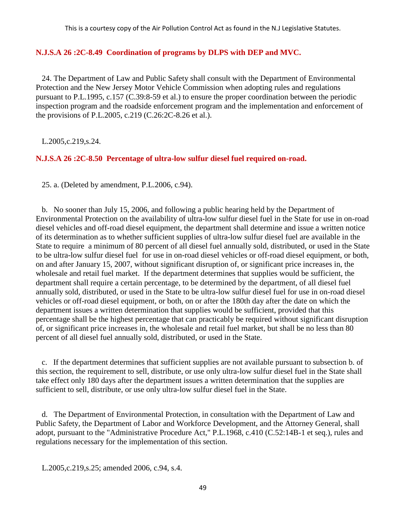## **N.J.S.A 26 :2C-8.49 Coordination of programs by DLPS with DEP and MVC.**

 24. The Department of Law and Public Safety shall consult with the Department of Environmental Protection and the New Jersey Motor Vehicle Commission when adopting rules and regulations pursuant to P.L.1995, c.157 (C.39:8-59 et al.) to ensure the proper coordination between the periodic inspection program and the roadside enforcement program and the implementation and enforcement of the provisions of P.L.2005, c.219 (C.26:2C-8.26 et al.).

L.2005,c.219,s.24.

## **N.J.S.A 26 :2C-8.50 Percentage of ultra-low sulfur diesel fuel required on-road.**

25. a. (Deleted by amendment, P.L.2006, c.94).

 b. No sooner than July 15, 2006, and following a public hearing held by the Department of Environmental Protection on the availability of ultra-low sulfur diesel fuel in the State for use in on-road diesel vehicles and off-road diesel equipment, the department shall determine and issue a written notice of its determination as to whether sufficient supplies of ultra-low sulfur diesel fuel are available in the State to require a minimum of 80 percent of all diesel fuel annually sold, distributed, or used in the State to be ultra-low sulfur diesel fuel for use in on-road diesel vehicles or off-road diesel equipment, or both, on and after January 15, 2007, without significant disruption of, or significant price increases in, the wholesale and retail fuel market. If the department determines that supplies would be sufficient, the department shall require a certain percentage, to be determined by the department, of all diesel fuel annually sold, distributed, or used in the State to be ultra-low sulfur diesel fuel for use in on-road diesel vehicles or off-road diesel equipment, or both, on or after the 180th day after the date on which the department issues a written determination that supplies would be sufficient, provided that this percentage shall be the highest percentage that can practicably be required without significant disruption of, or significant price increases in, the wholesale and retail fuel market, but shall be no less than 80 percent of all diesel fuel annually sold, distributed, or used in the State.

 c. If the department determines that sufficient supplies are not available pursuant to subsection b. of this section, the requirement to sell, distribute, or use only ultra-low sulfur diesel fuel in the State shall take effect only 180 days after the department issues a written determination that the supplies are sufficient to sell, distribute, or use only ultra-low sulfur diesel fuel in the State.

 d. The Department of Environmental Protection, in consultation with the Department of Law and Public Safety, the Department of Labor and Workforce Development, and the Attorney General, shall adopt, pursuant to the "Administrative Procedure Act," P.L.1968, c.410 (C.52:14B-1 et seq.), rules and regulations necessary for the implementation of this section.

L.2005,c.219,s.25; amended 2006, c.94, s.4.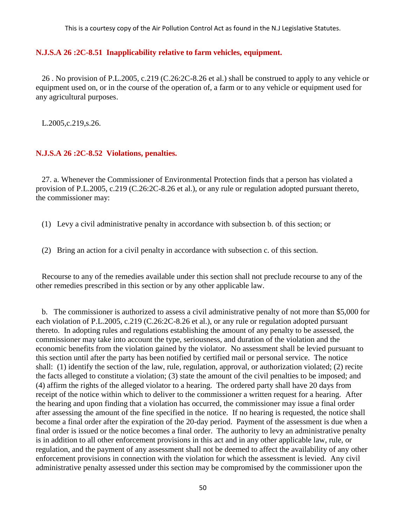### **N.J.S.A 26 :2C-8.51 Inapplicability relative to farm vehicles, equipment.**

 26 . No provision of P.L.2005, c.219 (C.26:2C-8.26 et al.) shall be construed to apply to any vehicle or equipment used on, or in the course of the operation of, a farm or to any vehicle or equipment used for any agricultural purposes.

L.2005,c.219,s.26.

### **N.J.S.A 26 :2C-8.52 Violations, penalties.**

 27. a. Whenever the Commissioner of Environmental Protection finds that a person has violated a provision of P.L.2005, c.219 (C.26:2C-8.26 et al.), or any rule or regulation adopted pursuant thereto, the commissioner may:

- (1) Levy a civil administrative penalty in accordance with subsection b. of this section; or
- (2) Bring an action for a civil penalty in accordance with subsection c. of this section.

 Recourse to any of the remedies available under this section shall not preclude recourse to any of the other remedies prescribed in this section or by any other applicable law.

 b. The commissioner is authorized to assess a civil administrative penalty of not more than \$5,000 for each violation of P.L.2005, c.219 (C.26:2C-8.26 et al.), or any rule or regulation adopted pursuant thereto. In adopting rules and regulations establishing the amount of any penalty to be assessed, the commissioner may take into account the type, seriousness, and duration of the violation and the economic benefits from the violation gained by the violator. No assessment shall be levied pursuant to this section until after the party has been notified by certified mail or personal service. The notice shall: (1) identify the section of the law, rule, regulation, approval, or authorization violated; (2) recite the facts alleged to constitute a violation; (3) state the amount of the civil penalties to be imposed; and (4) affirm the rights of the alleged violator to a hearing. The ordered party shall have 20 days from receipt of the notice within which to deliver to the commissioner a written request for a hearing. After the hearing and upon finding that a violation has occurred, the commissioner may issue a final order after assessing the amount of the fine specified in the notice. If no hearing is requested, the notice shall become a final order after the expiration of the 20-day period. Payment of the assessment is due when a final order is issued or the notice becomes a final order. The authority to levy an administrative penalty is in addition to all other enforcement provisions in this act and in any other applicable law, rule, or regulation, and the payment of any assessment shall not be deemed to affect the availability of any other enforcement provisions in connection with the violation for which the assessment is levied. Any civil administrative penalty assessed under this section may be compromised by the commissioner upon the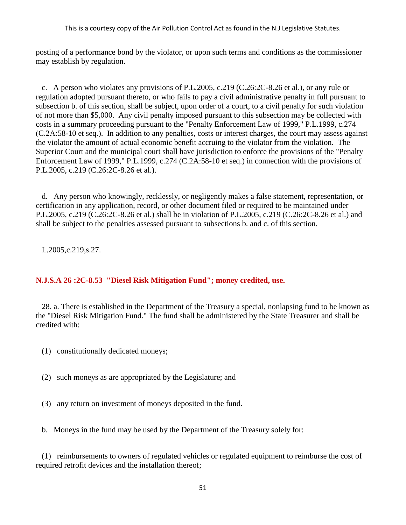posting of a performance bond by the violator, or upon such terms and conditions as the commissioner may establish by regulation.

 c. A person who violates any provisions of P.L.2005, c.219 (C.26:2C-8.26 et al.), or any rule or regulation adopted pursuant thereto, or who fails to pay a civil administrative penalty in full pursuant to subsection b. of this section, shall be subject, upon order of a court, to a civil penalty for such violation of not more than \$5,000. Any civil penalty imposed pursuant to this subsection may be collected with costs in a summary proceeding pursuant to the "Penalty Enforcement Law of 1999," P.L.1999, c.274 (C.2A:58-10 et seq.). In addition to any penalties, costs or interest charges, the court may assess against the violator the amount of actual economic benefit accruing to the violator from the violation. The Superior Court and the municipal court shall have jurisdiction to enforce the provisions of the "Penalty Enforcement Law of 1999," P.L.1999, c.274 (C.2A:58-10 et seq.) in connection with the provisions of P.L.2005, c.219 (C.26:2C-8.26 et al.).

 d. Any person who knowingly, recklessly, or negligently makes a false statement, representation, or certification in any application, record, or other document filed or required to be maintained under P.L.2005, c.219 (C.26:2C-8.26 et al.) shall be in violation of P.L.2005, c.219 (C.26:2C-8.26 et al.) and shall be subject to the penalties assessed pursuant to subsections b. and c. of this section.

L.2005,c.219,s.27.

# **N.J.S.A 26 :2C-8.53 "Diesel Risk Mitigation Fund"; money credited, use.**

 28. a. There is established in the Department of the Treasury a special, nonlapsing fund to be known as the "Diesel Risk Mitigation Fund." The fund shall be administered by the State Treasurer and shall be credited with:

- (1) constitutionally dedicated moneys;
- (2) such moneys as are appropriated by the Legislature; and
- (3) any return on investment of moneys deposited in the fund.
- b. Moneys in the fund may be used by the Department of the Treasury solely for:

 (1) reimbursements to owners of regulated vehicles or regulated equipment to reimburse the cost of required retrofit devices and the installation thereof;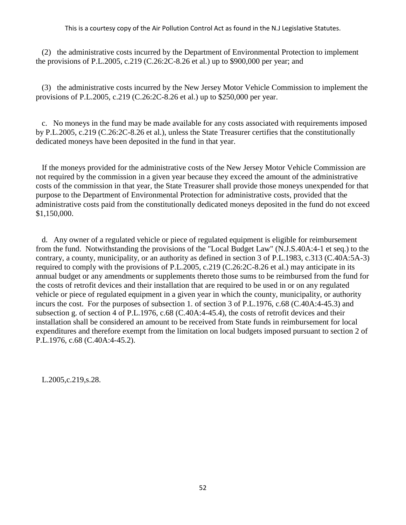(2) the administrative costs incurred by the Department of Environmental Protection to implement the provisions of P.L.2005, c.219 (C.26:2C-8.26 et al.) up to \$900,000 per year; and

 (3) the administrative costs incurred by the New Jersey Motor Vehicle Commission to implement the provisions of P.L.2005, c.219 (C.26:2C-8.26 et al.) up to \$250,000 per year.

 c. No moneys in the fund may be made available for any costs associated with requirements imposed by P.L.2005, c.219 (C.26:2C-8.26 et al.), unless the State Treasurer certifies that the constitutionally dedicated moneys have been deposited in the fund in that year.

 If the moneys provided for the administrative costs of the New Jersey Motor Vehicle Commission are not required by the commission in a given year because they exceed the amount of the administrative costs of the commission in that year, the State Treasurer shall provide those moneys unexpended for that purpose to the Department of Environmental Protection for administrative costs, provided that the administrative costs paid from the constitutionally dedicated moneys deposited in the fund do not exceed \$1,150,000.

 d. Any owner of a regulated vehicle or piece of regulated equipment is eligible for reimbursement from the fund. Notwithstanding the provisions of the "Local Budget Law" (N.J.S.40A:4-1 et seq.) to the contrary, a county, municipality, or an authority as defined in section 3 of P.L.1983, c.313 (C.40A:5A-3) required to comply with the provisions of P.L.2005, c.219 (C.26:2C-8.26 et al.) may anticipate in its annual budget or any amendments or supplements thereto those sums to be reimbursed from the fund for the costs of retrofit devices and their installation that are required to be used in or on any regulated vehicle or piece of regulated equipment in a given year in which the county, municipality, or authority incurs the cost. For the purposes of subsection 1. of section 3 of P.L.1976, c.68 (C.40A:4-45.3) and subsection g. of section 4 of P.L.1976, c.68 (C.40A:4-45.4), the costs of retrofit devices and their installation shall be considered an amount to be received from State funds in reimbursement for local expenditures and therefore exempt from the limitation on local budgets imposed pursuant to section 2 of P.L.1976, c.68 (C.40A:4-45.2).

L.2005,c.219,s.28.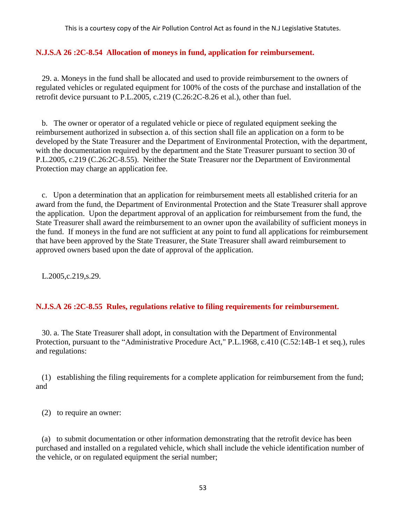### **N.J.S.A 26 :2C-8.54 Allocation of moneys in fund, application for reimbursement.**

 29. a. Moneys in the fund shall be allocated and used to provide reimbursement to the owners of regulated vehicles or regulated equipment for 100% of the costs of the purchase and installation of the retrofit device pursuant to P.L.2005, c.219 (C.26:2C-8.26 et al.), other than fuel.

 b. The owner or operator of a regulated vehicle or piece of regulated equipment seeking the reimbursement authorized in subsection a. of this section shall file an application on a form to be developed by the State Treasurer and the Department of Environmental Protection, with the department, with the documentation required by the department and the State Treasurer pursuant to section 30 of P.L.2005, c.219 (C.26:2C-8.55). Neither the State Treasurer nor the Department of Environmental Protection may charge an application fee.

 c. Upon a determination that an application for reimbursement meets all established criteria for an award from the fund, the Department of Environmental Protection and the State Treasurer shall approve the application. Upon the department approval of an application for reimbursement from the fund, the State Treasurer shall award the reimbursement to an owner upon the availability of sufficient moneys in the fund. If moneys in the fund are not sufficient at any point to fund all applications for reimbursement that have been approved by the State Treasurer, the State Treasurer shall award reimbursement to approved owners based upon the date of approval of the application.

L.2005,c.219,s.29.

## **N.J.S.A 26 :2C-8.55 Rules, regulations relative to filing requirements for reimbursement.**

 30. a. The State Treasurer shall adopt, in consultation with the Department of Environmental Protection, pursuant to the "Administrative Procedure Act," P.L.1968, c.410 (C.52:14B-1 et seq.), rules and regulations:

 (1) establishing the filing requirements for a complete application for reimbursement from the fund; and

(2) to require an owner:

 (a) to submit documentation or other information demonstrating that the retrofit device has been purchased and installed on a regulated vehicle, which shall include the vehicle identification number of the vehicle, or on regulated equipment the serial number;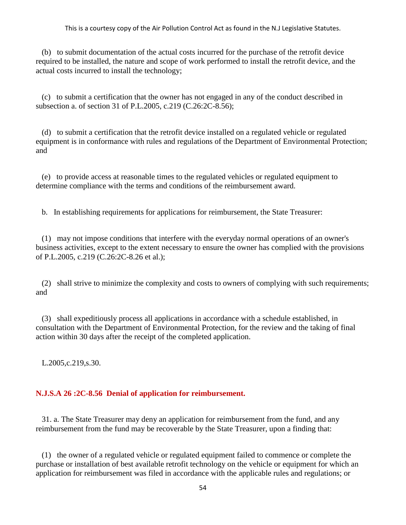(b) to submit documentation of the actual costs incurred for the purchase of the retrofit device required to be installed, the nature and scope of work performed to install the retrofit device, and the actual costs incurred to install the technology;

 (c) to submit a certification that the owner has not engaged in any of the conduct described in subsection a. of section 31 of P.L.2005, c.219 (C.26:2C-8.56);

 (d) to submit a certification that the retrofit device installed on a regulated vehicle or regulated equipment is in conformance with rules and regulations of the Department of Environmental Protection; and

 (e) to provide access at reasonable times to the regulated vehicles or regulated equipment to determine compliance with the terms and conditions of the reimbursement award.

b. In establishing requirements for applications for reimbursement, the State Treasurer:

 (1) may not impose conditions that interfere with the everyday normal operations of an owner's business activities, except to the extent necessary to ensure the owner has complied with the provisions of P.L.2005, c.219 (C.26:2C-8.26 et al.);

 (2) shall strive to minimize the complexity and costs to owners of complying with such requirements; and

 (3) shall expeditiously process all applications in accordance with a schedule established, in consultation with the Department of Environmental Protection, for the review and the taking of final action within 30 days after the receipt of the completed application.

L.2005,c.219,s.30.

### **N.J.S.A 26 :2C-8.56 Denial of application for reimbursement.**

 31. a. The State Treasurer may deny an application for reimbursement from the fund, and any reimbursement from the fund may be recoverable by the State Treasurer, upon a finding that:

 (1) the owner of a regulated vehicle or regulated equipment failed to commence or complete the purchase or installation of best available retrofit technology on the vehicle or equipment for which an application for reimbursement was filed in accordance with the applicable rules and regulations; or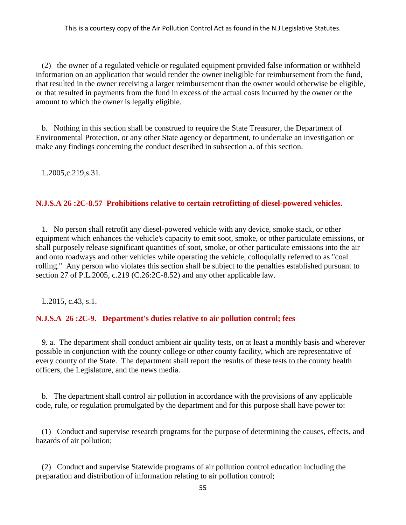(2) the owner of a regulated vehicle or regulated equipment provided false information or withheld information on an application that would render the owner ineligible for reimbursement from the fund, that resulted in the owner receiving a larger reimbursement than the owner would otherwise be eligible, or that resulted in payments from the fund in excess of the actual costs incurred by the owner or the amount to which the owner is legally eligible.

 b. Nothing in this section shall be construed to require the State Treasurer, the Department of Environmental Protection, or any other State agency or department, to undertake an investigation or make any findings concerning the conduct described in subsection a. of this section.

L.2005,c.219,s.31.

# **N.J.S.A 26 :2C-8.57 Prohibitions relative to certain retrofitting of diesel-powered vehicles.**

 1. No person shall retrofit any diesel-powered vehicle with any device, smoke stack, or other equipment which enhances the vehicle's capacity to emit soot, smoke, or other particulate emissions, or shall purposely release significant quantities of soot, smoke, or other particulate emissions into the air and onto roadways and other vehicles while operating the vehicle, colloquially referred to as "coal rolling." Any person who violates this section shall be subject to the penalties established pursuant to section 27 of P.L.2005, c.219 (C.26:2C-8.52) and any other applicable law.

L.2015, c.43, s.1.

# **N.J.S.A 26 :2C-9. Department's duties relative to air pollution control; fees**

 9. a. The department shall conduct ambient air quality tests, on at least a monthly basis and wherever possible in conjunction with the county college or other county facility, which are representative of every county of the State. The department shall report the results of these tests to the county health officers, the Legislature, and the news media.

 b. The department shall control air pollution in accordance with the provisions of any applicable code, rule, or regulation promulgated by the department and for this purpose shall have power to:

 (1) Conduct and supervise research programs for the purpose of determining the causes, effects, and hazards of air pollution;

 (2) Conduct and supervise Statewide programs of air pollution control education including the preparation and distribution of information relating to air pollution control;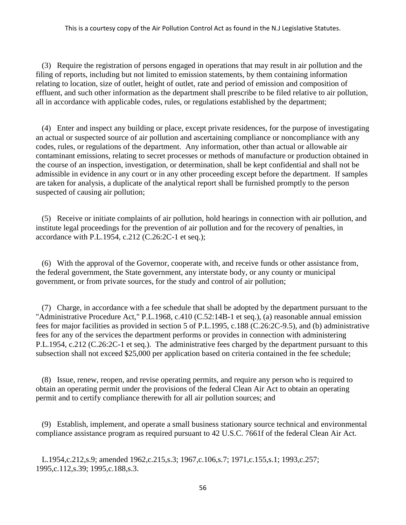(3) Require the registration of persons engaged in operations that may result in air pollution and the filing of reports, including but not limited to emission statements, by them containing information relating to location, size of outlet, height of outlet, rate and period of emission and composition of effluent, and such other information as the department shall prescribe to be filed relative to air pollution, all in accordance with applicable codes, rules, or regulations established by the department;

 (4) Enter and inspect any building or place, except private residences, for the purpose of investigating an actual or suspected source of air pollution and ascertaining compliance or noncompliance with any codes, rules, or regulations of the department. Any information, other than actual or allowable air contaminant emissions, relating to secret processes or methods of manufacture or production obtained in the course of an inspection, investigation, or determination, shall be kept confidential and shall not be admissible in evidence in any court or in any other proceeding except before the department. If samples are taken for analysis, a duplicate of the analytical report shall be furnished promptly to the person suspected of causing air pollution;

 (5) Receive or initiate complaints of air pollution, hold hearings in connection with air pollution, and institute legal proceedings for the prevention of air pollution and for the recovery of penalties, in accordance with P.L.1954, c.212 (C.26:2C-1 et seq.);

 (6) With the approval of the Governor, cooperate with, and receive funds or other assistance from, the federal government, the State government, any interstate body, or any county or municipal government, or from private sources, for the study and control of air pollution;

 (7) Charge, in accordance with a fee schedule that shall be adopted by the department pursuant to the "Administrative Procedure Act," P.L.1968, c.410 (C.52:14B-1 et seq.), (a) reasonable annual emission fees for major facilities as provided in section 5 of P.L.1995, c.188 (C.26:2C-9.5), and (b) administrative fees for any of the services the department performs or provides in connection with administering P.L.1954, c.212 (C.26:2C-1 et seq.). The administrative fees charged by the department pursuant to this subsection shall not exceed \$25,000 per application based on criteria contained in the fee schedule;

 (8) Issue, renew, reopen, and revise operating permits, and require any person who is required to obtain an operating permit under the provisions of the federal Clean Air Act to obtain an operating permit and to certify compliance therewith for all air pollution sources; and

 (9) Establish, implement, and operate a small business stationary source technical and environmental compliance assistance program as required pursuant to 42 U.S.C. 7661f of the federal Clean Air Act.

 L.1954,c.212,s.9; amended 1962,c.215,s.3; 1967,c.106,s.7; 1971,c.155,s.1; 1993,c.257; 1995,c.112,s.39; 1995,c.188,s.3.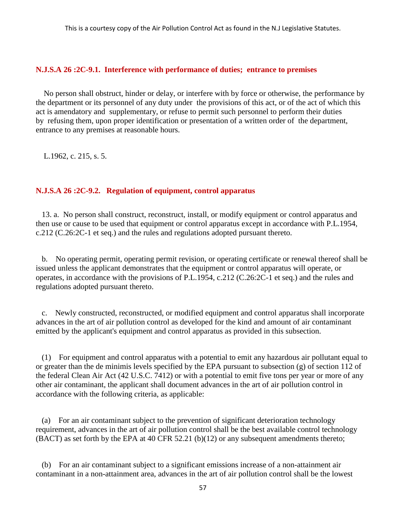### **N.J.S.A 26 :2C-9.1. Interference with performance of duties; entrance to premises**

No person shall obstruct, hinder or delay, or interfere with by force or otherwise, the performance by the department or its personnel of any duty under the provisions of this act, or of the act of which this act is amendatory and supplementary, or refuse to permit such personnel to perform their duties by refusing them, upon proper identification or presentation of a written order of the department, entrance to any premises at reasonable hours.

L.1962, c. 215, s. 5.

## **N.J.S.A 26 :2C-9.2. Regulation of equipment, control apparatus**

 13. a. No person shall construct, reconstruct, install, or modify equipment or control apparatus and then use or cause to be used that equipment or control apparatus except in accordance with P.L.1954, c.212 (C.26:2C-1 et seq.) and the rules and regulations adopted pursuant thereto.

 b. No operating permit, operating permit revision, or operating certificate or renewal thereof shall be issued unless the applicant demonstrates that the equipment or control apparatus will operate, or operates, in accordance with the provisions of P.L.1954, c.212 (C.26:2C-1 et seq.) and the rules and regulations adopted pursuant thereto.

 c. Newly constructed, reconstructed, or modified equipment and control apparatus shall incorporate advances in the art of air pollution control as developed for the kind and amount of air contaminant emitted by the applicant's equipment and control apparatus as provided in this subsection.

 (1) For equipment and control apparatus with a potential to emit any hazardous air pollutant equal to or greater than the de minimis levels specified by the EPA pursuant to subsection (g) of section 112 of the federal Clean Air Act (42 U.S.C. 7412) or with a potential to emit five tons per year or more of any other air contaminant, the applicant shall document advances in the art of air pollution control in accordance with the following criteria, as applicable:

 (a) For an air contaminant subject to the prevention of significant deterioration technology requirement, advances in the art of air pollution control shall be the best available control technology (BACT) as set forth by the EPA at 40 CFR 52.21 (b)(12) or any subsequent amendments thereto;

 (b) For an air contaminant subject to a significant emissions increase of a non-attainment air contaminant in a non-attainment area, advances in the art of air pollution control shall be the lowest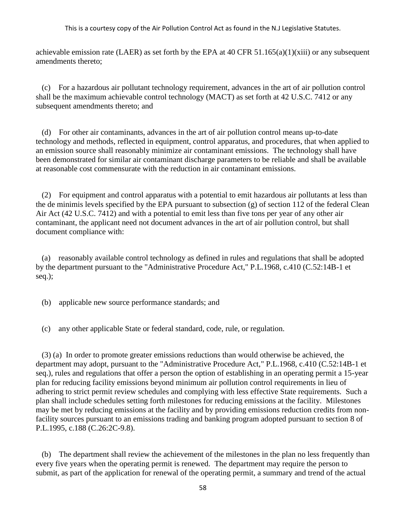achievable emission rate (LAER) as set forth by the EPA at 40 CFR  $51.165(a)(1)(xiii)$  or any subsequent amendments thereto;

 (c) For a hazardous air pollutant technology requirement, advances in the art of air pollution control shall be the maximum achievable control technology (MACT) as set forth at 42 U.S.C. 7412 or any subsequent amendments thereto; and

 (d) For other air contaminants, advances in the art of air pollution control means up-to-date technology and methods, reflected in equipment, control apparatus, and procedures, that when applied to an emission source shall reasonably minimize air contaminant emissions. The technology shall have been demonstrated for similar air contaminant discharge parameters to be reliable and shall be available at reasonable cost commensurate with the reduction in air contaminant emissions.

 (2) For equipment and control apparatus with a potential to emit hazardous air pollutants at less than the de minimis levels specified by the EPA pursuant to subsection (g) of section 112 of the federal Clean Air Act (42 U.S.C. 7412) and with a potential to emit less than five tons per year of any other air contaminant, the applicant need not document advances in the art of air pollution control, but shall document compliance with:

 (a) reasonably available control technology as defined in rules and regulations that shall be adopted by the department pursuant to the "Administrative Procedure Act," P.L.1968, c.410 (C.52:14B-1 et seq.);

(b) applicable new source performance standards; and

(c) any other applicable State or federal standard, code, rule, or regulation.

 (3) (a) In order to promote greater emissions reductions than would otherwise be achieved, the department may adopt, pursuant to the "Administrative Procedure Act," P.L.1968, c.410 (C.52:14B-1 et seq.), rules and regulations that offer a person the option of establishing in an operating permit a 15-year plan for reducing facility emissions beyond minimum air pollution control requirements in lieu of adhering to strict permit review schedules and complying with less effective State requirements. Such a plan shall include schedules setting forth milestones for reducing emissions at the facility. Milestones may be met by reducing emissions at the facility and by providing emissions reduction credits from nonfacility sources pursuant to an emissions trading and banking program adopted pursuant to section 8 of P.L.1995, c.188 (C.26:2C-9.8).

 (b) The department shall review the achievement of the milestones in the plan no less frequently than every five years when the operating permit is renewed. The department may require the person to submit, as part of the application for renewal of the operating permit, a summary and trend of the actual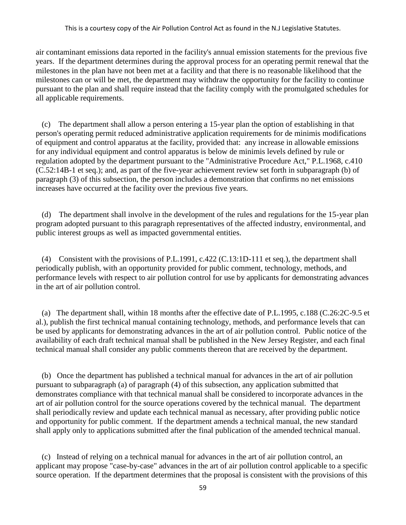air contaminant emissions data reported in the facility's annual emission statements for the previous five years. If the department determines during the approval process for an operating permit renewal that the milestones in the plan have not been met at a facility and that there is no reasonable likelihood that the milestones can or will be met, the department may withdraw the opportunity for the facility to continue pursuant to the plan and shall require instead that the facility comply with the promulgated schedules for all applicable requirements.

 (c) The department shall allow a person entering a 15-year plan the option of establishing in that person's operating permit reduced administrative application requirements for de minimis modifications of equipment and control apparatus at the facility, provided that: any increase in allowable emissions for any individual equipment and control apparatus is below de minimis levels defined by rule or regulation adopted by the department pursuant to the "Administrative Procedure Act," P.L.1968, c.410 (C.52:14B-1 et seq.); and, as part of the five-year achievement review set forth in subparagraph (b) of paragraph (3) of this subsection, the person includes a demonstration that confirms no net emissions increases have occurred at the facility over the previous five years.

 (d) The department shall involve in the development of the rules and regulations for the 15-year plan program adopted pursuant to this paragraph representatives of the affected industry, environmental, and public interest groups as well as impacted governmental entities.

 (4) Consistent with the provisions of P.L.1991, c.422 (C.13:1D-111 et seq.), the department shall periodically publish, with an opportunity provided for public comment, technology, methods, and performance levels with respect to air pollution control for use by applicants for demonstrating advances in the art of air pollution control.

 (a) The department shall, within 18 months after the effective date of P.L.1995, c.188 (C.26:2C-9.5 et al.), publish the first technical manual containing technology, methods, and performance levels that can be used by applicants for demonstrating advances in the art of air pollution control. Public notice of the availability of each draft technical manual shall be published in the New Jersey Register, and each final technical manual shall consider any public comments thereon that are received by the department.

 (b) Once the department has published a technical manual for advances in the art of air pollution pursuant to subparagraph (a) of paragraph (4) of this subsection, any application submitted that demonstrates compliance with that technical manual shall be considered to incorporate advances in the art of air pollution control for the source operations covered by the technical manual. The department shall periodically review and update each technical manual as necessary, after providing public notice and opportunity for public comment. If the department amends a technical manual, the new standard shall apply only to applications submitted after the final publication of the amended technical manual.

 (c) Instead of relying on a technical manual for advances in the art of air pollution control, an applicant may propose "case-by-case" advances in the art of air pollution control applicable to a specific source operation. If the department determines that the proposal is consistent with the provisions of this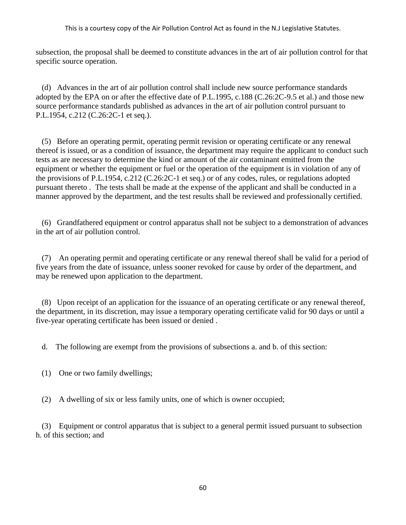subsection, the proposal shall be deemed to constitute advances in the art of air pollution control for that specific source operation.

 (d) Advances in the art of air pollution control shall include new source performance standards adopted by the EPA on or after the effective date of P.L.1995, c.188 (C.26:2C-9.5 et al.) and those new source performance standards published as advances in the art of air pollution control pursuant to P.L.1954, c.212 (C.26:2C-1 et seq.).

 (5) Before an operating permit, operating permit revision or operating certificate or any renewal thereof is issued, or as a condition of issuance, the department may require the applicant to conduct such tests as are necessary to determine the kind or amount of the air contaminant emitted from the equipment or whether the equipment or fuel or the operation of the equipment is in violation of any of the provisions of P.L.1954, c.212 (C.26:2C-1 et seq.) or of any codes, rules, or regulations adopted pursuant thereto . The tests shall be made at the expense of the applicant and shall be conducted in a manner approved by the department, and the test results shall be reviewed and professionally certified.

 (6) Grandfathered equipment or control apparatus shall not be subject to a demonstration of advances in the art of air pollution control.

 (7) An operating permit and operating certificate or any renewal thereof shall be valid for a period of five years from the date of issuance, unless sooner revoked for cause by order of the department, and may be renewed upon application to the department.

 (8) Upon receipt of an application for the issuance of an operating certificate or any renewal thereof, the department, in its discretion, may issue a temporary operating certificate valid for 90 days or until a five-year operating certificate has been issued or denied .

d. The following are exempt from the provisions of subsections a. and b. of this section:

- (1) One or two family dwellings;
- (2) A dwelling of six or less family units, one of which is owner occupied;

 (3) Equipment or control apparatus that is subject to a general permit issued pursuant to subsection h. of this section; and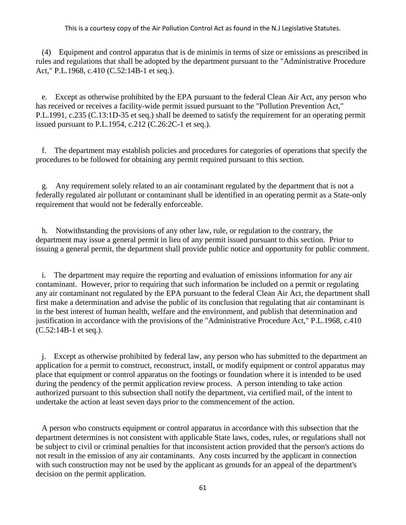(4) Equipment and control apparatus that is de minimis in terms of size or emissions as prescribed in rules and regulations that shall be adopted by the department pursuant to the "Administrative Procedure Act," P.L.1968, c.410 (C.52:14B-1 et seq.).

 e. Except as otherwise prohibited by the EPA pursuant to the federal Clean Air Act, any person who has received or receives a facility-wide permit issued pursuant to the "Pollution Prevention Act," P.L.1991, c.235 (C.13:1D-35 et seq.) shall be deemed to satisfy the requirement for an operating permit issued pursuant to P.L.1954, c.212 (C.26:2C-1 et seq.).

 f. The department may establish policies and procedures for categories of operations that specify the procedures to be followed for obtaining any permit required pursuant to this section.

 g. Any requirement solely related to an air contaminant regulated by the department that is not a federally regulated air pollutant or contaminant shall be identified in an operating permit as a State-only requirement that would not be federally enforceable.

 h. Notwithstanding the provisions of any other law, rule, or regulation to the contrary, the department may issue a general permit in lieu of any permit issued pursuant to this section. Prior to issuing a general permit, the department shall provide public notice and opportunity for public comment.

 i. The department may require the reporting and evaluation of emissions information for any air contaminant. However, prior to requiring that such information be included on a permit or regulating any air contaminant not regulated by the EPA pursuant to the federal Clean Air Act, the department shall first make a determination and advise the public of its conclusion that regulating that air contaminant is in the best interest of human health, welfare and the environment, and publish that determination and justification in accordance with the provisions of the "Administrative Procedure Act," P.L.1968, c.410 (C.52:14B-1 et seq.).

 j. Except as otherwise prohibited by federal law, any person who has submitted to the department an application for a permit to construct, reconstruct, install, or modify equipment or control apparatus may place that equipment or control apparatus on the footings or foundation where it is intended to be used during the pendency of the permit application review process. A person intending to take action authorized pursuant to this subsection shall notify the department, via certified mail, of the intent to undertake the action at least seven days prior to the commencement of the action.

 A person who constructs equipment or control apparatus in accordance with this subsection that the department determines is not consistent with applicable State laws, codes, rules, or regulations shall not be subject to civil or criminal penalties for that inconsistent action provided that the person's actions do not result in the emission of any air contaminants. Any costs incurred by the applicant in connection with such construction may not be used by the applicant as grounds for an appeal of the department's decision on the permit application.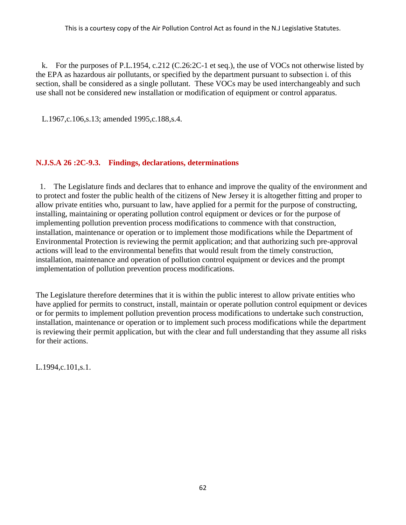k. For the purposes of P.L.1954, c.212 (C.26:2C-1 et seq.), the use of VOCs not otherwise listed by the EPA as hazardous air pollutants, or specified by the department pursuant to subsection i. of this section, shall be considered as a single pollutant. These VOCs may be used interchangeably and such use shall not be considered new installation or modification of equipment or control apparatus.

L.1967,c.106,s.13; amended 1995,c.188,s.4.

# **N.J.S.A 26 :2C-9.3. Findings, declarations, determinations**

1. The Legislature finds and declares that to enhance and improve the quality of the environment and to protect and foster the public health of the citizens of New Jersey it is altogether fitting and proper to allow private entities who, pursuant to law, have applied for a permit for the purpose of constructing, installing, maintaining or operating pollution control equipment or devices or for the purpose of implementing pollution prevention process modifications to commence with that construction, installation, maintenance or operation or to implement those modifications while the Department of Environmental Protection is reviewing the permit application; and that authorizing such pre-approval actions will lead to the environmental benefits that would result from the timely construction, installation, maintenance and operation of pollution control equipment or devices and the prompt implementation of pollution prevention process modifications.

The Legislature therefore determines that it is within the public interest to allow private entities who have applied for permits to construct, install, maintain or operate pollution control equipment or devices or for permits to implement pollution prevention process modifications to undertake such construction, installation, maintenance or operation or to implement such process modifications while the department is reviewing their permit application, but with the clear and full understanding that they assume all risks for their actions.

L.1994,c.101,s.1.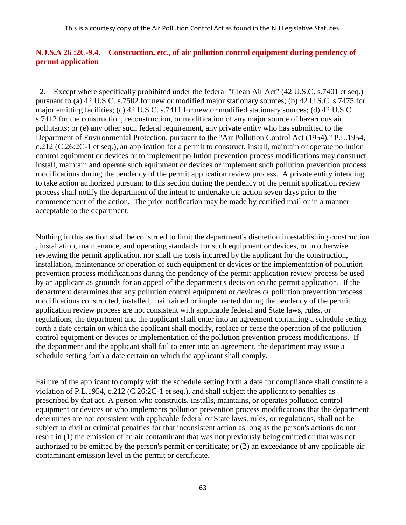# **N.J.S.A 26 :2C-9.4. Construction, etc., of air pollution control equipment during pendency of permit application**

2. Except where specifically prohibited under the federal "Clean Air Act" (42 U.S.C. s.7401 et seq.) pursuant to (a) 42 U.S.C. s.7502 for new or modified major stationary sources; (b) 42 U.S.C. s.7475 for major emitting facilities; (c) 42 U.S.C. s.7411 for new or modified stationary sources; (d) 42 U.S.C. s.7412 for the construction, reconstruction, or modification of any major source of hazardous air pollutants; or (e) any other such federal requirement, any private entity who has submitted to the Department of Environmental Protection, pursuant to the "Air Pollution Control Act (1954)," P.L.1954, c.212 (C.26:2C-1 et seq.), an application for a permit to construct, install, maintain or operate pollution control equipment or devices or to implement pollution prevention process modifications may construct, install, maintain and operate such equipment or devices or implement such pollution prevention process modifications during the pendency of the permit application review process. A private entity intending to take action authorized pursuant to this section during the pendency of the permit application review process shall notify the department of the intent to undertake the action seven days prior to the commencement of the action. The prior notification may be made by certified mail or in a manner acceptable to the department.

Nothing in this section shall be construed to limit the department's discretion in establishing construction , installation, maintenance, and operating standards for such equipment or devices, or in otherwise reviewing the permit application, nor shall the costs incurred by the applicant for the construction, installation, maintenance or operation of such equipment or devices or the implementation of pollution prevention process modifications during the pendency of the permit application review process be used by an applicant as grounds for an appeal of the department's decision on the permit application. If the department determines that any pollution control equipment or devices or pollution prevention process modifications constructed, installed, maintained or implemented during the pendency of the permit application review process are not consistent with applicable federal and State laws, rules, or regulations, the department and the applicant shall enter into an agreement containing a schedule setting forth a date certain on which the applicant shall modify, replace or cease the operation of the pollution control equipment or devices or implementation of the pollution prevention process modifications. If the department and the applicant shall fail to enter into an agreement, the department may issue a schedule setting forth a date certain on which the applicant shall comply.

Failure of the applicant to comply with the schedule setting forth a date for compliance shall constitute a violation of P.L.1954, c.212 (C.26:2C-1 et seq.), and shall subject the applicant to penalties as prescribed by that act. A person who constructs, installs, maintains, or operates pollution control equipment or devices or who implements pollution prevention process modifications that the department determines are not consistent with applicable federal or State laws, rules, or regulations, shall not be subject to civil or criminal penalties for that inconsistent action as long as the person's actions do not result in (1) the emission of an air contaminant that was not previously being emitted or that was not authorized to be emitted by the person's permit or certificate; or (2) an exceedance of any applicable air contaminant emission level in the permit or certificate.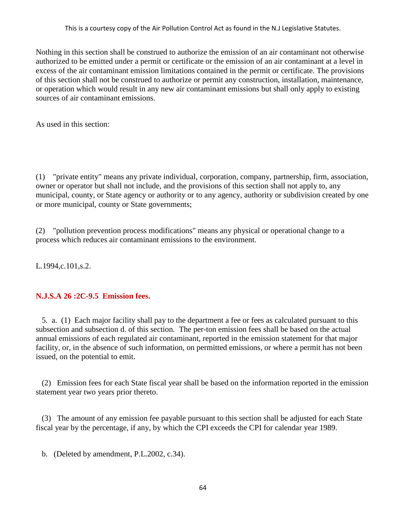Nothing in this section shall be construed to authorize the emission of an air contaminant not otherwise authorized to be emitted under a permit or certificate or the emission of an air contaminant at a level in excess of the air contaminant emission limitations contained in the permit or certificate. The provisions of this section shall not be construed to authorize or permit any construction, installation, maintenance, or operation which would result in any new air contaminant emissions but shall only apply to existing sources of air contaminant emissions.

As used in this section:

(1) "private entity" means any private individual, corporation, company, partnership, firm, association, owner or operator but shall not include, and the provisions of this section shall not apply to, any municipal, county, or State agency or authority or to any agency, authority or subdivision created by one or more municipal, county or State governments;

(2) "pollution prevention process modifications" means any physical or operational change to a process which reduces air contaminant emissions to the environment.

L.1994,c.101,s.2.

### **N.J.S.A 26 :2C-9.5 Emission fees.**

 5. a. (1) Each major facility shall pay to the department a fee or fees as calculated pursuant to this subsection and subsection d. of this section. The per-ton emission fees shall be based on the actual annual emissions of each regulated air contaminant, reported in the emission statement for that major facility, or, in the absence of such information, on permitted emissions, or where a permit has not been issued, on the potential to emit.

 (2) Emission fees for each State fiscal year shall be based on the information reported in the emission statement year two years prior thereto.

 (3) The amount of any emission fee payable pursuant to this section shall be adjusted for each State fiscal year by the percentage, if any, by which the CPI exceeds the CPI for calendar year 1989.

b. (Deleted by amendment, P.L.2002, c.34).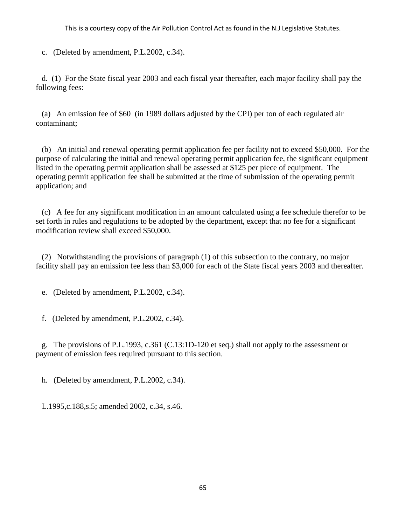c. (Deleted by amendment, P.L.2002, c.34).

 d. (1) For the State fiscal year 2003 and each fiscal year thereafter, each major facility shall pay the following fees:

 (a) An emission fee of \$60 (in 1989 dollars adjusted by the CPI) per ton of each regulated air contaminant;

 (b) An initial and renewal operating permit application fee per facility not to exceed \$50,000. For the purpose of calculating the initial and renewal operating permit application fee, the significant equipment listed in the operating permit application shall be assessed at \$125 per piece of equipment. The operating permit application fee shall be submitted at the time of submission of the operating permit application; and

 (c) A fee for any significant modification in an amount calculated using a fee schedule therefor to be set forth in rules and regulations to be adopted by the department, except that no fee for a significant modification review shall exceed \$50,000.

 (2) Notwithstanding the provisions of paragraph (1) of this subsection to the contrary, no major facility shall pay an emission fee less than \$3,000 for each of the State fiscal years 2003 and thereafter.

e. (Deleted by amendment, P.L.2002, c.34).

f. (Deleted by amendment, P.L.2002, c.34).

 g. The provisions of P.L.1993, c.361 (C.13:1D-120 et seq.) shall not apply to the assessment or payment of emission fees required pursuant to this section.

h. (Deleted by amendment, P.L.2002, c.34).

L.1995,c.188,s.5; amended 2002, c.34, s.46.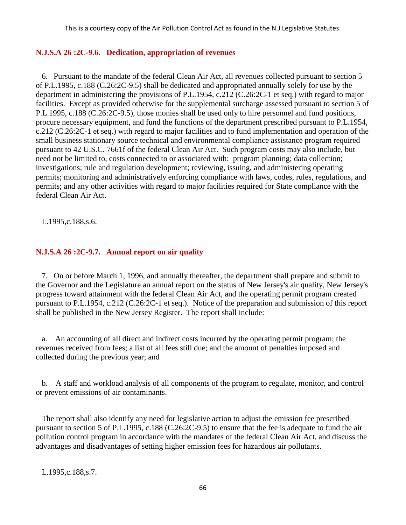## **N.J.S.A 26 :2C-9.6. Dedication, appropriation of revenues**

 6. Pursuant to the mandate of the federal Clean Air Act, all revenues collected pursuant to section 5 of P.L.1995, c.188 (C.26:2C-9.5) shall be dedicated and appropriated annually solely for use by the department in administering the provisions of P.L.1954, c.212 (C.26:2C-1 et seq.) with regard to major facilities. Except as provided otherwise for the supplemental surcharge assessed pursuant to section 5 of P.L.1995, c.188 (C.26:2C-9.5), those monies shall be used only to hire personnel and fund positions, procure necessary equipment, and fund the functions of the department prescribed pursuant to P.L.1954, c.212 (C.26:2C-1 et seq.) with regard to major facilities and to fund implementation and operation of the small business stationary source technical and environmental compliance assistance program required pursuant to 42 U.S.C. 7661f of the federal Clean Air Act. Such program costs may also include, but need not be limited to, costs connected to or associated with: program planning; data collection; investigations; rule and regulation development; reviewing, issuing, and administering operating permits; monitoring and administratively enforcing compliance with laws, codes, rules, regulations, and permits; and any other activities with regard to major facilities required for State compliance with the federal Clean Air Act.

L.1995,c.188,s.6.

## **N.J.S.A 26 :2C-9.7. Annual report on air quality**

 7. On or before March 1, 1996, and annually thereafter, the department shall prepare and submit to the Governor and the Legislature an annual report on the status of New Jersey's air quality, New Jersey's progress toward attainment with the federal Clean Air Act, and the operating permit program created pursuant to P.L.1954, c.212 (C.26:2C-1 et seq.). Notice of the preparation and submission of this report shall be published in the New Jersey Register. The report shall include:

 a. An accounting of all direct and indirect costs incurred by the operating permit program; the revenues received from fees; a list of all fees still due; and the amount of penalties imposed and collected during the previous year; and

 b. A staff and workload analysis of all components of the program to regulate, monitor, and control or prevent emissions of air contaminants.

 The report shall also identify any need for legislative action to adjust the emission fee prescribed pursuant to section 5 of P.L.1995, c.188 (C.26:2C-9.5) to ensure that the fee is adequate to fund the air pollution control program in accordance with the mandates of the federal Clean Air Act, and discuss the advantages and disadvantages of setting higher emission fees for hazardous air pollutants.

L.1995,c.188,s.7.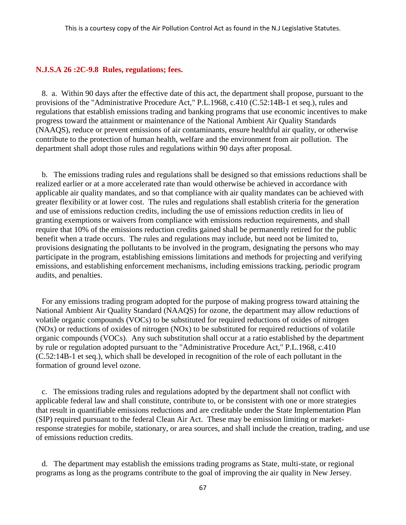#### **N.J.S.A 26 :2C-9.8 Rules, regulations; fees.**

 8. a. Within 90 days after the effective date of this act, the department shall propose, pursuant to the provisions of the "Administrative Procedure Act," P.L.1968, c.410 (C.52:14B-1 et seq.), rules and regulations that establish emissions trading and banking programs that use economic incentives to make progress toward the attainment or maintenance of the National Ambient Air Quality Standards (NAAQS), reduce or prevent emissions of air contaminants, ensure healthful air quality, or otherwise contribute to the protection of human health, welfare and the environment from air pollution. The department shall adopt those rules and regulations within 90 days after proposal.

 b. The emissions trading rules and regulations shall be designed so that emissions reductions shall be realized earlier or at a more accelerated rate than would otherwise be achieved in accordance with applicable air quality mandates, and so that compliance with air quality mandates can be achieved with greater flexibility or at lower cost. The rules and regulations shall establish criteria for the generation and use of emissions reduction credits, including the use of emissions reduction credits in lieu of granting exemptions or waivers from compliance with emissions reduction requirements, and shall require that 10% of the emissions reduction credits gained shall be permanently retired for the public benefit when a trade occurs. The rules and regulations may include, but need not be limited to, provisions designating the pollutants to be involved in the program, designating the persons who may participate in the program, establishing emissions limitations and methods for projecting and verifying emissions, and establishing enforcement mechanisms, including emissions tracking, periodic program audits, and penalties.

 For any emissions trading program adopted for the purpose of making progress toward attaining the National Ambient Air Quality Standard (NAAQS) for ozone, the department may allow reductions of volatile organic compounds (VOCs) to be substituted for required reductions of oxides of nitrogen (NOx) or reductions of oxides of nitrogen (NOx) to be substituted for required reductions of volatile organic compounds (VOCs). Any such substitution shall occur at a ratio established by the department by rule or regulation adopted pursuant to the "Administrative Procedure Act," P.L.1968, c.410 (C.52:14B-1 et seq.), which shall be developed in recognition of the role of each pollutant in the formation of ground level ozone.

 c. The emissions trading rules and regulations adopted by the department shall not conflict with applicable federal law and shall constitute, contribute to, or be consistent with one or more strategies that result in quantifiable emissions reductions and are creditable under the State Implementation Plan (SIP) required pursuant to the federal Clean Air Act. These may be emission limiting or marketresponse strategies for mobile, stationary, or area sources, and shall include the creation, trading, and use of emissions reduction credits.

 d. The department may establish the emissions trading programs as State, multi-state, or regional programs as long as the programs contribute to the goal of improving the air quality in New Jersey.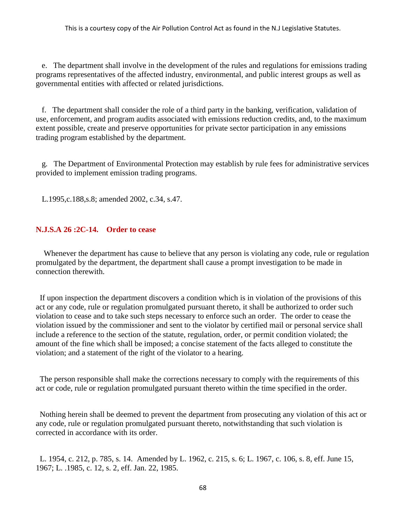e. The department shall involve in the development of the rules and regulations for emissions trading programs representatives of the affected industry, environmental, and public interest groups as well as governmental entities with affected or related jurisdictions.

 f. The department shall consider the role of a third party in the banking, verification, validation of use, enforcement, and program audits associated with emissions reduction credits, and, to the maximum extent possible, create and preserve opportunities for private sector participation in any emissions trading program established by the department.

 g. The Department of Environmental Protection may establish by rule fees for administrative services provided to implement emission trading programs.

L.1995,c.188,s.8; amended 2002, c.34, s.47.

### **N.J.S.A 26 :2C-14. Order to cease**

Whenever the department has cause to believe that any person is violating any code, rule or regulation promulgated by the department, the department shall cause a prompt investigation to be made in connection therewith.

If upon inspection the department discovers a condition which is in violation of the provisions of this act or any code, rule or regulation promulgated pursuant thereto, it shall be authorized to order such violation to cease and to take such steps necessary to enforce such an order. The order to cease the violation issued by the commissioner and sent to the violator by certified mail or personal service shall include a reference to the section of the statute, regulation, order, or permit condition violated; the amount of the fine which shall be imposed; a concise statement of the facts alleged to constitute the violation; and a statement of the right of the violator to a hearing.

The person responsible shall make the corrections necessary to comply with the requirements of this act or code, rule or regulation promulgated pursuant thereto within the time specified in the order.

Nothing herein shall be deemed to prevent the department from prosecuting any violation of this act or any code, rule or regulation promulgated pursuant thereto, notwithstanding that such violation is corrected in accordance with its order.

L. 1954, c. 212, p. 785, s. 14. Amended by L. 1962, c. 215, s. 6; L. 1967, c. 106, s. 8, eff. June 15, 1967; L. .1985, c. 12, s. 2, eff. Jan. 22, 1985.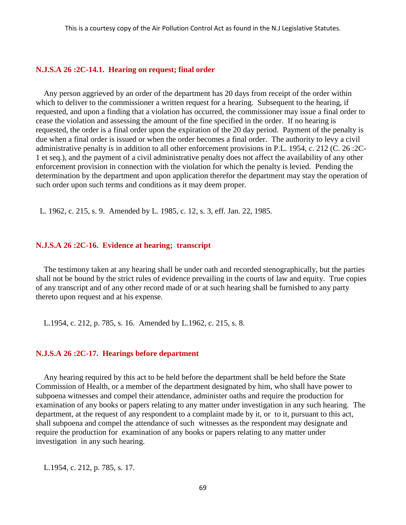#### **N.J.S.A 26 :2C-14.1. Hearing on request; final order**

Any person aggrieved by an order of the department has 20 days from receipt of the order within which to deliver to the commissioner a written request for a hearing. Subsequent to the hearing, if requested, and upon a finding that a violation has occurred, the commissioner may issue a final order to cease the violation and assessing the amount of the fine specified in the order. If no hearing is requested, the order is a final order upon the expiration of the 20 day period. Payment of the penalty is due when a final order is issued or when the order becomes a final order. The authority to levy a civil administrative penalty is in addition to all other enforcement provisions in P.L. 1954, c. 212 (C. 26 :2C-1 et seq.), and the payment of a civil administrative penalty does not affect the availability of any other enforcement provision in connection with the violation for which the penalty is levied. Pending the determination by the department and upon application therefor the department may stay the operation of such order upon such terms and conditions as it may deem proper.

L. 1962, c. 215, s. 9. Amended by L. 1985, c. 12, s. 3, eff. Jan. 22, 1985.

### **N.J.S.A 26 :2C-16. Evidence at hearing; transcript**

The testimony taken at any hearing shall be under oath and recorded stenographically, but the parties shall not be bound by the strict rules of evidence prevailing in the courts of law and equity. True copies of any transcript and of any other record made of or at such hearing shall be furnished to any party thereto upon request and at his expense.

L.1954, c. 212, p. 785, s. 16. Amended by L.1962, c. 215, s. 8.

#### **N.J.S.A 26 :2C-17. Hearings before department**

Any hearing required by this act to be held before the department shall be held before the State Commission of Health, or a member of the department designated by him, who shall have power to subpoena witnesses and compel their attendance, administer oaths and require the production for examination of any books or papers relating to any matter under investigation in any such hearing. The department, at the request of any respondent to a complaint made by it, or to it, pursuant to this act, shall subpoena and compel the attendance of such witnesses as the respondent may designate and require the production for examination of any books or papers relating to any matter under investigation in any such hearing.

L.1954, c. 212, p. 785, s. 17.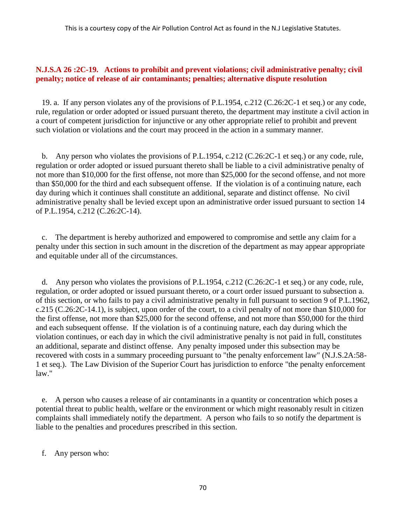# **N.J.S.A 26 :2C-19. Actions to prohibit and prevent violations; civil administrative penalty; civil penalty; notice of release of air contaminants; penalties; alternative dispute resolution**

 19. a. If any person violates any of the provisions of P.L.1954, c.212 (C.26:2C-1 et seq.) or any code, rule, regulation or order adopted or issued pursuant thereto, the department may institute a civil action in a court of competent jurisdiction for injunctive or any other appropriate relief to prohibit and prevent such violation or violations and the court may proceed in the action in a summary manner.

 b. Any person who violates the provisions of P.L.1954, c.212 (C.26:2C-1 et seq.) or any code, rule, regulation or order adopted or issued pursuant thereto shall be liable to a civil administrative penalty of not more than \$10,000 for the first offense, not more than \$25,000 for the second offense, and not more than \$50,000 for the third and each subsequent offense. If the violation is of a continuing nature, each day during which it continues shall constitute an additional, separate and distinct offense. No civil administrative penalty shall be levied except upon an administrative order issued pursuant to section 14 of P.L.1954, c.212 (C.26:2C-14).

 c. The department is hereby authorized and empowered to compromise and settle any claim for a penalty under this section in such amount in the discretion of the department as may appear appropriate and equitable under all of the circumstances.

 d. Any person who violates the provisions of P.L.1954, c.212 (C.26:2C-1 et seq.) or any code, rule, regulation, or order adopted or issued pursuant thereto, or a court order issued pursuant to subsection a. of this section, or who fails to pay a civil administrative penalty in full pursuant to section 9 of P.L.1962, c.215 (C.26:2C-14.1), is subject, upon order of the court, to a civil penalty of not more than \$10,000 for the first offense, not more than \$25,000 for the second offense, and not more than \$50,000 for the third and each subsequent offense. If the violation is of a continuing nature, each day during which the violation continues, or each day in which the civil administrative penalty is not paid in full, constitutes an additional, separate and distinct offense. Any penalty imposed under this subsection may be recovered with costs in a summary proceeding pursuant to "the penalty enforcement law" (N.J.S.2A:58- 1 et seq.). The Law Division of the Superior Court has jurisdiction to enforce "the penalty enforcement law."

 e. A person who causes a release of air contaminants in a quantity or concentration which poses a potential threat to public health, welfare or the environment or which might reasonably result in citizen complaints shall immediately notify the department. A person who fails to so notify the department is liable to the penalties and procedures prescribed in this section.

f. Any person who: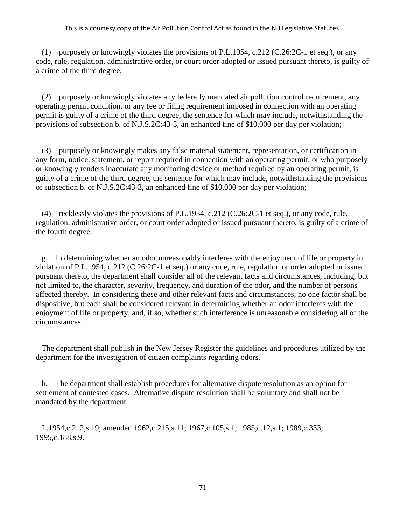(1) purposely or knowingly violates the provisions of P.L.1954, c.212 (C.26:2C-1 et seq.), or any code, rule, regulation, administrative order, or court order adopted or issued pursuant thereto, is guilty of a crime of the third degree;

 (2) purposely or knowingly violates any federally mandated air pollution control requirement, any operating permit condition, or any fee or filing requirement imposed in connection with an operating permit is guilty of a crime of the third degree, the sentence for which may include, notwithstanding the provisions of subsection b. of N.J.S.2C:43-3, an enhanced fine of \$10,000 per day per violation;

 (3) purposely or knowingly makes any false material statement, representation, or certification in any form, notice, statement, or report required in connection with an operating permit, or who purposely or knowingly renders inaccurate any monitoring device or method required by an operating permit, is guilty of a crime of the third degree, the sentence for which may include, notwithstanding the provisions of subsection b. of N.J.S.2C:43-3, an enhanced fine of \$10,000 per day per violation;

 (4) recklessly violates the provisions of P.L.1954, c.212 (C.26:2C-1 et seq.), or any code, rule, regulation, administrative order, or court order adopted or issued pursuant thereto, is guilty of a crime of the fourth degree.

 g. In determining whether an odor unreasonably interferes with the enjoyment of life or property in violation of P.L.1954, c.212 (C.26:2C-1 et seq.) or any code, rule, regulation or order adopted or issued pursuant thereto, the department shall consider all of the relevant facts and circumstances, including, but not limited to, the character, severity, frequency, and duration of the odor, and the number of persons affected thereby. In considering these and other relevant facts and circumstances, no one factor shall be dispositive, but each shall be considered relevant in determining whether an odor interferes with the enjoyment of life or property, and, if so, whether such interference is unreasonable considering all of the circumstances.

 The department shall publish in the New Jersey Register the guidelines and procedures utilized by the department for the investigation of citizen complaints regarding odors.

 h. The department shall establish procedures for alternative dispute resolution as an option for settlement of contested cases. Alternative dispute resolution shall be voluntary and shall not be mandated by the department.

 L.1954,c.212,s.19; amended 1962,c.215,s.11; 1967,c.105,s.1; 1985,c.12,s.1; 1989,c.333; 1995,c.188,s.9.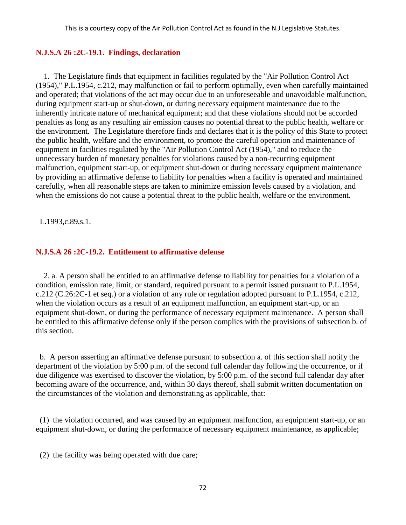# **N.J.S.A 26 :2C-19.1. Findings, declaration**

1. The Legislature finds that equipment in facilities regulated by the "Air Pollution Control Act (1954)," P.L.1954, c.212, may malfunction or fail to perform optimally, even when carefully maintained and operated; that violations of the act may occur due to an unforeseeable and unavoidable malfunction, during equipment start-up or shut-down, or during necessary equipment maintenance due to the inherently intricate nature of mechanical equipment; and that these violations should not be accorded penalties as long as any resulting air emission causes no potential threat to the public health, welfare or the environment. The Legislature therefore finds and declares that it is the policy of this State to protect the public health, welfare and the environment, to promote the careful operation and maintenance of equipment in facilities regulated by the "Air Pollution Control Act (1954)," and to reduce the unnecessary burden of monetary penalties for violations caused by a non-recurring equipment malfunction, equipment start-up, or equipment shut-down or during necessary equipment maintenance by providing an affirmative defense to liability for penalties when a facility is operated and maintained carefully, when all reasonable steps are taken to minimize emission levels caused by a violation, and when the emissions do not cause a potential threat to the public health, welfare or the environment.

L.1993,c.89,s.1.

### **N.J.S.A 26 :2C-19.2. Entitlement to affirmative defense**

2. a. A person shall be entitled to an affirmative defense to liability for penalties for a violation of a condition, emission rate, limit, or standard, required pursuant to a permit issued pursuant to P.L.1954, c.212 (C.26:2C-1 et seq.) or a violation of any rule or regulation adopted pursuant to P.L.1954, c.212, when the violation occurs as a result of an equipment malfunction, an equipment start-up, or an equipment shut-down, or during the performance of necessary equipment maintenance. A person shall be entitled to this affirmative defense only if the person complies with the provisions of subsection b. of this section.

b. A person asserting an affirmative defense pursuant to subsection a. of this section shall notify the department of the violation by 5:00 p.m. of the second full calendar day following the occurrence, or if due diligence was exercised to discover the violation, by 5:00 p.m. of the second full calendar day after becoming aware of the occurrence, and, within 30 days thereof, shall submit written documentation on the circumstances of the violation and demonstrating as applicable, that:

(1) the violation occurred, and was caused by an equipment malfunction, an equipment start-up, or an equipment shut-down, or during the performance of necessary equipment maintenance, as applicable;

(2) the facility was being operated with due care;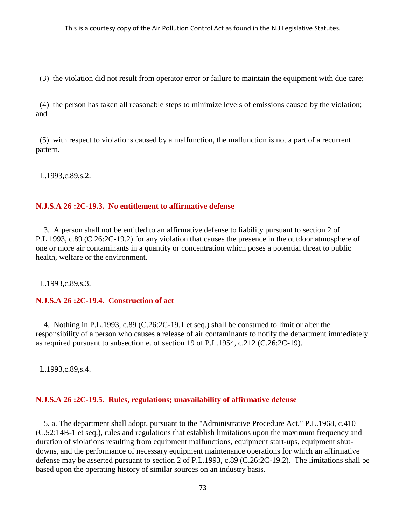(3) the violation did not result from operator error or failure to maintain the equipment with due care;

(4) the person has taken all reasonable steps to minimize levels of emissions caused by the violation; and

(5) with respect to violations caused by a malfunction, the malfunction is not a part of a recurrent pattern.

L.1993,c.89,s.2.

# **N.J.S.A 26 :2C-19.3. No entitlement to affirmative defense**

3. A person shall not be entitled to an affirmative defense to liability pursuant to section 2 of P.L.1993, c.89 (C.26:2C-19.2) for any violation that causes the presence in the outdoor atmosphere of one or more air contaminants in a quantity or concentration which poses a potential threat to public health, welfare or the environment.

L.1993,c.89,s.3.

### **N.J.S.A 26 :2C-19.4. Construction of act**

4. Nothing in P.L.1993, c.89 (C.26:2C-19.1 et seq.) shall be construed to limit or alter the responsibility of a person who causes a release of air contaminants to notify the department immediately as required pursuant to subsection e. of section 19 of P.L.1954, c.212 (C.26:2C-19).

L.1993,c.89,s.4.

### **N.J.S.A 26 :2C-19.5. Rules, regulations; unavailability of affirmative defense**

5. a. The department shall adopt, pursuant to the "Administrative Procedure Act," P.L.1968, c.410 (C.52:14B-1 et seq.), rules and regulations that establish limitations upon the maximum frequency and duration of violations resulting from equipment malfunctions, equipment start-ups, equipment shutdowns, and the performance of necessary equipment maintenance operations for which an affirmative defense may be asserted pursuant to section 2 of P.L.1993, c.89 (C.26:2C-19.2). The limitations shall be based upon the operating history of similar sources on an industry basis.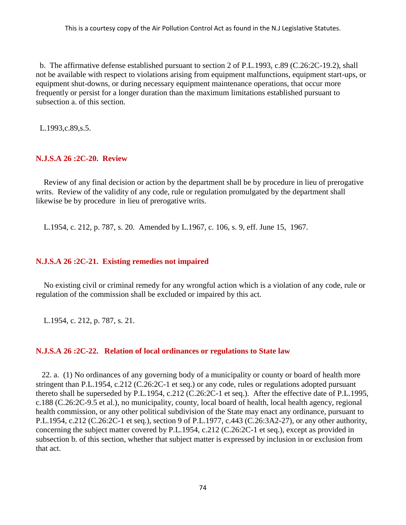b. The affirmative defense established pursuant to section 2 of P.L.1993, c.89 (C.26:2C-19.2), shall not be available with respect to violations arising from equipment malfunctions, equipment start-ups, or equipment shut-downs, or during necessary equipment maintenance operations, that occur more frequently or persist for a longer duration than the maximum limitations established pursuant to subsection a. of this section.

L.1993,c.89,s.5.

# **N.J.S.A 26 :2C-20. Review**

Review of any final decision or action by the department shall be by procedure in lieu of prerogative writs. Review of the validity of any code, rule or regulation promulgated by the department shall likewise be by procedure in lieu of prerogative writs.

L.1954, c. 212, p. 787, s. 20. Amended by L.1967, c. 106, s. 9, eff. June 15, 1967.

### **N.J.S.A 26 :2C-21. Existing remedies not impaired**

No existing civil or criminal remedy for any wrongful action which is a violation of any code, rule or regulation of the commission shall be excluded or impaired by this act.

L.1954, c. 212, p. 787, s. 21.

# **N.J.S.A 26 :2C-22. Relation of local ordinances or regulations to State law**

 22. a. (1) No ordinances of any governing body of a municipality or county or board of health more stringent than P.L.1954, c.212 (C.26:2C-1 et seq.) or any code, rules or regulations adopted pursuant thereto shall be superseded by P.L.1954, c.212 (C.26:2C-1 et seq.). After the effective date of P.L.1995, c.188 (C.26:2C-9.5 et al.), no municipality, county, local board of health, local health agency, regional health commission, or any other political subdivision of the State may enact any ordinance, pursuant to P.L.1954, c.212 (C.26:2C-1 et seq.), section 9 of P.L.1977, c.443 (C.26:3A2-27), or any other authority, concerning the subject matter covered by P.L.1954, c.212 (C.26:2C-1 et seq.), except as provided in subsection b. of this section, whether that subject matter is expressed by inclusion in or exclusion from that act.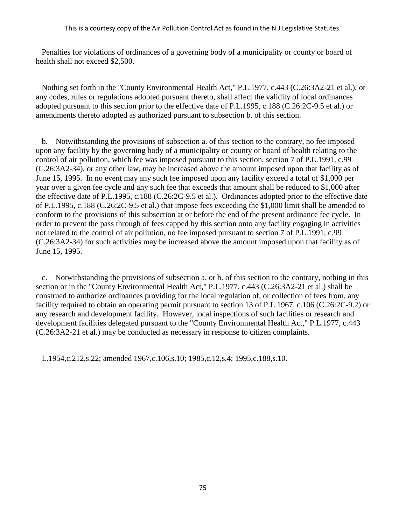Penalties for violations of ordinances of a governing body of a municipality or county or board of health shall not exceed \$2,500.

 Nothing set forth in the "County Environmental Health Act," P.L.1977, c.443 (C.26:3A2-21 et al.), or any codes, rules or regulations adopted pursuant thereto, shall affect the validity of local ordinances adopted pursuant to this section prior to the effective date of P.L.1995, c.188 (C.26:2C-9.5 et al.) or amendments thereto adopted as authorized pursuant to subsection b. of this section.

 b. Notwithstanding the provisions of subsection a. of this section to the contrary, no fee imposed upon any facility by the governing body of a municipality or county or board of health relating to the control of air pollution, which fee was imposed pursuant to this section, section 7 of P.L.1991, c.99 (C.26:3A2-34), or any other law, may be increased above the amount imposed upon that facility as of June 15, 1995. In no event may any such fee imposed upon any facility exceed a total of \$1,000 per year over a given fee cycle and any such fee that exceeds that amount shall be reduced to \$1,000 after the effective date of P.L.1995, c.188 (C.26:2C-9.5 et al.). Ordinances adopted prior to the effective date of P.L.1995, c.188 (C.26:2C-9.5 et al.) that impose fees exceeding the \$1,000 limit shall be amended to conform to the provisions of this subsection at or before the end of the present ordinance fee cycle. In order to prevent the pass through of fees capped by this section onto any facility engaging in activities not related to the control of air pollution, no fee imposed pursuant to section 7 of P.L.1991, c.99 (C.26:3A2-34) for such activities may be increased above the amount imposed upon that facility as of June 15, 1995.

 c. Notwithstanding the provisions of subsection a. or b. of this section to the contrary, nothing in this section or in the "County Environmental Health Act," P.L.1977, c.443 (C.26:3A2-21 et al.) shall be construed to authorize ordinances providing for the local regulation of, or collection of fees from, any facility required to obtain an operating permit pursuant to section 13 of P.L.1967, c.106 (C.26:2C-9.2) or any research and development facility. However, local inspections of such facilities or research and development facilities delegated pursuant to the "County Environmental Health Act," P.L.1977, c.443 (C.26:3A2-21 et al.) may be conducted as necessary in response to citizen complaints.

L.1954,c.212,s.22; amended 1967,c.106,s.10; 1985,c.12,s.4; 1995,c.188,s.10.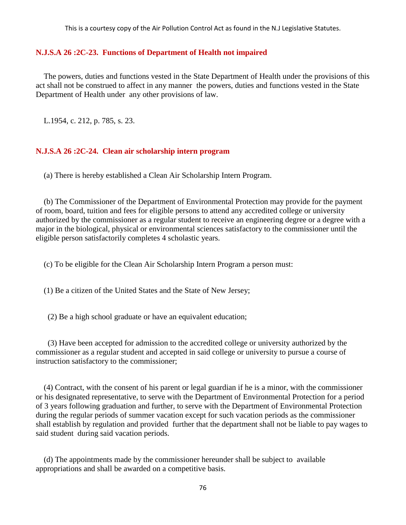### **N.J.S.A 26 :2C-23. Functions of Department of Health not impaired**

The powers, duties and functions vested in the State Department of Health under the provisions of this act shall not be construed to affect in any manner the powers, duties and functions vested in the State Department of Health under any other provisions of law.

L.1954, c. 212, p. 785, s. 23.

### **N.J.S.A 26 :2C-24. Clean air scholarship intern program**

(a) There is hereby established a Clean Air Scholarship Intern Program.

(b) The Commissioner of the Department of Environmental Protection may provide for the payment of room, board, tuition and fees for eligible persons to attend any accredited college or university authorized by the commissioner as a regular student to receive an engineering degree or a degree with a major in the biological, physical or environmental sciences satisfactory to the commissioner until the eligible person satisfactorily completes 4 scholastic years.

(c) To be eligible for the Clean Air Scholarship Intern Program a person must:

(1) Be a citizen of the United States and the State of New Jersey;

(2) Be a high school graduate or have an equivalent education;

(3) Have been accepted for admission to the accredited college or university authorized by the commissioner as a regular student and accepted in said college or university to pursue a course of instruction satisfactory to the commissioner;

(4) Contract, with the consent of his parent or legal guardian if he is a minor, with the commissioner or his designated representative, to serve with the Department of Environmental Protection for a period of 3 years following graduation and further, to serve with the Department of Environmental Protection during the regular periods of summer vacation except for such vacation periods as the commissioner shall establish by regulation and provided further that the department shall not be liable to pay wages to said student during said vacation periods.

(d) The appointments made by the commissioner hereunder shall be subject to available appropriations and shall be awarded on a competitive basis.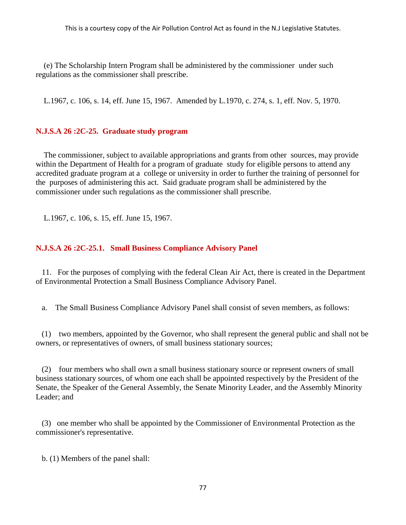(e) The Scholarship Intern Program shall be administered by the commissioner under such regulations as the commissioner shall prescribe.

L.1967, c. 106, s. 14, eff. June 15, 1967. Amended by L.1970, c. 274, s. 1, eff. Nov. 5, 1970.

# **N.J.S.A 26 :2C-25. Graduate study program**

The commissioner, subject to available appropriations and grants from other sources, may provide within the Department of Health for a program of graduate study for eligible persons to attend any accredited graduate program at a college or university in order to further the training of personnel for the purposes of administering this act. Said graduate program shall be administered by the commissioner under such regulations as the commissioner shall prescribe.

L.1967, c. 106, s. 15, eff. June 15, 1967.

# **N.J.S.A 26 :2C-25.1. Small Business Compliance Advisory Panel**

 11. For the purposes of complying with the federal Clean Air Act, there is created in the Department of Environmental Protection a Small Business Compliance Advisory Panel.

a. The Small Business Compliance Advisory Panel shall consist of seven members, as follows:

 (1) two members, appointed by the Governor, who shall represent the general public and shall not be owners, or representatives of owners, of small business stationary sources;

 (2) four members who shall own a small business stationary source or represent owners of small business stationary sources, of whom one each shall be appointed respectively by the President of the Senate, the Speaker of the General Assembly, the Senate Minority Leader, and the Assembly Minority Leader; and

 (3) one member who shall be appointed by the Commissioner of Environmental Protection as the commissioner's representative.

b. (1) Members of the panel shall: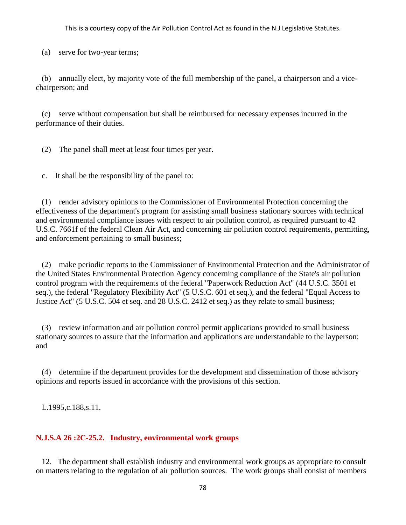(a) serve for two-year terms;

 (b) annually elect, by majority vote of the full membership of the panel, a chairperson and a vicechairperson; and

 (c) serve without compensation but shall be reimbursed for necessary expenses incurred in the performance of their duties.

(2) The panel shall meet at least four times per year.

c. It shall be the responsibility of the panel to:

 (1) render advisory opinions to the Commissioner of Environmental Protection concerning the effectiveness of the department's program for assisting small business stationary sources with technical and environmental compliance issues with respect to air pollution control, as required pursuant to 42 U.S.C. 7661f of the federal Clean Air Act, and concerning air pollution control requirements, permitting, and enforcement pertaining to small business;

 (2) make periodic reports to the Commissioner of Environmental Protection and the Administrator of the United States Environmental Protection Agency concerning compliance of the State's air pollution control program with the requirements of the federal "Paperwork Reduction Act" (44 U.S.C. 3501 et seq.), the federal "Regulatory Flexibility Act" (5 U.S.C. 601 et seq.), and the federal "Equal Access to Justice Act" (5 U.S.C. 504 et seq. and 28 U.S.C. 2412 et seq.) as they relate to small business;

 (3) review information and air pollution control permit applications provided to small business stationary sources to assure that the information and applications are understandable to the layperson; and

 (4) determine if the department provides for the development and dissemination of those advisory opinions and reports issued in accordance with the provisions of this section.

L.1995,c.188,s.11.

# **N.J.S.A 26 :2C-25.2. Industry, environmental work groups**

 12. The department shall establish industry and environmental work groups as appropriate to consult on matters relating to the regulation of air pollution sources. The work groups shall consist of members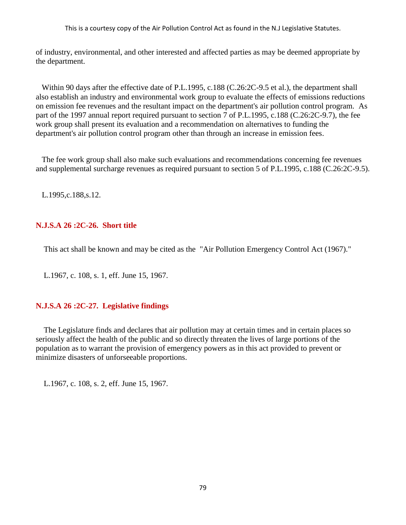of industry, environmental, and other interested and affected parties as may be deemed appropriate by the department.

 Within 90 days after the effective date of P.L.1995, c.188 (C.26:2C-9.5 et al.), the department shall also establish an industry and environmental work group to evaluate the effects of emissions reductions on emission fee revenues and the resultant impact on the department's air pollution control program. As part of the 1997 annual report required pursuant to section 7 of P.L.1995, c.188 (C.26:2C-9.7), the fee work group shall present its evaluation and a recommendation on alternatives to funding the department's air pollution control program other than through an increase in emission fees.

 The fee work group shall also make such evaluations and recommendations concerning fee revenues and supplemental surcharge revenues as required pursuant to section 5 of P.L.1995, c.188 (C.26:2C-9.5).

L.1995,c.188,s.12.

# **N.J.S.A 26 :2C-26. Short title**

This act shall be known and may be cited as the "Air Pollution Emergency Control Act (1967)."

L.1967, c. 108, s. 1, eff. June 15, 1967.

# **N.J.S.A 26 :2C-27. Legislative findings**

The Legislature finds and declares that air pollution may at certain times and in certain places so seriously affect the health of the public and so directly threaten the lives of large portions of the population as to warrant the provision of emergency powers as in this act provided to prevent or minimize disasters of unforseeable proportions.

L.1967, c. 108, s. 2, eff. June 15, 1967.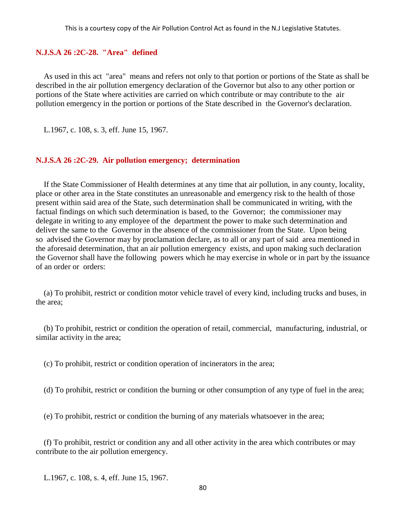### **N.J.S.A 26 :2C-28. "Area" defined**

As used in this act "area" means and refers not only to that portion or portions of the State as shall be described in the air pollution emergency declaration of the Governor but also to any other portion or portions of the State where activities are carried on which contribute or may contribute to the air pollution emergency in the portion or portions of the State described in the Governor's declaration.

L.1967, c. 108, s. 3, eff. June 15, 1967.

#### **N.J.S.A 26 :2C-29. Air pollution emergency; determination**

If the State Commissioner of Health determines at any time that air pollution, in any county, locality, place or other area in the State constitutes an unreasonable and emergency risk to the health of those present within said area of the State, such determination shall be communicated in writing, with the factual findings on which such determination is based, to the Governor; the commissioner may delegate in writing to any employee of the department the power to make such determination and deliver the same to the Governor in the absence of the commissioner from the State. Upon being so advised the Governor may by proclamation declare, as to all or any part of said area mentioned in the aforesaid determination, that an air pollution emergency exists, and upon making such declaration the Governor shall have the following powers which he may exercise in whole or in part by the issuance of an order or orders:

(a) To prohibit, restrict or condition motor vehicle travel of every kind, including trucks and buses, in the area;

(b) To prohibit, restrict or condition the operation of retail, commercial, manufacturing, industrial, or similar activity in the area;

(c) To prohibit, restrict or condition operation of incinerators in the area;

(d) To prohibit, restrict or condition the burning or other consumption of any type of fuel in the area;

(e) To prohibit, restrict or condition the burning of any materials whatsoever in the area;

(f) To prohibit, restrict or condition any and all other activity in the area which contributes or may contribute to the air pollution emergency.

L.1967, c. 108, s. 4, eff. June 15, 1967.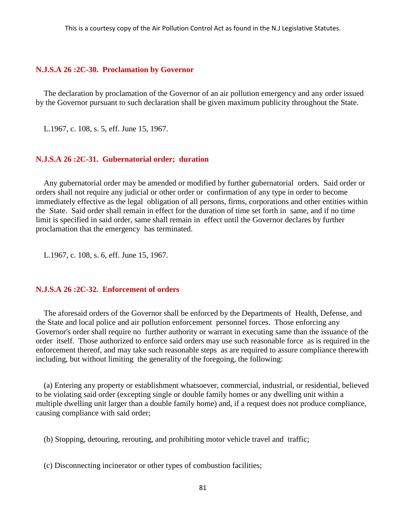#### **N.J.S.A 26 :2C-30. Proclamation by Governor**

The declaration by proclamation of the Governor of an air pollution emergency and any order issued by the Governor pursuant to such declaration shall be given maximum publicity throughout the State.

L.1967, c. 108, s. 5, eff. June 15, 1967.

#### **N.J.S.A 26 :2C-31. Gubernatorial order; duration**

Any gubernatorial order may be amended or modified by further gubernatorial orders. Said order or orders shall not require any judicial or other order or confirmation of any type in order to become immediately effective as the legal obligation of all persons, firms, corporations and other entities within the State. Said order shall remain in effect for the duration of time set forth in same, and if no time limit is specified in said order, same shall remain in effect until the Governor declares by further proclamation that the emergency has terminated.

L.1967, c. 108, s. 6, eff. June 15, 1967.

### **N.J.S.A 26 :2C-32. Enforcement of orders**

The aforesaid orders of the Governor shall be enforced by the Departments of Health, Defense, and the State and local police and air pollution enforcement personnel forces. Those enforcing any Governor's order shall require no further authority or warrant in executing same than the issuance of the order itself. Those authorized to enforce said orders may use such reasonable force as is required in the enforcement thereof, and may take such reasonable steps as are required to assure compliance therewith including, but without limiting the generality of the foregoing, the following:

(a) Entering any property or establishment whatsoever, commercial, industrial, or residential, believed to be violating said order (excepting single or double family homes or any dwelling unit within a multiple dwelling unit larger than a double family home) and, if a request does not produce compliance, causing compliance with said order;

(b) Stopping, detouring, rerouting, and prohibiting motor vehicle travel and traffic;

(c) Disconnecting incinerator or other types of combustion facilities;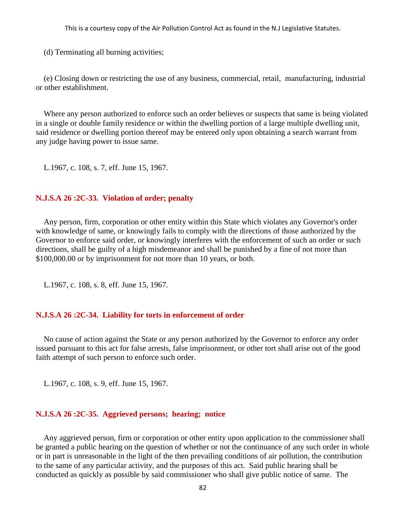(d) Terminating all burning activities;

(e) Closing down or restricting the use of any business, commercial, retail, manufacturing, industrial or other establishment.

Where any person authorized to enforce such an order believes or suspects that same is being violated in a single or double family residence or within the dwelling portion of a large multiple dwelling unit, said residence or dwelling portion thereof may be entered only upon obtaining a search warrant from any judge having power to issue same.

L.1967, c. 108, s. 7, eff. June 15, 1967.

### **N.J.S.A 26 :2C-33. Violation of order; penalty**

Any person, firm, corporation or other entity within this State which violates any Governor's order with knowledge of same, or knowingly fails to comply with the directions of those authorized by the Governor to enforce said order, or knowingly interferes with the enforcement of such an order or such directions, shall be guilty of a high misdemeanor and shall be punished by a fine of not more than \$100,000.00 or by imprisonment for not more than 10 years, or both.

L.1967, c. 108, s. 8, eff. June 15, 1967.

### **N.J.S.A 26 :2C-34. Liability for torts in enforcement of order**

No cause of action against the State or any person authorized by the Governor to enforce any order issued pursuant to this act for false arrests, false imprisonment, or other tort shall arise out of the good faith attempt of such person to enforce such order.

L.1967, c. 108, s. 9, eff. June 15, 1967.

### **N.J.S.A 26 :2C-35. Aggrieved persons; hearing; notice**

Any aggrieved person, firm or corporation or other entity upon application to the commissioner shall be granted a public hearing on the question of whether or not the continuance of any such order in whole or in part is unreasonable in the light of the then prevailing conditions of air pollution, the contribution to the same of any particular activity, and the purposes of this act. Said public hearing shall be conducted as quickly as possible by said commissioner who shall give public notice of same. The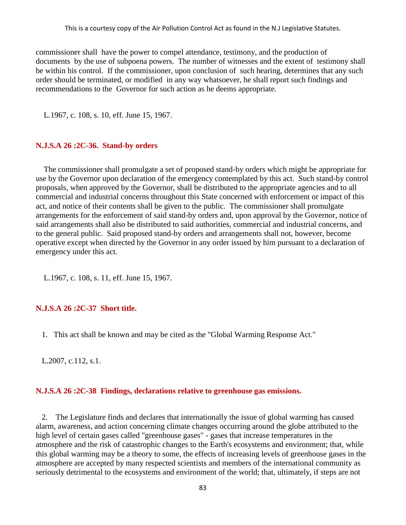commissioner shall have the power to compel attendance, testimony, and the production of documents by the use of subpoena powers. The number of witnesses and the extent of testimony shall be within his control. If the commissioner, upon conclusion of such hearing, determines that any such order should be terminated, or modified in any way whatsoever, he shall report such findings and recommendations to the Governor for such action as he deems appropriate.

L.1967, c. 108, s. 10, eff. June 15, 1967.

### **N.J.S.A 26 :2C-36. Stand-by orders**

The commissioner shall promulgate a set of proposed stand-by orders which might be appropriate for use by the Governor upon declaration of the emergency contemplated by this act. Such stand-by control proposals, when approved by the Governor, shall be distributed to the appropriate agencies and to all commercial and industrial concerns throughout this State concerned with enforcement or impact of this act, and notice of their contents shall be given to the public. The commissioner shall promulgate arrangements for the enforcement of said stand-by orders and, upon approval by the Governor, notice of said arrangements shall also be distributed to said authorities, commercial and industrial concerns, and to the general public. Said proposed stand-by orders and arrangements shall not, however, become operative except when directed by the Governor in any order issued by him pursuant to a declaration of emergency under this act.

L.1967, c. 108, s. 11, eff. June 15, 1967.

### **N.J.S.A 26 :2C-37 Short title.**

1. This act shall be known and may be cited as the "Global Warming Response Act."

L.2007, c.112, s.1.

### **N.J.S.A 26 :2C-38 Findings, declarations relative to greenhouse gas emissions.**

 2. The Legislature finds and declares that internationally the issue of global warming has caused alarm, awareness, and action concerning climate changes occurring around the globe attributed to the high level of certain gases called "greenhouse gases" - gases that increase temperatures in the atmosphere and the risk of catastrophic changes to the Earth's ecosystems and environment; that, while this global warming may be a theory to some, the effects of increasing levels of greenhouse gases in the atmosphere are accepted by many respected scientists and members of the international community as seriously detrimental to the ecosystems and environment of the world; that, ultimately, if steps are not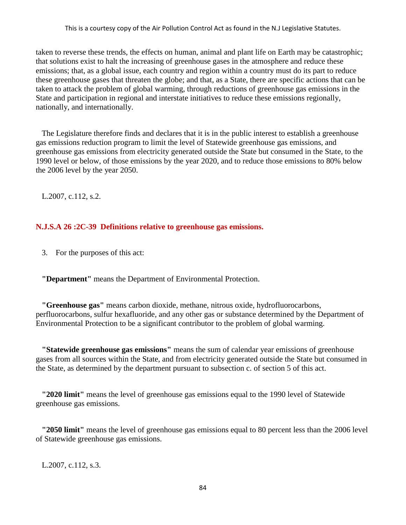taken to reverse these trends, the effects on human, animal and plant life on Earth may be catastrophic; that solutions exist to halt the increasing of greenhouse gases in the atmosphere and reduce these emissions; that, as a global issue, each country and region within a country must do its part to reduce these greenhouse gases that threaten the globe; and that, as a State, there are specific actions that can be taken to attack the problem of global warming, through reductions of greenhouse gas emissions in the State and participation in regional and interstate initiatives to reduce these emissions regionally, nationally, and internationally.

 The Legislature therefore finds and declares that it is in the public interest to establish a greenhouse gas emissions reduction program to limit the level of Statewide greenhouse gas emissions, and greenhouse gas emissions from electricity generated outside the State but consumed in the State, to the 1990 level or below, of those emissions by the year 2020, and to reduce those emissions to 80% below the 2006 level by the year 2050.

L.2007, c.112, s.2.

### **N.J.S.A 26 :2C-39 Definitions relative to greenhouse gas emissions.**

3. For the purposes of this act:

 **"Department"** means the Department of Environmental Protection.

 **"Greenhouse gas"** means carbon dioxide, methane, nitrous oxide, hydrofluorocarbons, perfluorocarbons, sulfur hexafluoride, and any other gas or substance determined by the Department of Environmental Protection to be a significant contributor to the problem of global warming.

 **"Statewide greenhouse gas emissions"** means the sum of calendar year emissions of greenhouse gases from all sources within the State, and from electricity generated outside the State but consumed in the State, as determined by the department pursuant to subsection c. of section 5 of this act.

 **"2020 limit"** means the level of greenhouse gas emissions equal to the 1990 level of Statewide greenhouse gas emissions.

 **"2050 limit"** means the level of greenhouse gas emissions equal to 80 percent less than the 2006 level of Statewide greenhouse gas emissions.

L.2007, c.112, s.3.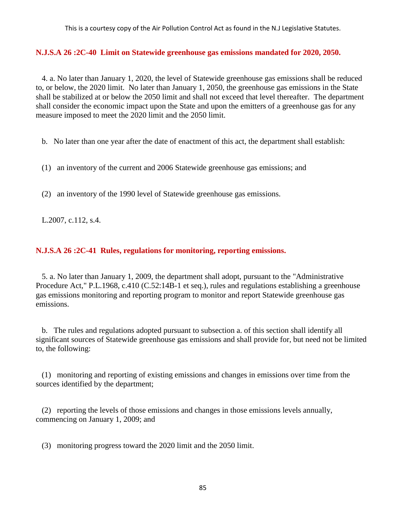### **N.J.S.A 26 :2C-40 Limit on Statewide greenhouse gas emissions mandated for 2020, 2050.**

 4. a. No later than January 1, 2020, the level of Statewide greenhouse gas emissions shall be reduced to, or below, the 2020 limit. No later than January 1, 2050, the greenhouse gas emissions in the State shall be stabilized at or below the 2050 limit and shall not exceed that level thereafter. The department shall consider the economic impact upon the State and upon the emitters of a greenhouse gas for any measure imposed to meet the 2020 limit and the 2050 limit.

b. No later than one year after the date of enactment of this act, the department shall establish:

- (1) an inventory of the current and 2006 Statewide greenhouse gas emissions; and
- (2) an inventory of the 1990 level of Statewide greenhouse gas emissions.

L.2007, c.112, s.4.

# **N.J.S.A 26 :2C-41 Rules, regulations for monitoring, reporting emissions.**

 5. a. No later than January 1, 2009, the department shall adopt, pursuant to the "Administrative Procedure Act," P.L.1968, c.410 (C.52:14B-1 et seq.), rules and regulations establishing a greenhouse gas emissions monitoring and reporting program to monitor and report Statewide greenhouse gas emissions.

 b. The rules and regulations adopted pursuant to subsection a. of this section shall identify all significant sources of Statewide greenhouse gas emissions and shall provide for, but need not be limited to, the following:

 (1) monitoring and reporting of existing emissions and changes in emissions over time from the sources identified by the department;

 (2) reporting the levels of those emissions and changes in those emissions levels annually, commencing on January 1, 2009; and

(3) monitoring progress toward the 2020 limit and the 2050 limit.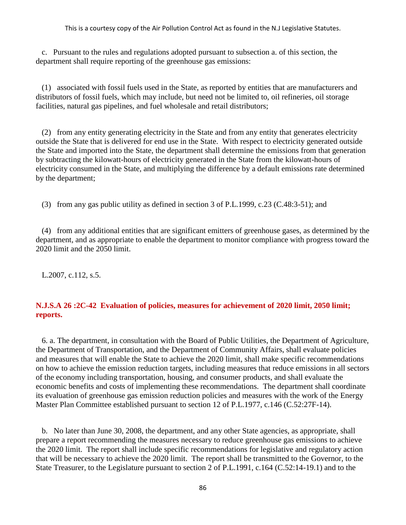c. Pursuant to the rules and regulations adopted pursuant to subsection a. of this section, the department shall require reporting of the greenhouse gas emissions:

 (1) associated with fossil fuels used in the State, as reported by entities that are manufacturers and distributors of fossil fuels, which may include, but need not be limited to, oil refineries, oil storage facilities, natural gas pipelines, and fuel wholesale and retail distributors;

 (2) from any entity generating electricity in the State and from any entity that generates electricity outside the State that is delivered for end use in the State. With respect to electricity generated outside the State and imported into the State, the department shall determine the emissions from that generation by subtracting the kilowatt-hours of electricity generated in the State from the kilowatt-hours of electricity consumed in the State, and multiplying the difference by a default emissions rate determined by the department;

(3) from any gas public utility as defined in section 3 of P.L.1999, c.23 (C.48:3-51); and

 (4) from any additional entities that are significant emitters of greenhouse gases, as determined by the department, and as appropriate to enable the department to monitor compliance with progress toward the 2020 limit and the 2050 limit.

L.2007, c.112, s.5.

# **N.J.S.A 26 :2C-42 Evaluation of policies, measures for achievement of 2020 limit, 2050 limit; reports.**

 6. a. The department, in consultation with the Board of Public Utilities, the Department of Agriculture, the Department of Transportation, and the Department of Community Affairs, shall evaluate policies and measures that will enable the State to achieve the 2020 limit, shall make specific recommendations on how to achieve the emission reduction targets, including measures that reduce emissions in all sectors of the economy including transportation, housing, and consumer products, and shall evaluate the economic benefits and costs of implementing these recommendations. The department shall coordinate its evaluation of greenhouse gas emission reduction policies and measures with the work of the Energy Master Plan Committee established pursuant to section 12 of P.L.1977, c.146 (C.52:27F-14).

 b. No later than June 30, 2008, the department, and any other State agencies, as appropriate, shall prepare a report recommending the measures necessary to reduce greenhouse gas emissions to achieve the 2020 limit. The report shall include specific recommendations for legislative and regulatory action that will be necessary to achieve the 2020 limit. The report shall be transmitted to the Governor, to the State Treasurer, to the Legislature pursuant to section 2 of P.L.1991, c.164 (C.52:14-19.1) and to the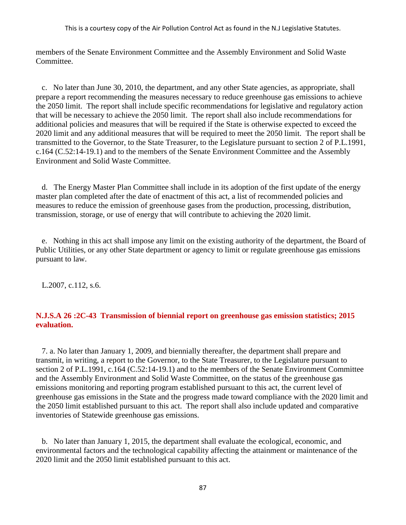members of the Senate Environment Committee and the Assembly Environment and Solid Waste Committee.

 c. No later than June 30, 2010, the department, and any other State agencies, as appropriate, shall prepare a report recommending the measures necessary to reduce greenhouse gas emissions to achieve the 2050 limit. The report shall include specific recommendations for legislative and regulatory action that will be necessary to achieve the 2050 limit. The report shall also include recommendations for additional policies and measures that will be required if the State is otherwise expected to exceed the 2020 limit and any additional measures that will be required to meet the 2050 limit. The report shall be transmitted to the Governor, to the State Treasurer, to the Legislature pursuant to section 2 of P.L.1991, c.164 (C.52:14-19.1) and to the members of the Senate Environment Committee and the Assembly Environment and Solid Waste Committee.

 d. The Energy Master Plan Committee shall include in its adoption of the first update of the energy master plan completed after the date of enactment of this act, a list of recommended policies and measures to reduce the emission of greenhouse gases from the production, processing, distribution, transmission, storage, or use of energy that will contribute to achieving the 2020 limit.

 e. Nothing in this act shall impose any limit on the existing authority of the department, the Board of Public Utilities, or any other State department or agency to limit or regulate greenhouse gas emissions pursuant to law.

L.2007, c.112, s.6.

# **N.J.S.A 26 :2C-43 Transmission of biennial report on greenhouse gas emission statistics; 2015 evaluation.**

 7. a. No later than January 1, 2009, and biennially thereafter, the department shall prepare and transmit, in writing, a report to the Governor, to the State Treasurer, to the Legislature pursuant to section 2 of P.L.1991, c.164 (C.52:14-19.1) and to the members of the Senate Environment Committee and the Assembly Environment and Solid Waste Committee, on the status of the greenhouse gas emissions monitoring and reporting program established pursuant to this act, the current level of greenhouse gas emissions in the State and the progress made toward compliance with the 2020 limit and the 2050 limit established pursuant to this act. The report shall also include updated and comparative inventories of Statewide greenhouse gas emissions.

 b. No later than January 1, 2015, the department shall evaluate the ecological, economic, and environmental factors and the technological capability affecting the attainment or maintenance of the 2020 limit and the 2050 limit established pursuant to this act.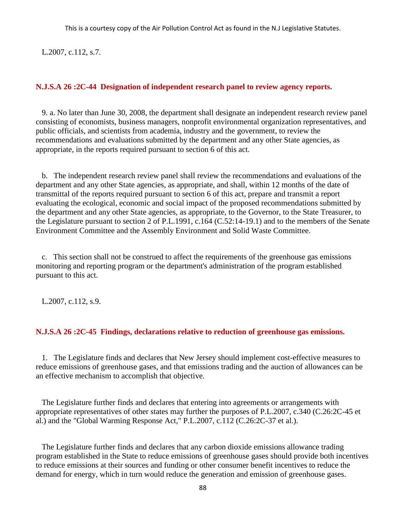L.2007, c.112, s.7.

### **N.J.S.A 26 :2C-44 Designation of independent research panel to review agency reports.**

 9. a. No later than June 30, 2008, the department shall designate an independent research review panel consisting of economists, business managers, nonprofit environmental organization representatives, and public officials, and scientists from academia, industry and the government, to review the recommendations and evaluations submitted by the department and any other State agencies, as appropriate, in the reports required pursuant to section 6 of this act.

 b. The independent research review panel shall review the recommendations and evaluations of the department and any other State agencies, as appropriate, and shall, within 12 months of the date of transmittal of the reports required pursuant to section 6 of this act, prepare and transmit a report evaluating the ecological, economic and social impact of the proposed recommendations submitted by the department and any other State agencies, as appropriate, to the Governor, to the State Treasurer, to the Legislature pursuant to section 2 of P.L.1991, c.164 (C.52:14-19.1) and to the members of the Senate Environment Committee and the Assembly Environment and Solid Waste Committee.

 c. This section shall not be construed to affect the requirements of the greenhouse gas emissions monitoring and reporting program or the department's administration of the program established pursuant to this act.

L.2007, c.112, s.9.

### **N.J.S.A 26 :2C-45 Findings, declarations relative to reduction of greenhouse gas emissions.**

 1. The Legislature finds and declares that New Jersey should implement cost-effective measures to reduce emissions of greenhouse gases, and that emissions trading and the auction of allowances can be an effective mechanism to accomplish that objective.

 The Legislature further finds and declares that entering into agreements or arrangements with appropriate representatives of other states may further the purposes of P.L.2007, c.340 (C.26:2C-45 et al.) and the "Global Warming Response Act," P.L.2007, c.112 (C.26:2C-37 et al.).

 The Legislature further finds and declares that any carbon dioxide emissions allowance trading program established in the State to reduce emissions of greenhouse gases should provide both incentives to reduce emissions at their sources and funding or other consumer benefit incentives to reduce the demand for energy, which in turn would reduce the generation and emission of greenhouse gases.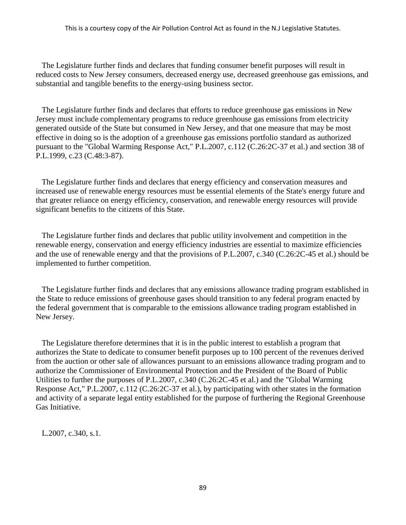The Legislature further finds and declares that funding consumer benefit purposes will result in reduced costs to New Jersey consumers, decreased energy use, decreased greenhouse gas emissions, and substantial and tangible benefits to the energy-using business sector.

 The Legislature further finds and declares that efforts to reduce greenhouse gas emissions in New Jersey must include complementary programs to reduce greenhouse gas emissions from electricity generated outside of the State but consumed in New Jersey, and that one measure that may be most effective in doing so is the adoption of a greenhouse gas emissions portfolio standard as authorized pursuant to the "Global Warming Response Act," P.L.2007, c.112 (C.26:2C-37 et al.) and section 38 of P.L.1999, c.23 (C.48:3-87).

 The Legislature further finds and declares that energy efficiency and conservation measures and increased use of renewable energy resources must be essential elements of the State's energy future and that greater reliance on energy efficiency, conservation, and renewable energy resources will provide significant benefits to the citizens of this State.

 The Legislature further finds and declares that public utility involvement and competition in the renewable energy, conservation and energy efficiency industries are essential to maximize efficiencies and the use of renewable energy and that the provisions of P.L.2007, c.340 (C.26:2C-45 et al.) should be implemented to further competition.

 The Legislature further finds and declares that any emissions allowance trading program established in the State to reduce emissions of greenhouse gases should transition to any federal program enacted by the federal government that is comparable to the emissions allowance trading program established in New Jersey.

 The Legislature therefore determines that it is in the public interest to establish a program that authorizes the State to dedicate to consumer benefit purposes up to 100 percent of the revenues derived from the auction or other sale of allowances pursuant to an emissions allowance trading program and to authorize the Commissioner of Environmental Protection and the President of the Board of Public Utilities to further the purposes of P.L.2007, c.340 (C.26:2C-45 et al.) and the "Global Warming Response Act," P.L.2007, c.112 (C.26:2C-37 et al.), by participating with other states in the formation and activity of a separate legal entity established for the purpose of furthering the Regional Greenhouse Gas Initiative.

L.2007, c.340, s.1.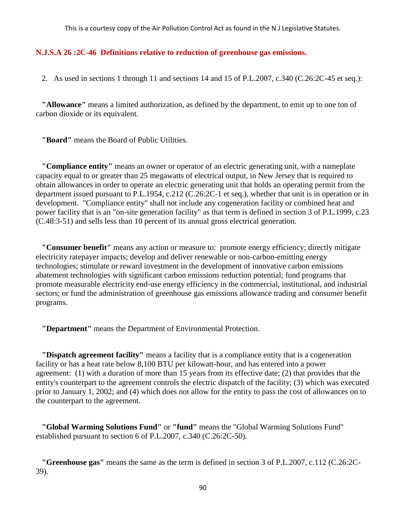#### **N.J.S.A 26 :2C-46 Definitions relative to reduction of greenhouse gas emissions.**

2. As used in sections 1 through 11 and sections 14 and 15 of P.L.2007, c.340 (C.26:2C-45 et seq.):

 **"Allowance"** means a limited authorization, as defined by the department, to emit up to one ton of carbon dioxide or its equivalent.

 **"Board"** means the Board of Public Utilities.

 **"Compliance entity"** means an owner or operator of an electric generating unit, with a nameplate capacity equal to or greater than 25 megawatts of electrical output, in New Jersey that is required to obtain allowances in order to operate an electric generating unit that holds an operating permit from the department issued pursuant to P.L.1954, c.212 (C.26:2C-1 et seq.), whether that unit is in operation or in development. "Compliance entity" shall not include any cogeneration facility or combined heat and power facility that is an "on-site generation facility" as that term is defined in section 3 of P.L.1999, c.23 (C.48:3-51) and sells less than 10 percent of its annual gross electrical generation.

 **"Consumer benefit"** means any action or measure to: promote energy efficiency; directly mitigate electricity ratepayer impacts; develop and deliver renewable or non-carbon-emitting energy technologies; stimulate or reward investment in the development of innovative carbon emissions abatement technologies with significant carbon emissions reduction potential; fund programs that promote measurable electricity end-use energy efficiency in the commercial, institutional, and industrial sectors; or fund the administration of greenhouse gas emissions allowance trading and consumer benefit programs.

 **"Department"** means the Department of Environmental Protection.

 **"Dispatch agreement facility"** means a facility that is a compliance entity that is a cogeneration facility or has a heat rate below 8,100 BTU per kilowatt-hour, and has entered into a power agreement: (1) with a duration of more than 15 years from its effective date; (2) that provides that the entity's counterpart to the agreement controls the electric dispatch of the facility; (3) which was executed prior to January 1, 2002; and (4) which does not allow for the entity to pass the cost of allowances on to the counterpart to the agreement.

 **"Global Warming Solutions Fund"** or **"fund"** means the "Global Warming Solutions Fund" established pursuant to section 6 of P.L.2007, c.340 (C.26:2C-50).

 **"Greenhouse gas"** means the same as the term is defined in section 3 of P.L.2007, c.112 (C.26:2C-39).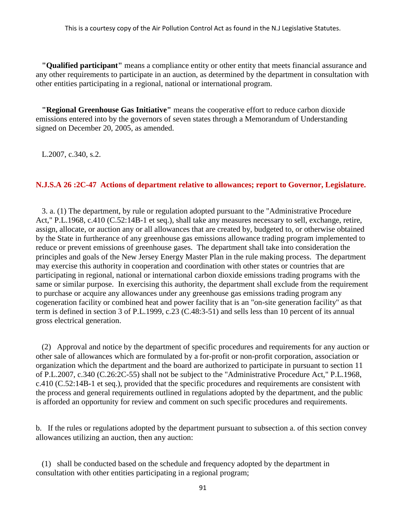**"Qualified participant"** means a compliance entity or other entity that meets financial assurance and any other requirements to participate in an auction, as determined by the department in consultation with other entities participating in a regional, national or international program.

 **"Regional Greenhouse Gas Initiative"** means the cooperative effort to reduce carbon dioxide emissions entered into by the governors of seven states through a Memorandum of Understanding signed on December 20, 2005, as amended.

L.2007, c.340, s.2.

# **N.J.S.A 26 :2C-47 Actions of department relative to allowances; report to Governor, Legislature.**

 3. a. (1) The department, by rule or regulation adopted pursuant to the "Administrative Procedure Act," P.L.1968, c.410 (C.52:14B-1 et seq.), shall take any measures necessary to sell, exchange, retire, assign, allocate, or auction any or all allowances that are created by, budgeted to, or otherwise obtained by the State in furtherance of any greenhouse gas emissions allowance trading program implemented to reduce or prevent emissions of greenhouse gases. The department shall take into consideration the principles and goals of the New Jersey Energy Master Plan in the rule making process. The department may exercise this authority in cooperation and coordination with other states or countries that are participating in regional, national or international carbon dioxide emissions trading programs with the same or similar purpose. In exercising this authority, the department shall exclude from the requirement to purchase or acquire any allowances under any greenhouse gas emissions trading program any cogeneration facility or combined heat and power facility that is an "on-site generation facility" as that term is defined in section 3 of P.L.1999, c.23 (C.48:3-51) and sells less than 10 percent of its annual gross electrical generation.

 (2) Approval and notice by the department of specific procedures and requirements for any auction or other sale of allowances which are formulated by a for-profit or non-profit corporation, association or organization which the department and the board are authorized to participate in pursuant to section 11 of P.L.2007, c.340 (C.26:2C-55) shall not be subject to the "Administrative Procedure Act," P.L.1968, c.410 (C.52:14B-1 et seq.), provided that the specific procedures and requirements are consistent with the process and general requirements outlined in regulations adopted by the department, and the public is afforded an opportunity for review and comment on such specific procedures and requirements.

b. If the rules or regulations adopted by the department pursuant to subsection a. of this section convey allowances utilizing an auction, then any auction:

 (1) shall be conducted based on the schedule and frequency adopted by the department in consultation with other entities participating in a regional program;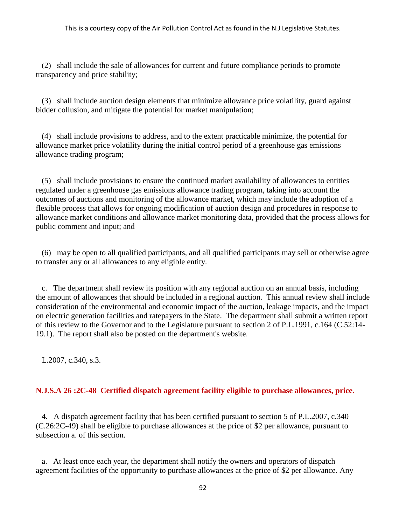(2) shall include the sale of allowances for current and future compliance periods to promote transparency and price stability;

 (3) shall include auction design elements that minimize allowance price volatility, guard against bidder collusion, and mitigate the potential for market manipulation;

 (4) shall include provisions to address, and to the extent practicable minimize, the potential for allowance market price volatility during the initial control period of a greenhouse gas emissions allowance trading program;

 (5) shall include provisions to ensure the continued market availability of allowances to entities regulated under a greenhouse gas emissions allowance trading program, taking into account the outcomes of auctions and monitoring of the allowance market, which may include the adoption of a flexible process that allows for ongoing modification of auction design and procedures in response to allowance market conditions and allowance market monitoring data, provided that the process allows for public comment and input; and

 (6) may be open to all qualified participants, and all qualified participants may sell or otherwise agree to transfer any or all allowances to any eligible entity.

 c. The department shall review its position with any regional auction on an annual basis, including the amount of allowances that should be included in a regional auction. This annual review shall include consideration of the environmental and economic impact of the auction, leakage impacts, and the impact on electric generation facilities and ratepayers in the State. The department shall submit a written report of this review to the Governor and to the Legislature pursuant to section 2 of P.L.1991, c.164 (C.52:14- 19.1). The report shall also be posted on the department's website.

L.2007, c.340, s.3.

# **N.J.S.A 26 :2C-48 Certified dispatch agreement facility eligible to purchase allowances, price.**

 4. A dispatch agreement facility that has been certified pursuant to section 5 of P.L.2007, c.340 (C.26:2C-49) shall be eligible to purchase allowances at the price of \$2 per allowance, pursuant to subsection a. of this section.

 a. At least once each year, the department shall notify the owners and operators of dispatch agreement facilities of the opportunity to purchase allowances at the price of \$2 per allowance. Any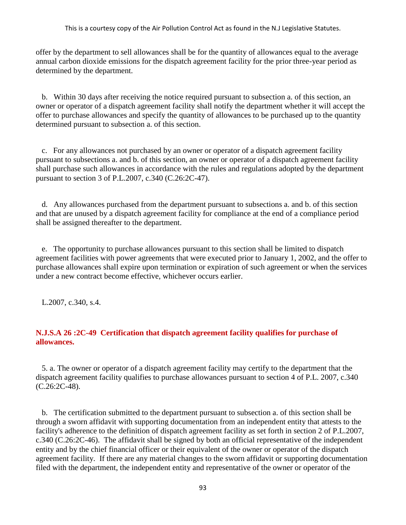offer by the department to sell allowances shall be for the quantity of allowances equal to the average annual carbon dioxide emissions for the dispatch agreement facility for the prior three-year period as determined by the department.

 b. Within 30 days after receiving the notice required pursuant to subsection a. of this section, an owner or operator of a dispatch agreement facility shall notify the department whether it will accept the offer to purchase allowances and specify the quantity of allowances to be purchased up to the quantity determined pursuant to subsection a. of this section.

 c. For any allowances not purchased by an owner or operator of a dispatch agreement facility pursuant to subsections a. and b. of this section, an owner or operator of a dispatch agreement facility shall purchase such allowances in accordance with the rules and regulations adopted by the department pursuant to section 3 of P.L.2007, c.340 (C.26:2C-47).

 d. Any allowances purchased from the department pursuant to subsections a. and b. of this section and that are unused by a dispatch agreement facility for compliance at the end of a compliance period shall be assigned thereafter to the department.

 e. The opportunity to purchase allowances pursuant to this section shall be limited to dispatch agreement facilities with power agreements that were executed prior to January 1, 2002, and the offer to purchase allowances shall expire upon termination or expiration of such agreement or when the services under a new contract become effective, whichever occurs earlier.

L.2007, c.340, s.4.

# **N.J.S.A 26 :2C-49 Certification that dispatch agreement facility qualifies for purchase of allowances.**

 5. a. The owner or operator of a dispatch agreement facility may certify to the department that the dispatch agreement facility qualifies to purchase allowances pursuant to section 4 of P.L. 2007, c.340 (C.26:2C-48).

 b. The certification submitted to the department pursuant to subsection a. of this section shall be through a sworn affidavit with supporting documentation from an independent entity that attests to the facility's adherence to the definition of dispatch agreement facility as set forth in section 2 of P.L.2007, c.340 (C.26:2C-46). The affidavit shall be signed by both an official representative of the independent entity and by the chief financial officer or their equivalent of the owner or operator of the dispatch agreement facility. If there are any material changes to the sworn affidavit or supporting documentation filed with the department, the independent entity and representative of the owner or operator of the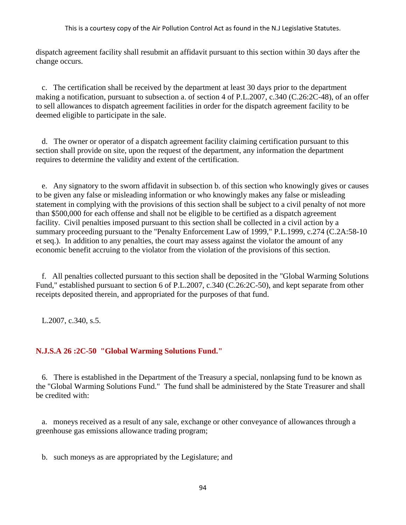dispatch agreement facility shall resubmit an affidavit pursuant to this section within 30 days after the change occurs.

 c. The certification shall be received by the department at least 30 days prior to the department making a notification, pursuant to subsection a. of section 4 of P.L.2007, c.340 (C.26:2C-48), of an offer to sell allowances to dispatch agreement facilities in order for the dispatch agreement facility to be deemed eligible to participate in the sale.

 d. The owner or operator of a dispatch agreement facility claiming certification pursuant to this section shall provide on site, upon the request of the department, any information the department requires to determine the validity and extent of the certification.

 e. Any signatory to the sworn affidavit in subsection b. of this section who knowingly gives or causes to be given any false or misleading information or who knowingly makes any false or misleading statement in complying with the provisions of this section shall be subject to a civil penalty of not more than \$500,000 for each offense and shall not be eligible to be certified as a dispatch agreement facility. Civil penalties imposed pursuant to this section shall be collected in a civil action by a summary proceeding pursuant to the "Penalty Enforcement Law of 1999," P.L.1999, c.274 (C.2A:58-10 et seq.). In addition to any penalties, the court may assess against the violator the amount of any economic benefit accruing to the violator from the violation of the provisions of this section.

 f. All penalties collected pursuant to this section shall be deposited in the "Global Warming Solutions Fund," established pursuant to section 6 of P.L.2007, c.340 (C.26:2C-50), and kept separate from other receipts deposited therein, and appropriated for the purposes of that fund.

L.2007, c.340, s.5.

# **N.J.S.A 26 :2C-50 "Global Warming Solutions Fund."**

 6. There is established in the Department of the Treasury a special, nonlapsing fund to be known as the "Global Warming Solutions Fund." The fund shall be administered by the State Treasurer and shall be credited with:

 a. moneys received as a result of any sale, exchange or other conveyance of allowances through a greenhouse gas emissions allowance trading program;

b. such moneys as are appropriated by the Legislature; and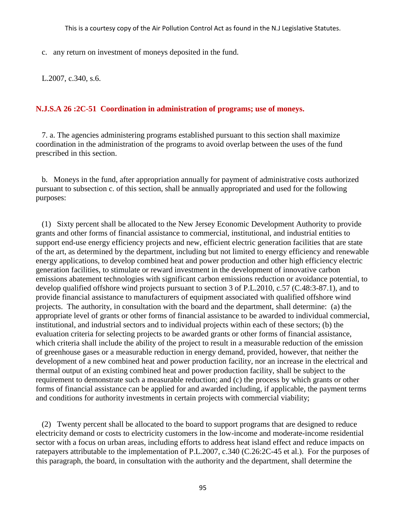c. any return on investment of moneys deposited in the fund.

L.2007, c.340, s.6.

### **N.J.S.A 26 :2C-51 Coordination in administration of programs; use of moneys.**

 7. a. The agencies administering programs established pursuant to this section shall maximize coordination in the administration of the programs to avoid overlap between the uses of the fund prescribed in this section.

 b. Moneys in the fund, after appropriation annually for payment of administrative costs authorized pursuant to subsection c. of this section, shall be annually appropriated and used for the following purposes:

 (1) Sixty percent shall be allocated to the New Jersey Economic Development Authority to provide grants and other forms of financial assistance to commercial, institutional, and industrial entities to support end-use energy efficiency projects and new, efficient electric generation facilities that are state of the art, as determined by the department, including but not limited to energy efficiency and renewable energy applications, to develop combined heat and power production and other high efficiency electric generation facilities, to stimulate or reward investment in the development of innovative carbon emissions abatement technologies with significant carbon emissions reduction or avoidance potential, to develop qualified offshore wind projects pursuant to section 3 of P.L.2010, c.57 (C.48:3-87.1), and to provide financial assistance to manufacturers of equipment associated with qualified offshore wind projects. The authority, in consultation with the board and the department, shall determine: (a) the appropriate level of grants or other forms of financial assistance to be awarded to individual commercial, institutional, and industrial sectors and to individual projects within each of these sectors; (b) the evaluation criteria for selecting projects to be awarded grants or other forms of financial assistance, which criteria shall include the ability of the project to result in a measurable reduction of the emission of greenhouse gases or a measurable reduction in energy demand, provided, however, that neither the development of a new combined heat and power production facility, nor an increase in the electrical and thermal output of an existing combined heat and power production facility, shall be subject to the requirement to demonstrate such a measurable reduction; and (c) the process by which grants or other forms of financial assistance can be applied for and awarded including, if applicable, the payment terms and conditions for authority investments in certain projects with commercial viability;

 (2) Twenty percent shall be allocated to the board to support programs that are designed to reduce electricity demand or costs to electricity customers in the low-income and moderate-income residential sector with a focus on urban areas, including efforts to address heat island effect and reduce impacts on ratepayers attributable to the implementation of P.L.2007, c.340 (C.26:2C-45 et al.). For the purposes of this paragraph, the board, in consultation with the authority and the department, shall determine the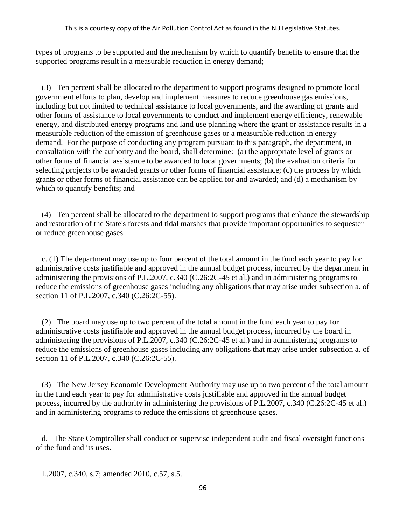types of programs to be supported and the mechanism by which to quantify benefits to ensure that the supported programs result in a measurable reduction in energy demand;

 (3) Ten percent shall be allocated to the department to support programs designed to promote local government efforts to plan, develop and implement measures to reduce greenhouse gas emissions, including but not limited to technical assistance to local governments, and the awarding of grants and other forms of assistance to local governments to conduct and implement energy efficiency, renewable energy, and distributed energy programs and land use planning where the grant or assistance results in a measurable reduction of the emission of greenhouse gases or a measurable reduction in energy demand. For the purpose of conducting any program pursuant to this paragraph, the department, in consultation with the authority and the board, shall determine: (a) the appropriate level of grants or other forms of financial assistance to be awarded to local governments; (b) the evaluation criteria for selecting projects to be awarded grants or other forms of financial assistance; (c) the process by which grants or other forms of financial assistance can be applied for and awarded; and (d) a mechanism by which to quantify benefits; and

 (4) Ten percent shall be allocated to the department to support programs that enhance the stewardship and restoration of the State's forests and tidal marshes that provide important opportunities to sequester or reduce greenhouse gases.

 c. (1) The department may use up to four percent of the total amount in the fund each year to pay for administrative costs justifiable and approved in the annual budget process, incurred by the department in administering the provisions of P.L.2007, c.340 (C.26:2C-45 et al.) and in administering programs to reduce the emissions of greenhouse gases including any obligations that may arise under subsection a. of section 11 of P.L.2007, c.340 (C.26:2C-55).

 (2) The board may use up to two percent of the total amount in the fund each year to pay for administrative costs justifiable and approved in the annual budget process, incurred by the board in administering the provisions of P.L.2007, c.340 (C.26:2C-45 et al.) and in administering programs to reduce the emissions of greenhouse gases including any obligations that may arise under subsection a. of section 11 of P.L.2007, c.340 (C.26:2C-55).

 (3) The New Jersey Economic Development Authority may use up to two percent of the total amount in the fund each year to pay for administrative costs justifiable and approved in the annual budget process, incurred by the authority in administering the provisions of P.L.2007, c.340 (C.26:2C-45 et al.) and in administering programs to reduce the emissions of greenhouse gases.

 d. The State Comptroller shall conduct or supervise independent audit and fiscal oversight functions of the fund and its uses.

L.2007, c.340, s.7; amended 2010, c.57, s.5.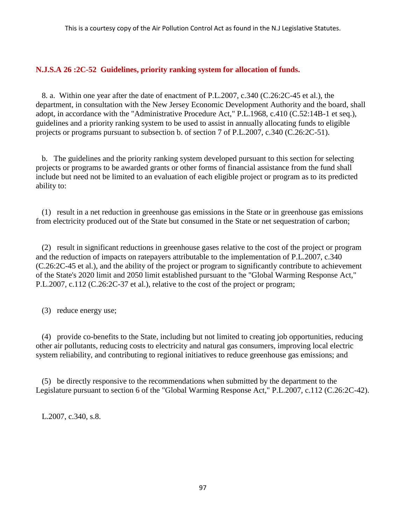# **N.J.S.A 26 :2C-52 Guidelines, priority ranking system for allocation of funds.**

 8. a. Within one year after the date of enactment of P.L.2007, c.340 (C.26:2C-45 et al.), the department, in consultation with the New Jersey Economic Development Authority and the board, shall adopt, in accordance with the "Administrative Procedure Act," P.L.1968, c.410 (C.52:14B-1 et seq.), guidelines and a priority ranking system to be used to assist in annually allocating funds to eligible projects or programs pursuant to subsection b. of section 7 of P.L.2007, c.340 (C.26:2C-51).

 b. The guidelines and the priority ranking system developed pursuant to this section for selecting projects or programs to be awarded grants or other forms of financial assistance from the fund shall include but need not be limited to an evaluation of each eligible project or program as to its predicted ability to:

 (1) result in a net reduction in greenhouse gas emissions in the State or in greenhouse gas emissions from electricity produced out of the State but consumed in the State or net sequestration of carbon;

 (2) result in significant reductions in greenhouse gases relative to the cost of the project or program and the reduction of impacts on ratepayers attributable to the implementation of P.L.2007, c.340 (C.26:2C-45 et al.), and the ability of the project or program to significantly contribute to achievement of the State's 2020 limit and 2050 limit established pursuant to the "Global Warming Response Act," P.L.2007, c.112 (C.26:2C-37 et al.), relative to the cost of the project or program;

(3) reduce energy use;

 (4) provide co-benefits to the State, including but not limited to creating job opportunities, reducing other air pollutants, reducing costs to electricity and natural gas consumers, improving local electric system reliability, and contributing to regional initiatives to reduce greenhouse gas emissions; and

 (5) be directly responsive to the recommendations when submitted by the department to the Legislature pursuant to section 6 of the "Global Warming Response Act," P.L.2007, c.112 (C.26:2C-42).

L.2007, c.340, s.8.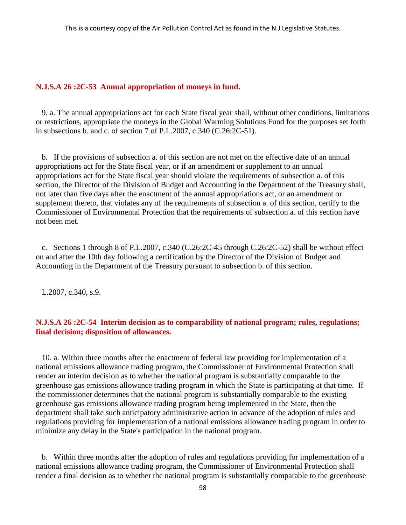#### **N.J.S.A 26 :2C-53 Annual appropriation of moneys in fund.**

 9. a. The annual appropriations act for each State fiscal year shall, without other conditions, limitations or restrictions, appropriate the moneys in the Global Warming Solutions Fund for the purposes set forth in subsections b. and c. of section 7 of P.L.2007, c.340 (C.26:2C-51).

 b. If the provisions of subsection a. of this section are not met on the effective date of an annual appropriations act for the State fiscal year, or if an amendment or supplement to an annual appropriations act for the State fiscal year should violate the requirements of subsection a. of this section, the Director of the Division of Budget and Accounting in the Department of the Treasury shall, not later than five days after the enactment of the annual appropriations act, or an amendment or supplement thereto, that violates any of the requirements of subsection a. of this section, certify to the Commissioner of Environmental Protection that the requirements of subsection a. of this section have not been met.

 c. Sections 1 through 8 of P.L.2007, c.340 (C.26:2C-45 through C.26:2C-52) shall be without effect on and after the 10th day following a certification by the Director of the Division of Budget and Accounting in the Department of the Treasury pursuant to subsection b. of this section.

L.2007, c.340, s.9.

### **N.J.S.A 26 :2C-54 Interim decision as to comparability of national program; rules, regulations; final decision; disposition of allowances.**

 10. a. Within three months after the enactment of federal law providing for implementation of a national emissions allowance trading program, the Commissioner of Environmental Protection shall render an interim decision as to whether the national program is substantially comparable to the greenhouse gas emissions allowance trading program in which the State is participating at that time. If the commissioner determines that the national program is substantially comparable to the existing greenhouse gas emissions allowance trading program being implemented in the State, then the department shall take such anticipatory administrative action in advance of the adoption of rules and regulations providing for implementation of a national emissions allowance trading program in order to minimize any delay in the State's participation in the national program.

 b. Within three months after the adoption of rules and regulations providing for implementation of a national emissions allowance trading program, the Commissioner of Environmental Protection shall render a final decision as to whether the national program is substantially comparable to the greenhouse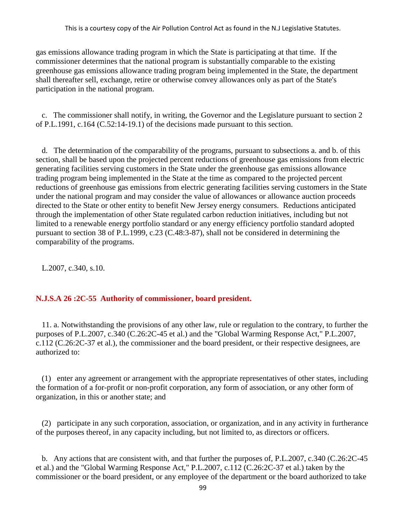gas emissions allowance trading program in which the State is participating at that time. If the commissioner determines that the national program is substantially comparable to the existing greenhouse gas emissions allowance trading program being implemented in the State, the department shall thereafter sell, exchange, retire or otherwise convey allowances only as part of the State's participation in the national program.

 c. The commissioner shall notify, in writing, the Governor and the Legislature pursuant to section 2 of P.L.1991, c.164 (C.52:14-19.1) of the decisions made pursuant to this section.

 d. The determination of the comparability of the programs, pursuant to subsections a. and b. of this section, shall be based upon the projected percent reductions of greenhouse gas emissions from electric generating facilities serving customers in the State under the greenhouse gas emissions allowance trading program being implemented in the State at the time as compared to the projected percent reductions of greenhouse gas emissions from electric generating facilities serving customers in the State under the national program and may consider the value of allowances or allowance auction proceeds directed to the State or other entity to benefit New Jersey energy consumers. Reductions anticipated through the implementation of other State regulated carbon reduction initiatives, including but not limited to a renewable energy portfolio standard or any energy efficiency portfolio standard adopted pursuant to section 38 of P.L.1999, c.23 (C.48:3-87), shall not be considered in determining the comparability of the programs.

L.2007, c.340, s.10.

### **N.J.S.A 26 :2C-55 Authority of commissioner, board president.**

 11. a. Notwithstanding the provisions of any other law, rule or regulation to the contrary, to further the purposes of P.L.2007, c.340 (C.26:2C-45 et al.) and the "Global Warming Response Act," P.L.2007, c.112 (C.26:2C-37 et al.), the commissioner and the board president, or their respective designees, are authorized to:

 (1) enter any agreement or arrangement with the appropriate representatives of other states, including the formation of a for-profit or non-profit corporation, any form of association, or any other form of organization, in this or another state; and

 (2) participate in any such corporation, association, or organization, and in any activity in furtherance of the purposes thereof, in any capacity including, but not limited to, as directors or officers.

 b. Any actions that are consistent with, and that further the purposes of, P.L.2007, c.340 (C.26:2C-45 et al.) and the "Global Warming Response Act," P.L.2007, c.112 (C.26:2C-37 et al.) taken by the commissioner or the board president, or any employee of the department or the board authorized to take